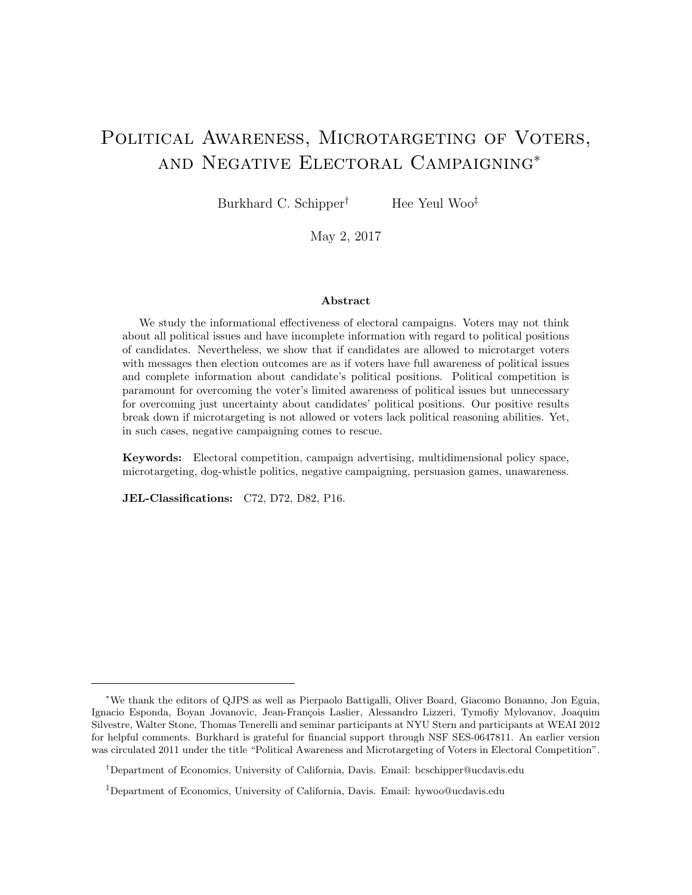# POLITICAL AWARENESS, MICROTARGETING OF VOTERS, and Negative Electoral Campaigning<sup>∗</sup>

Burkhard C. Schipper<sup>†</sup> Hee Yeul Woo<sup>‡</sup>

May 2, 2017

#### Abstract

We study the informational effectiveness of electoral campaigns. Voters may not think about all political issues and have incomplete information with regard to political positions of candidates. Nevertheless, we show that if candidates are allowed to microtarget voters with messages then election outcomes are as if voters have full awareness of political issues and complete information about candidate's political positions. Political competition is paramount for overcoming the voter's limited awareness of political issues but unnecessary for overcoming just uncertainty about candidates' political positions. Our positive results break down if microtargeting is not allowed or voters lack political reasoning abilities. Yet, in such cases, negative campaigning comes to rescue.

Keywords: Electoral competition, campaign advertising, multidimensional policy space, microtargeting, dog-whistle politics, negative campaigning, persuasion games, unawareness.

JEL-Classifications: C72, D72, D82, P16.

<sup>∗</sup>We thank the editors of QJPS as well as Pierpaolo Battigalli, Oliver Board, Giacomo Bonanno, Jon Eguia, Ignacio Esponda, Boyan Jovanovic, Jean-François Laslier, Alessandro Lizzeri, Tymofiy Mylovanov, Joaquim Silvestre, Walter Stone, Thomas Tenerelli and seminar participants at NYU Stern and participants at WEAI 2012 for helpful comments. Burkhard is grateful for financial support through NSF SES-0647811. An earlier version was circulated 2011 under the title "Political Awareness and Microtargeting of Voters in Electoral Competition".

<sup>†</sup>Department of Economics, University of California, Davis. Email: bcschipper@ucdavis.edu

<sup>‡</sup>Department of Economics, University of California, Davis. Email: hywoo@ucdavis.edu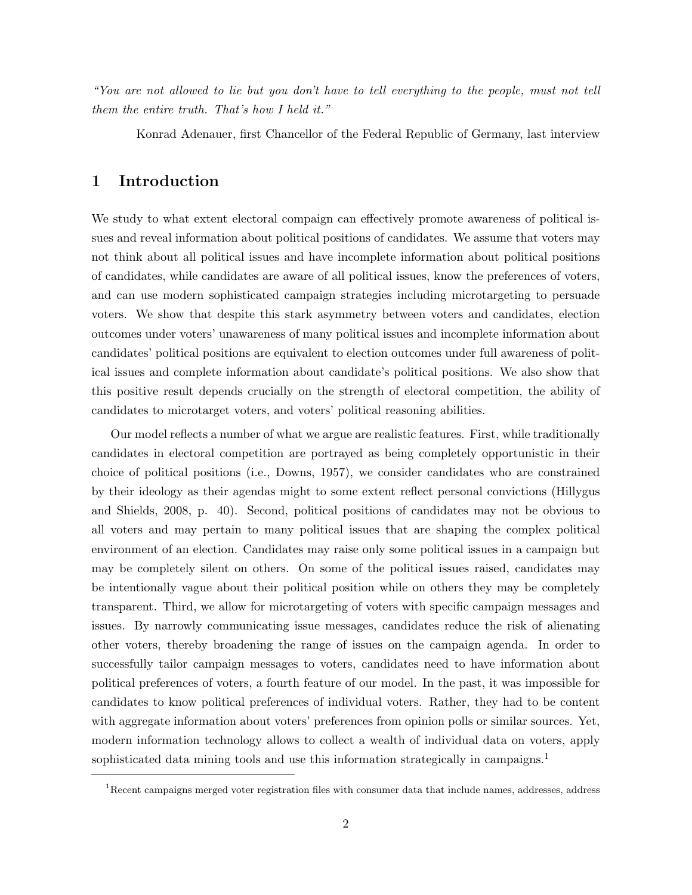"You are not allowed to lie but you don't have to tell everything to the people, must not tell them the entire truth. That's how I held it."

Konrad Adenauer, first Chancellor of the Federal Republic of Germany, last interview

### 1 Introduction

We study to what extent electoral compaign can effectively promote awareness of political issues and reveal information about political positions of candidates. We assume that voters may not think about all political issues and have incomplete information about political positions of candidates, while candidates are aware of all political issues, know the preferences of voters, and can use modern sophisticated campaign strategies including microtargeting to persuade voters. We show that despite this stark asymmetry between voters and candidates, election outcomes under voters' unawareness of many political issues and incomplete information about candidates' political positions are equivalent to election outcomes under full awareness of political issues and complete information about candidate's political positions. We also show that this positive result depends crucially on the strength of electoral competition, the ability of candidates to microtarget voters, and voters' political reasoning abilities.

Our model reflects a number of what we argue are realistic features. First, while traditionally candidates in electoral competition are portrayed as being completely opportunistic in their choice of political positions (i.e., Downs, 1957), we consider candidates who are constrained by their ideology as their agendas might to some extent reflect personal convictions (Hillygus and Shields, 2008, p. 40). Second, political positions of candidates may not be obvious to all voters and may pertain to many political issues that are shaping the complex political environment of an election. Candidates may raise only some political issues in a campaign but may be completely silent on others. On some of the political issues raised, candidates may be intentionally vague about their political position while on others they may be completely transparent. Third, we allow for microtargeting of voters with specific campaign messages and issues. By narrowly communicating issue messages, candidates reduce the risk of alienating other voters, thereby broadening the range of issues on the campaign agenda. In order to successfully tailor campaign messages to voters, candidates need to have information about political preferences of voters, a fourth feature of our model. In the past, it was impossible for candidates to know political preferences of individual voters. Rather, they had to be content with aggregate information about voters' preferences from opinion polls or similar sources. Yet, modern information technology allows to collect a wealth of individual data on voters, apply sophisticated data mining tools and use this information strategically in campaigns.<sup>1</sup>

<sup>&</sup>lt;sup>1</sup>Recent campaigns merged voter registration files with consumer data that include names, addresses, address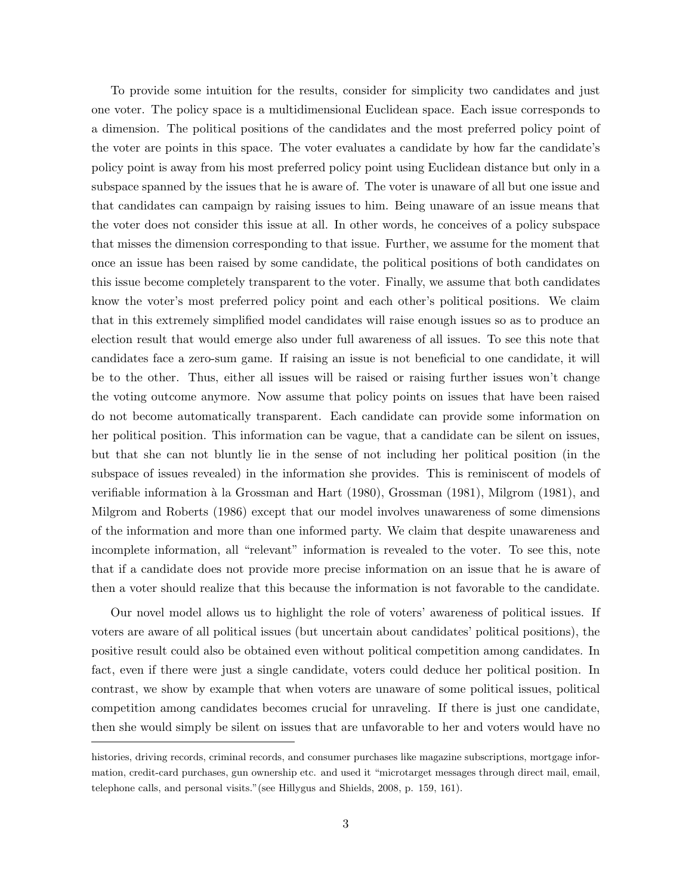To provide some intuition for the results, consider for simplicity two candidates and just one voter. The policy space is a multidimensional Euclidean space. Each issue corresponds to a dimension. The political positions of the candidates and the most preferred policy point of the voter are points in this space. The voter evaluates a candidate by how far the candidate's policy point is away from his most preferred policy point using Euclidean distance but only in a subspace spanned by the issues that he is aware of. The voter is unaware of all but one issue and that candidates can campaign by raising issues to him. Being unaware of an issue means that the voter does not consider this issue at all. In other words, he conceives of a policy subspace that misses the dimension corresponding to that issue. Further, we assume for the moment that once an issue has been raised by some candidate, the political positions of both candidates on this issue become completely transparent to the voter. Finally, we assume that both candidates know the voter's most preferred policy point and each other's political positions. We claim that in this extremely simplified model candidates will raise enough issues so as to produce an election result that would emerge also under full awareness of all issues. To see this note that candidates face a zero-sum game. If raising an issue is not beneficial to one candidate, it will be to the other. Thus, either all issues will be raised or raising further issues won't change the voting outcome anymore. Now assume that policy points on issues that have been raised do not become automatically transparent. Each candidate can provide some information on her political position. This information can be vague, that a candidate can be silent on issues, but that she can not bluntly lie in the sense of not including her political position (in the subspace of issues revealed) in the information she provides. This is reminiscent of models of verifiable information `a la Grossman and Hart (1980), Grossman (1981), Milgrom (1981), and Milgrom and Roberts (1986) except that our model involves unawareness of some dimensions of the information and more than one informed party. We claim that despite unawareness and incomplete information, all "relevant" information is revealed to the voter. To see this, note that if a candidate does not provide more precise information on an issue that he is aware of then a voter should realize that this because the information is not favorable to the candidate.

Our novel model allows us to highlight the role of voters' awareness of political issues. If voters are aware of all political issues (but uncertain about candidates' political positions), the positive result could also be obtained even without political competition among candidates. In fact, even if there were just a single candidate, voters could deduce her political position. In contrast, we show by example that when voters are unaware of some political issues, political competition among candidates becomes crucial for unraveling. If there is just one candidate, then she would simply be silent on issues that are unfavorable to her and voters would have no

histories, driving records, criminal records, and consumer purchases like magazine subscriptions, mortgage information, credit-card purchases, gun ownership etc. and used it "microtarget messages through direct mail, email, telephone calls, and personal visits."(see Hillygus and Shields, 2008, p. 159, 161).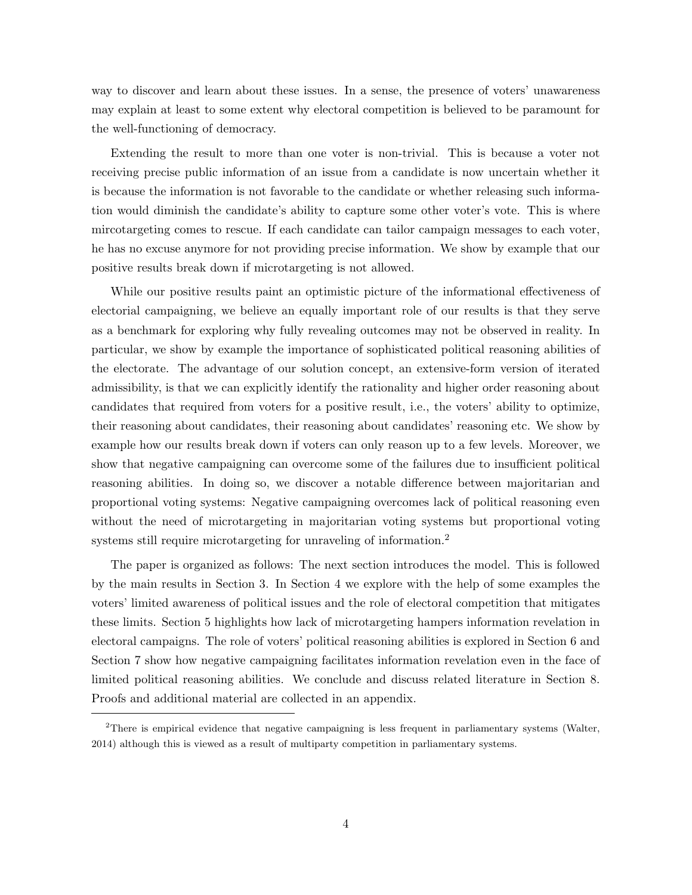way to discover and learn about these issues. In a sense, the presence of voters' unawareness may explain at least to some extent why electoral competition is believed to be paramount for the well-functioning of democracy.

Extending the result to more than one voter is non-trivial. This is because a voter not receiving precise public information of an issue from a candidate is now uncertain whether it is because the information is not favorable to the candidate or whether releasing such information would diminish the candidate's ability to capture some other voter's vote. This is where mircotargeting comes to rescue. If each candidate can tailor campaign messages to each voter, he has no excuse anymore for not providing precise information. We show by example that our positive results break down if microtargeting is not allowed.

While our positive results paint an optimistic picture of the informational effectiveness of electorial campaigning, we believe an equally important role of our results is that they serve as a benchmark for exploring why fully revealing outcomes may not be observed in reality. In particular, we show by example the importance of sophisticated political reasoning abilities of the electorate. The advantage of our solution concept, an extensive-form version of iterated admissibility, is that we can explicitly identify the rationality and higher order reasoning about candidates that required from voters for a positive result, i.e., the voters' ability to optimize, their reasoning about candidates, their reasoning about candidates' reasoning etc. We show by example how our results break down if voters can only reason up to a few levels. Moreover, we show that negative campaigning can overcome some of the failures due to insufficient political reasoning abilities. In doing so, we discover a notable difference between majoritarian and proportional voting systems: Negative campaigning overcomes lack of political reasoning even without the need of microtargeting in majoritarian voting systems but proportional voting systems still require microtargeting for unraveling of information.<sup>2</sup>

The paper is organized as follows: The next section introduces the model. This is followed by the main results in Section 3. In Section 4 we explore with the help of some examples the voters' limited awareness of political issues and the role of electoral competition that mitigates these limits. Section 5 highlights how lack of microtargeting hampers information revelation in electoral campaigns. The role of voters' political reasoning abilities is explored in Section 6 and Section 7 show how negative campaigning facilitates information revelation even in the face of limited political reasoning abilities. We conclude and discuss related literature in Section 8. Proofs and additional material are collected in an appendix.

<sup>&</sup>lt;sup>2</sup>There is empirical evidence that negative campaigning is less frequent in parliamentary systems (Walter, 2014) although this is viewed as a result of multiparty competition in parliamentary systems.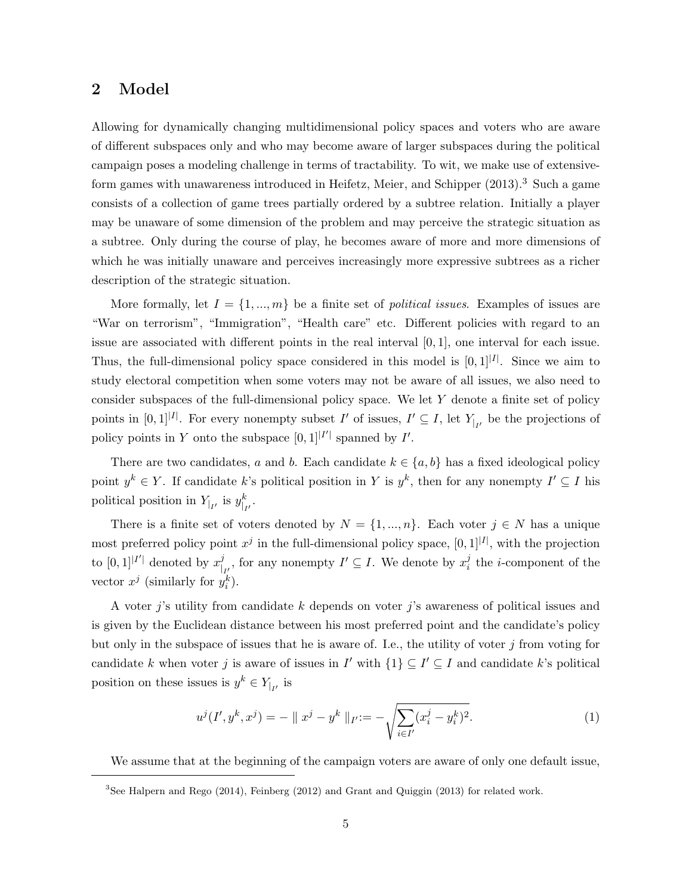### 2 Model

Allowing for dynamically changing multidimensional policy spaces and voters who are aware of different subspaces only and who may become aware of larger subspaces during the political campaign poses a modeling challenge in terms of tractability. To wit, we make use of extensiveform games with unawareness introduced in Heifetz, Meier, and Schipper (2013).<sup>3</sup> Such a game consists of a collection of game trees partially ordered by a subtree relation. Initially a player may be unaware of some dimension of the problem and may perceive the strategic situation as a subtree. Only during the course of play, he becomes aware of more and more dimensions of which he was initially unaware and perceives increasingly more expressive subtrees as a richer description of the strategic situation.

More formally, let  $I = \{1, ..., m\}$  be a finite set of *political issues*. Examples of issues are "War on terrorism", "Immigration", "Health care" etc. Different policies with regard to an issue are associated with different points in the real interval  $[0, 1]$ , one interval for each issue. Thus, the full-dimensional policy space considered in this model is  $[0,1]^{|I|}$ . Since we aim to study electoral competition when some voters may not be aware of all issues, we also need to consider subspaces of the full-dimensional policy space. We let Y denote a finite set of policy points in  $[0,1]^{|I|}$ . For every nonempty subset  $I'$  of issues,  $I' \subseteq I$ , let  $Y_{|I'}$  be the projections of policy points in Y onto the subspace  $[0, 1]^{|I'|}$  spanned by I'.

There are two candidates, a and b. Each candidate  $k \in \{a, b\}$  has a fixed ideological policy point  $y^k \in Y$ . If candidate k's political position in Y is  $y^k$ , then for any nonempty  $I' \subseteq I$  his political position in  $Y_{|_{I'}}$  is  $y_{|_{I'}}^k$ .

There is a finite set of voters denoted by  $N = \{1, ..., n\}$ . Each voter  $j \in N$  has a unique most preferred policy point  $x^j$  in the full-dimensional policy space, [0, 1]<sup>[I]</sup>, with the projection to  $[0,1]^{|I'|}$  denoted by  $x_1^j$  $j_{|I'}$ , for any nonempty  $I' \subseteq I$ . We denote by  $x_i^j$  $i<sub>i</sub>$  the *i*-component of the vector  $x^j$  (similarly for  $y_i^k$ ).

A voter j's utility from candidate k depends on voter j's awareness of political issues and is given by the Euclidean distance between his most preferred point and the candidate's policy but only in the subspace of issues that he is aware of. I.e., the utility of voter  $j$  from voting for candidate k when voter j is aware of issues in  $I'$  with  $\{1\} \subseteq I' \subseteq I$  and candidate k's political position on these issues is  $y^k \in Y_{|_{I'}}$  is

$$
u^{j}(I', y^{k}, x^{j}) = - \parallel x^{j} - y^{k} \parallel_{I'} := -\sqrt{\sum_{i \in I'} (x_{i}^{j} - y_{i}^{k})^{2}}.
$$
\n(1)

We assume that at the beginning of the campaign voters are aware of only one default issue,

<sup>3</sup>See Halpern and Rego (2014), Feinberg (2012) and Grant and Quiggin (2013) for related work.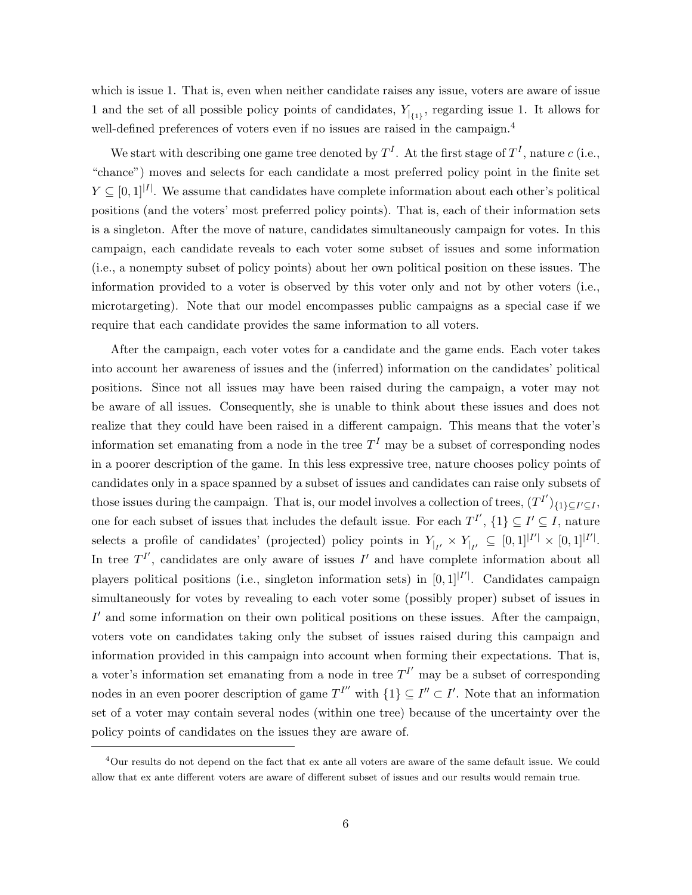which is issue 1. That is, even when neither candidate raises any issue, voters are aware of issue 1 and the set of all possible policy points of candidates,  $Y_{\vert {\{1\}}}\rangle$ , regarding issue 1. It allows for well-defined preferences of voters even if no issues are raised in the campaign.<sup>4</sup>

We start with describing one game tree denoted by  $T<sup>I</sup>$ . At the first stage of  $T<sup>I</sup>$ , nature c (i.e., "chance") moves and selects for each candidate a most preferred policy point in the finite set  $Y \subseteq [0,1]^{|I|}$ . We assume that candidates have complete information about each other's political positions (and the voters' most preferred policy points). That is, each of their information sets is a singleton. After the move of nature, candidates simultaneously campaign for votes. In this campaign, each candidate reveals to each voter some subset of issues and some information (i.e., a nonempty subset of policy points) about her own political position on these issues. The information provided to a voter is observed by this voter only and not by other voters (i.e., microtargeting). Note that our model encompasses public campaigns as a special case if we require that each candidate provides the same information to all voters.

After the campaign, each voter votes for a candidate and the game ends. Each voter takes into account her awareness of issues and the (inferred) information on the candidates' political positions. Since not all issues may have been raised during the campaign, a voter may not be aware of all issues. Consequently, she is unable to think about these issues and does not realize that they could have been raised in a different campaign. This means that the voter's information set emanating from a node in the tree  $T<sup>I</sup>$  may be a subset of corresponding nodes in a poorer description of the game. In this less expressive tree, nature chooses policy points of candidates only in a space spanned by a subset of issues and candidates can raise only subsets of those issues during the campaign. That is, our model involves a collection of trees,  $(T^{I'})_{\{1\} \subseteq I' \subseteq I}$ , one for each subset of issues that includes the default issue. For each  $T^{I'}$ ,  $\{1\} \subseteq I' \subseteq I$ , nature selects a profile of candidates' (projected) policy points in  $Y_{|_{I'}} \times Y_{|_{I'}} \subseteq [0,1]^{|I'|} \times [0,1]^{|I'|}$ . In tree  $T^{I'}$ , candidates are only aware of issues  $I'$  and have complete information about all players political positions (i.e., singleton information sets) in  $[0,1]^{|I'|}$ . Candidates campaign simultaneously for votes by revealing to each voter some (possibly proper) subset of issues in  $I'$  and some information on their own political positions on these issues. After the campaign, voters vote on candidates taking only the subset of issues raised during this campaign and information provided in this campaign into account when forming their expectations. That is, a voter's information set emanating from a node in tree  $T^{I'}$  may be a subset of corresponding nodes in an even poorer description of game  $T^{I''}$  with  $\{1\} \subseteq I'' \subset I'$ . Note that an information set of a voter may contain several nodes (within one tree) because of the uncertainty over the policy points of candidates on the issues they are aware of.

<sup>4</sup>Our results do not depend on the fact that ex ante all voters are aware of the same default issue. We could allow that ex ante different voters are aware of different subset of issues and our results would remain true.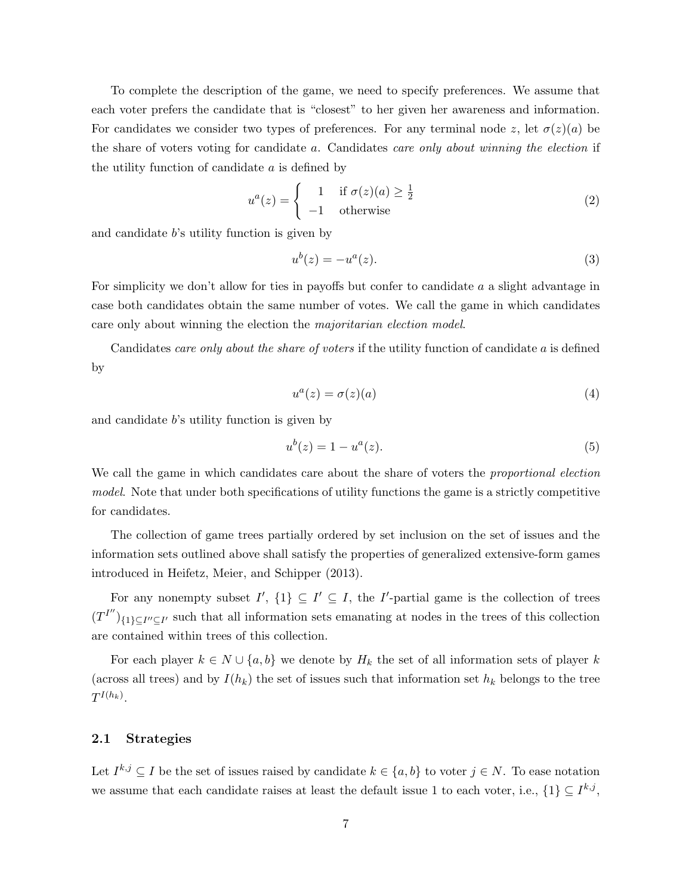To complete the description of the game, we need to specify preferences. We assume that each voter prefers the candidate that is "closest" to her given her awareness and information. For candidates we consider two types of preferences. For any terminal node z, let  $\sigma(z)(a)$  be the share of voters voting for candidate a. Candidates *care only about winning the election* if the utility function of candidate  $a$  is defined by

$$
u^{a}(z) = \begin{cases} 1 & \text{if } \sigma(z)(a) \ge \frac{1}{2} \\ -1 & \text{otherwise} \end{cases}
$$
 (2)

and candidate b's utility function is given by

$$
u^b(z) = -u^a(z). \tag{3}
$$

For simplicity we don't allow for ties in payoffs but confer to candidate  $a$  a slight advantage in case both candidates obtain the same number of votes. We call the game in which candidates care only about winning the election the majoritarian election model.

Candidates care only about the share of voters if the utility function of candidate a is defined by

$$
u^a(z) = \sigma(z)(a) \tag{4}
$$

and candidate b's utility function is given by

$$
u^{b}(z) = 1 - u^{a}(z).
$$
 (5)

We call the game in which candidates care about the share of voters the *proportional election* model. Note that under both specifications of utility functions the game is a strictly competitive for candidates.

The collection of game trees partially ordered by set inclusion on the set of issues and the information sets outlined above shall satisfy the properties of generalized extensive-form games introduced in Heifetz, Meier, and Schipper (2013).

For any nonempty subset  $I'$ ,  $\{1\} \subseteq I' \subseteq I$ , the I'-partial game is the collection of trees  $(T^{I''})_{\{1\} \subseteq I'' \subseteq I'}$  such that all information sets emanating at nodes in the trees of this collection are contained within trees of this collection.

For each player  $k \in N \cup \{a, b\}$  we denote by  $H_k$  the set of all information sets of player k (across all trees) and by  $I(h_k)$  the set of issues such that information set  $h_k$  belongs to the tree  $T^{I(h_k)}.$ 

#### 2.1 Strategies

Let  $I^{k,j} \subseteq I$  be the set of issues raised by candidate  $k \in \{a,b\}$  to voter  $j \in N$ . To ease notation we assume that each candidate raises at least the default issue 1 to each voter, i.e.,  $\{1\} \subseteq I^{k,j}$ ,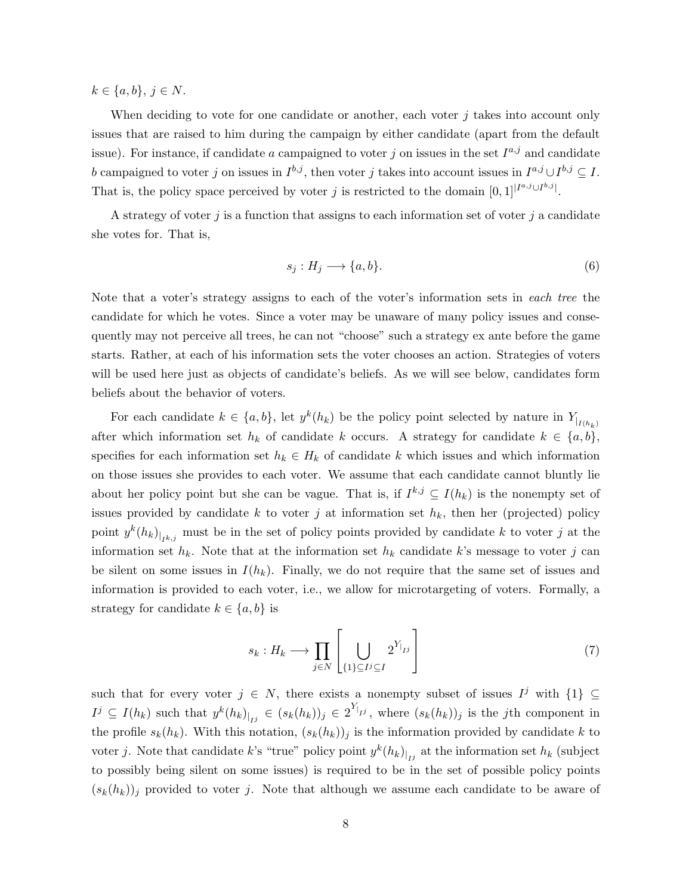$k \in \{a, b\}, \, j \in N.$ 

When deciding to vote for one candidate or another, each voter  $j$  takes into account only issues that are raised to him during the campaign by either candidate (apart from the default issue). For instance, if candidate a campaigned to voter j on issues in the set  $I^{a,j}$  and candidate b campaigned to voter j on issues in  $I^{b,j}$ , then voter j takes into account issues in  $I^{a,j} \cup I^{b,j} \subseteq I$ . That is, the policy space perceived by voter j is restricted to the domain  $[0,1]^{[I^{a,j}\cup I^{b,j}]}$ .

A strategy of voter  $j$  is a function that assigns to each information set of voter  $j$  a candidate she votes for. That is,

$$
s_j: H_j \longrightarrow \{a, b\}.\tag{6}
$$

Note that a voter's strategy assigns to each of the voter's information sets in each tree the candidate for which he votes. Since a voter may be unaware of many policy issues and consequently may not perceive all trees, he can not "choose" such a strategy ex ante before the game starts. Rather, at each of his information sets the voter chooses an action. Strategies of voters will be used here just as objects of candidate's beliefs. As we will see below, candidates form beliefs about the behavior of voters.

For each candidate  $k \in \{a, b\}$ , let  $y^k(h_k)$  be the policy point selected by nature in  $Y_{|_{I(h_k)}}$ after which information set  $h_k$  of candidate k occurs. A strategy for candidate  $k \in \{a, b\}$ , specifies for each information set  $h_k \in H_k$  of candidate k which issues and which information on those issues she provides to each voter. We assume that each candidate cannot bluntly lie about her policy point but she can be vague. That is, if  $I^{k,j} \subseteq I(h_k)$  is the nonempty set of issues provided by candidate k to voter j at information set  $h_k$ , then her (projected) policy point  $y^k(h_k)_{|_{I^k,j}}$  must be in the set of policy points provided by candidate k to voter j at the information set  $h_k$ . Note that at the information set  $h_k$  candidate k's message to voter j can be silent on some issues in  $I(h_k)$ . Finally, we do not require that the same set of issues and information is provided to each voter, i.e., we allow for microtargeting of voters. Formally, a strategy for candidate  $k \in \{a, b\}$  is

$$
s_k: H_k \longrightarrow \prod_{j \in N} \left[ \bigcup_{\{1\} \subseteq I^j \subseteq I} 2^{Y_{|_{I^j}}} \right] \tag{7}
$$

such that for every voter  $j \in N$ , there exists a nonempty subset of issues  $I^j$  with  $\{1\} \subseteq$  $I^j \subseteq I(h_k)$  such that  $y^k(h_k)|_{I^j} \in (s_k(h_k))_j \in 2^{Y_{I^j}}$ , where  $(s_k(h_k))_j$  is the jth component in the profile  $s_k(h_k)$ . With this notation,  $(s_k(h_k))_j$  is the information provided by candidate k to voter *j*. Note that candidate *k*'s "true" policy point  $y^k(h_k)_{|_{I_j}}$  at the information set  $h_k$  (subject to possibly being silent on some issues) is required to be in the set of possible policy points  $(s_k(h_k))_j$  provided to voter j. Note that although we assume each candidate to be aware of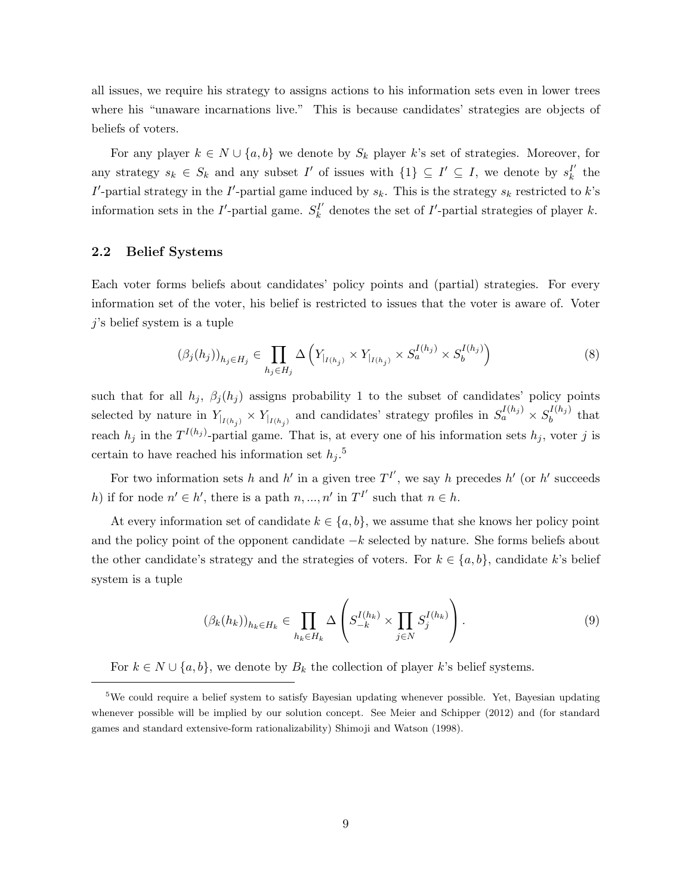all issues, we require his strategy to assigns actions to his information sets even in lower trees where his "unaware incarnations live." This is because candidates' strategies are objects of beliefs of voters.

For any player  $k \in N \cup \{a, b\}$  we denote by  $S_k$  player k's set of strategies. Moreover, for any strategy  $s_k \in S_k$  and any subset I' of issues with  $\{1\} \subseteq I' \subseteq I$ , we denote by  $s_k^{I'}$  $\frac{I'}{k}$  the I'-partial strategy in the I'-partial game induced by  $s_k$ . This is the strategy  $s_k$  restricted to k's information sets in the I'-partial game.  $S_k^{I'}$  $k<sup>I'</sup>$  denotes the set of I'-partial strategies of player k.

### 2.2 Belief Systems

Each voter forms beliefs about candidates' policy points and (partial) strategies. For every information set of the voter, his belief is restricted to issues that the voter is aware of. Voter j's belief system is a tuple

$$
(\beta_j(h_j))_{h_j \in H_j} \in \prod_{h_j \in H_j} \Delta\left(Y_{|I(h_j)} \times Y_{|I(h_j)} \times S_a^{I(h_j)} \times S_b^{I(h_j)}\right) \tag{8}
$$

such that for all  $h_j$ ,  $\beta_j(h_j)$  assigns probability 1 to the subset of candidates' policy points selected by nature in  $Y_{|I(h_j)} \times Y_{|I(h_j)}$  and candidates' strategy profiles in  $S_a^{I(h_j)} \times S_b^{I(h_j)}$  $b^{I(h_j)}$  that reach  $h_j$  in the  $T^{I(h_j)}$ -partial game. That is, at every one of his information sets  $h_j$ , voter j is certain to have reached his information set  $h_j$ .<sup>5</sup>

For two information sets h and h' in a given tree  $T^{I'}$ , we say h precedes h' (or h' succeeds h) if for node  $n' \in h'$ , there is a path  $n, ..., n'$  in  $T^{I'}$  such that  $n \in h$ .

At every information set of candidate  $k \in \{a, b\}$ , we assume that she knows her policy point and the policy point of the opponent candidate  $-k$  selected by nature. She forms beliefs about the other candidate's strategy and the strategies of voters. For  $k \in \{a, b\}$ , candidate k's belief system is a tuple

$$
(\beta_k(h_k))_{h_k \in H_k} \in \prod_{h_k \in H_k} \Delta \left( S_{-k}^{I(h_k)} \times \prod_{j \in N} S_j^{I(h_k)} \right). \tag{9}
$$

For  $k \in N \cup \{a, b\}$ , we denote by  $B_k$  the collection of player k's belief systems.

<sup>&</sup>lt;sup>5</sup>We could require a belief system to satisfy Bayesian updating whenever possible. Yet, Bayesian updating whenever possible will be implied by our solution concept. See Meier and Schipper (2012) and (for standard games and standard extensive-form rationalizability) Shimoji and Watson (1998).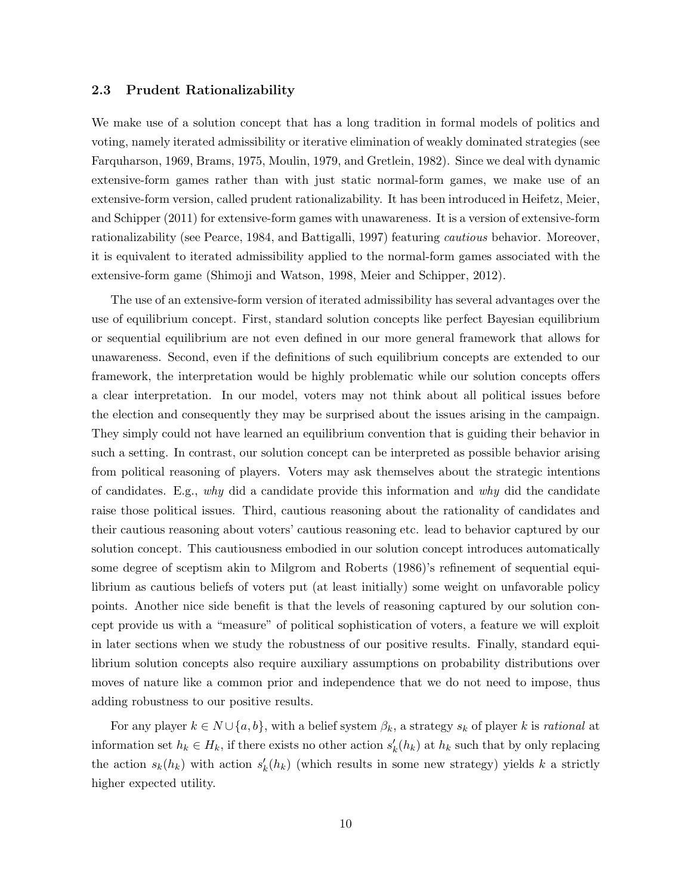#### 2.3 Prudent Rationalizability

We make use of a solution concept that has a long tradition in formal models of politics and voting, namely iterated admissibility or iterative elimination of weakly dominated strategies (see Farquharson, 1969, Brams, 1975, Moulin, 1979, and Gretlein, 1982). Since we deal with dynamic extensive-form games rather than with just static normal-form games, we make use of an extensive-form version, called prudent rationalizability. It has been introduced in Heifetz, Meier, and Schipper (2011) for extensive-form games with unawareness. It is a version of extensive-form rationalizability (see Pearce, 1984, and Battigalli, 1997) featuring cautious behavior. Moreover, it is equivalent to iterated admissibility applied to the normal-form games associated with the extensive-form game (Shimoji and Watson, 1998, Meier and Schipper, 2012).

The use of an extensive-form version of iterated admissibility has several advantages over the use of equilibrium concept. First, standard solution concepts like perfect Bayesian equilibrium or sequential equilibrium are not even defined in our more general framework that allows for unawareness. Second, even if the definitions of such equilibrium concepts are extended to our framework, the interpretation would be highly problematic while our solution concepts offers a clear interpretation. In our model, voters may not think about all political issues before the election and consequently they may be surprised about the issues arising in the campaign. They simply could not have learned an equilibrium convention that is guiding their behavior in such a setting. In contrast, our solution concept can be interpreted as possible behavior arising from political reasoning of players. Voters may ask themselves about the strategic intentions of candidates. E.g., why did a candidate provide this information and why did the candidate raise those political issues. Third, cautious reasoning about the rationality of candidates and their cautious reasoning about voters' cautious reasoning etc. lead to behavior captured by our solution concept. This cautiousness embodied in our solution concept introduces automatically some degree of sceptism akin to Milgrom and Roberts (1986)'s refinement of sequential equilibrium as cautious beliefs of voters put (at least initially) some weight on unfavorable policy points. Another nice side benefit is that the levels of reasoning captured by our solution concept provide us with a "measure" of political sophistication of voters, a feature we will exploit in later sections when we study the robustness of our positive results. Finally, standard equilibrium solution concepts also require auxiliary assumptions on probability distributions over moves of nature like a common prior and independence that we do not need to impose, thus adding robustness to our positive results.

For any player  $k \in N \cup \{a, b\}$ , with a belief system  $\beta_k$ , a strategy  $s_k$  of player k is *rational* at information set  $h_k \in H_k$ , if there exists no other action  $s'_k(h_k)$  at  $h_k$  such that by only replacing the action  $s_k(h_k)$  with action  $s'_k(h_k)$  (which results in some new strategy) yields k a strictly higher expected utility.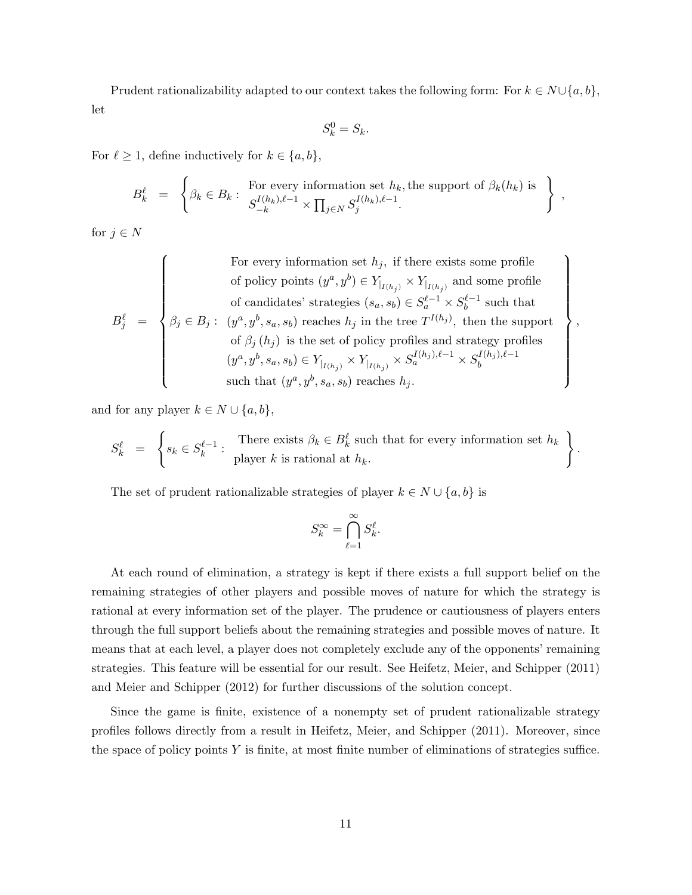Prudent rationalizability adapted to our context takes the following form: For  $k \in N \cup \{a, b\}$ , let

$$
S_k^0 = S_k.
$$

For  $\ell \geq 1$ , define inductively for  $k \in \{a, b\}$ ,

$$
B_k^{\ell} = \left\{ \beta_k \in B_k : \begin{array}{l} \text{For every information set } h_k \text{, the support of } \beta_k(h_k) \text{ is} \\ S_{-k}^{I(h_k), \ell-1} \times \prod_{j \in N} S_j^{I(h_k), \ell-1} . \end{array} \right\}
$$

,

,

.

for  $j \in N$ 

For every information set 
$$
h_j
$$
, if there exists some profile of policy points  $(y^a, y^b) \in Y_{|I(h_j)} \times Y_{|I(h_j)}$  and some profile of candidates' strategies  $(s_a, s_b) \in S_a^{\ell-1} \times S_b^{\ell-1}$  such that  $B_j^{\ell} = \begin{cases} \beta_j \in B_j : (y^a, y^b, s_a, s_b) \text{ reaches } h_j \text{ in the tree } T^{I(h_j)}, \text{ then the support of } \beta_j(h_j) \text{ is the set of policy profiles and strategy profiles} \\ (y^a, y^b, s_a, s_b) \in Y_{|I(h_j)} \times Y_{|I(h_j)} \times S_a^{I(h_j), \ell-1} \times S_b^{I(h_j), \ell-1} \\ \text{such that } (y^a, y^b, s_a, s_b) \text{ reaches } h_j. \end{cases}$ 

and for any player  $k \in N \cup \{a,b\},$ 

$$
S_k^{\ell} = \left\{ s_k \in S_k^{\ell-1} : \begin{array}{c} \text{There exists } \beta_k \in B_k^{\ell} \text{ such that for every information set } h_k \\ \text{player } k \text{ is rational at } h_k. \end{array} \right\}
$$

The set of prudent rationalizable strategies of player  $k \in N \cup \{a, b\}$  is

$$
S_k^{\infty} = \bigcap_{\ell=1}^{\infty} S_k^{\ell}.
$$

At each round of elimination, a strategy is kept if there exists a full support belief on the remaining strategies of other players and possible moves of nature for which the strategy is rational at every information set of the player. The prudence or cautiousness of players enters through the full support beliefs about the remaining strategies and possible moves of nature. It means that at each level, a player does not completely exclude any of the opponents' remaining strategies. This feature will be essential for our result. See Heifetz, Meier, and Schipper (2011) and Meier and Schipper (2012) for further discussions of the solution concept.

Since the game is finite, existence of a nonempty set of prudent rationalizable strategy profiles follows directly from a result in Heifetz, Meier, and Schipper (2011). Moreover, since the space of policy points  $Y$  is finite, at most finite number of eliminations of strategies suffice.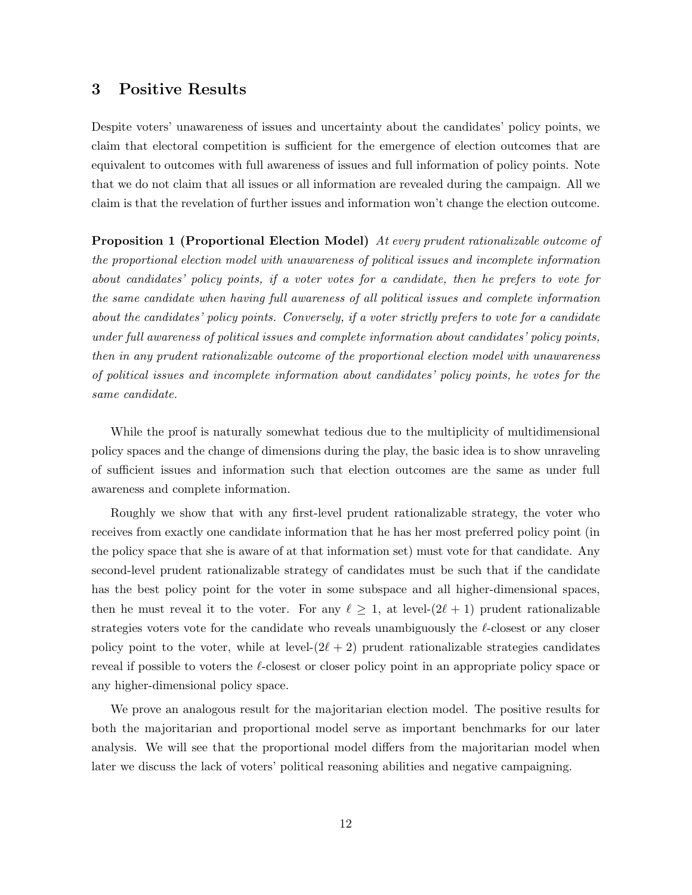### 3 Positive Results

Despite voters' unawareness of issues and uncertainty about the candidates' policy points, we claim that electoral competition is sufficient for the emergence of election outcomes that are equivalent to outcomes with full awareness of issues and full information of policy points. Note that we do not claim that all issues or all information are revealed during the campaign. All we claim is that the revelation of further issues and information won't change the election outcome.

Proposition 1 (Proportional Election Model) At every prudent rationalizable outcome of the proportional election model with unawareness of political issues and incomplete information about candidates' policy points, if a voter votes for a candidate, then he prefers to vote for the same candidate when having full awareness of all political issues and complete information about the candidates' policy points. Conversely, if a voter strictly prefers to vote for a candidate under full awareness of political issues and complete information about candidates' policy points, then in any prudent rationalizable outcome of the proportional election model with unawareness of political issues and incomplete information about candidates' policy points, he votes for the same candidate.

While the proof is naturally somewhat tedious due to the multiplicity of multidimensional policy spaces and the change of dimensions during the play, the basic idea is to show unraveling of sufficient issues and information such that election outcomes are the same as under full awareness and complete information.

Roughly we show that with any first-level prudent rationalizable strategy, the voter who receives from exactly one candidate information that he has her most preferred policy point (in the policy space that she is aware of at that information set) must vote for that candidate. Any second-level prudent rationalizable strategy of candidates must be such that if the candidate has the best policy point for the voter in some subspace and all higher-dimensional spaces, then he must reveal it to the voter. For any  $\ell \geq 1$ , at level- $(2\ell + 1)$  prudent rationalizable strategies voters vote for the candidate who reveals unambiguously the  $\ell$ -closest or any closer policy point to the voter, while at level- $(2\ell + 2)$  prudent rationalizable strategies candidates reveal if possible to voters the  $\ell$ -closest or closer policy point in an appropriate policy space or any higher-dimensional policy space.

We prove an analogous result for the majoritarian election model. The positive results for both the majoritarian and proportional model serve as important benchmarks for our later analysis. We will see that the proportional model differs from the majoritarian model when later we discuss the lack of voters' political reasoning abilities and negative campaigning.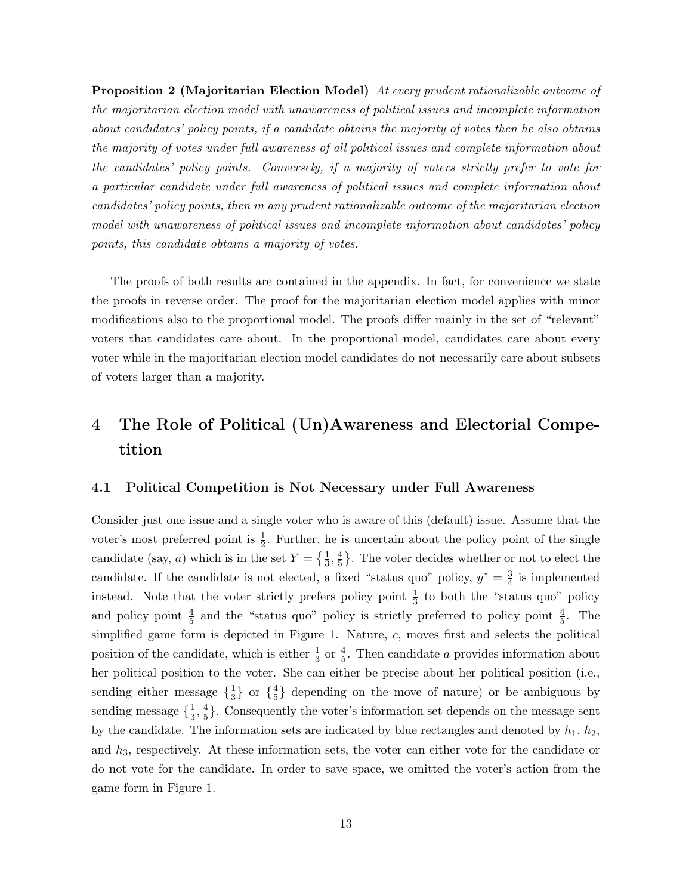**Proposition 2 (Majoritarian Election Model)** At every prudent rationalizable outcome of the majoritarian election model with unawareness of political issues and incomplete information about candidates' policy points, if a candidate obtains the majority of votes then he also obtains the majority of votes under full awareness of all political issues and complete information about the candidates' policy points. Conversely, if a majority of voters strictly prefer to vote for a particular candidate under full awareness of political issues and complete information about candidates' policy points, then in any prudent rationalizable outcome of the majoritarian election model with unawareness of political issues and incomplete information about candidates' policy points, this candidate obtains a majority of votes.

The proofs of both results are contained in the appendix. In fact, for convenience we state the proofs in reverse order. The proof for the majoritarian election model applies with minor modifications also to the proportional model. The proofs differ mainly in the set of "relevant" voters that candidates care about. In the proportional model, candidates care about every voter while in the majoritarian election model candidates do not necessarily care about subsets of voters larger than a majority.

# 4 The Role of Political (Un)Awareness and Electorial Competition

#### 4.1 Political Competition is Not Necessary under Full Awareness

Consider just one issue and a single voter who is aware of this (default) issue. Assume that the voter's most preferred point is  $\frac{1}{2}$ . Further, he is uncertain about the policy point of the single candidate (say, a) which is in the set  $Y = \left\{\frac{1}{3}, \frac{4}{5}\right\}$  $\frac{4}{5}$ . The voter decides whether or not to elect the candidate. If the candidate is not elected, a fixed "status quo" policy,  $y^* = \frac{3}{4}$  $\frac{3}{4}$  is implemented instead. Note that the voter strictly prefers policy point  $\frac{1}{3}$  to both the "status quo" policy and policy point  $\frac{4}{5}$  and the "status quo" policy is strictly preferred to policy point  $\frac{4}{5}$ . The simplified game form is depicted in Figure 1. Nature, c, moves first and selects the political position of the candidate, which is either  $\frac{1}{3}$  or  $\frac{4}{5}$ . Then candidate a provides information about her political position to the voter. She can either be precise about her political position (i.e., sending either message  $\{\frac{1}{3}\}$  $\frac{1}{3}$  or  $\{\frac{4}{5}$  $\frac{4}{5}$  depending on the move of nature) or be ambiguous by sending message  $\{\frac{1}{3}\}$  $\frac{1}{3}, \frac{4}{5}$  $\frac{4}{5}$ . Consequently the voter's information set depends on the message sent by the candidate. The information sets are indicated by blue rectangles and denoted by  $h_1$ ,  $h_2$ , and  $h_3$ , respectively. At these information sets, the voter can either vote for the candidate or do not vote for the candidate. In order to save space, we omitted the voter's action from the game form in Figure 1.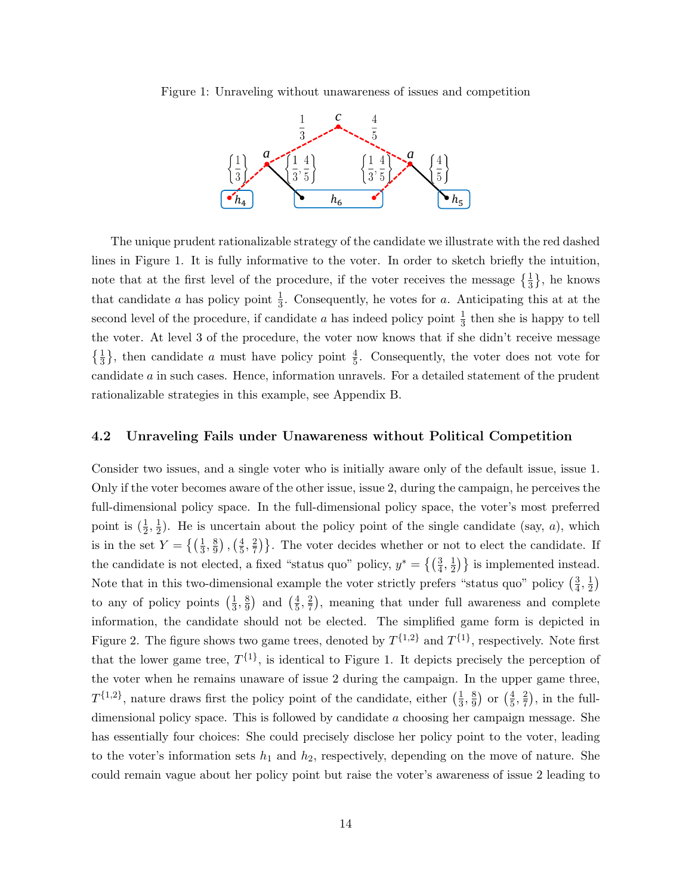



The unique prudent rationalizable strategy of the candidate we illustrate with the red dashed lines in Figure 1. It is fully informative to the voter. In order to sketch briefly the intuition, note that at the first level of the procedure, if the voter receives the message  $\{\frac{1}{3}\}\$ , he knows that candidate a has policy point  $\frac{1}{3}$ . Consequently, he votes for a. Anticipating this at at the second level of the procedure, if candidate a has indeed policy point  $\frac{1}{3}$  then she is happy to tell the voter. At level 3 of the procedure, the voter now knows that if she didn't receive message  $\{\frac{1}{3}\}\$ , then candidate a must have policy point  $\frac{4}{5}$ . Consequently, the voter does not vote for candidate a in such cases. Hence, information unravels. For a detailed statement of the prudent rationalizable strategies in this example, see Appendix B.

### 4.2 Unraveling Fails under Unawareness without Political Competition

Consider two issues, and a single voter who is initially aware only of the default issue, issue 1. Only if the voter becomes aware of the other issue, issue 2, during the campaign, he perceives the full-dimensional policy space. In the full-dimensional policy space, the voter's most preferred point is  $(\frac{1}{2}, \frac{1}{2})$  $\frac{1}{2}$ ). He is uncertain about the policy point of the single candidate (say, a), which is in the set  $Y = \left\{ \left( \frac{1}{3}, \frac{8}{9} \right) \right\}$  $(\frac{8}{9})$ ,  $(\frac{4}{5})$  $\frac{4}{5}, \frac{2}{7}$  $\left(\frac{2}{7}\right)$ . The voter decides whether or not to elect the candidate. If the candidate is not elected, a fixed "status quo" policy,  $y^* = \left\{ \left( \frac{3}{4}, \frac{1}{2} \right)$  $(\frac{1}{2})$  is implemented instead. Note that in this two-dimensional example the voter strictly prefers "status quo" policy  $\left(\frac{3}{4}\right)$  $\frac{3}{4}, \frac{1}{2}$  $\frac{1}{2}$ to any of policy points  $\left(\frac{1}{3}\right)$  $\frac{1}{3}, \frac{8}{9}$  $\left(\frac{8}{9}\right)$  and  $\left(\frac{4}{5}\right)$  $\frac{4}{5}, \frac{2}{7}$  $(\frac{2}{7})$ , meaning that under full awareness and complete information, the candidate should not be elected. The simplified game form is depicted in Figure 2. The figure shows two game trees, denoted by  $T^{\{1,2\}}$  and  $T^{\{1\}}$ , respectively. Note first that the lower game tree,  $T^{\{1\}}$ , is identical to Figure 1. It depicts precisely the perception of the voter when he remains unaware of issue 2 during the campaign. In the upper game three,  $T^{\{1,2\}}$ , nature draws first the policy point of the candidate, either  $\left(\frac{1}{3}\right)$  $\frac{1}{3}, \frac{8}{9}$  $\frac{8}{9}$  or  $\left(\frac{4}{5}\right)$  $\frac{4}{5}, \frac{2}{7}$  $(\frac{2}{7})$ , in the fulldimensional policy space. This is followed by candidate a choosing her campaign message. She has essentially four choices: She could precisely disclose her policy point to the voter, leading to the voter's information sets  $h_1$  and  $h_2$ , respectively, depending on the move of nature. She could remain vague about her policy point but raise the voter's awareness of issue 2 leading to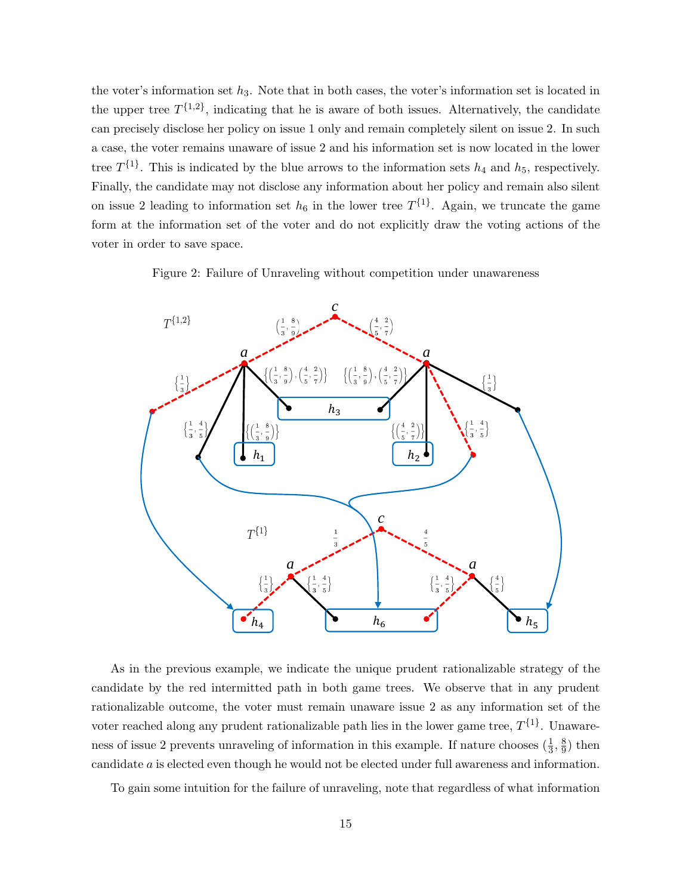the voter's information set  $h_3$ . Note that in both cases, the voter's information set is located in the upper tree  $T^{\{1,2\}}$ , indicating that he is aware of both issues. Alternatively, the candidate can precisely disclose her policy on issue 1 only and remain completely silent on issue 2. In such a case, the voter remains unaware of issue 2 and his information set is now located in the lower tree  $T^{\{1\}}$ . This is indicated by the blue arrows to the information sets  $h_4$  and  $h_5$ , respectively. Finally, the candidate may not disclose any information about her policy and remain also silent on issue 2 leading to information set  $h_6$  in the lower tree  $T^{\{1\}}$ . Again, we truncate the game form at the information set of the voter and do not explicitly draw the voting actions of the voter in order to save space.

#### Figure 2: Failure of Unraveling without competition under unawareness



As in the previous example, we indicate the unique prudent rationalizable strategy of the candidate by the red intermitted path in both game trees. We observe that in any prudent rationalizable outcome, the voter must remain unaware issue 2 as any information set of the voter reached along any prudent rationalizable path lies in the lower game tree,  $T^{\{1\}}$ . Unawareness of issue 2 prevents unraveling of information in this example. If nature chooses  $(\frac{1}{3}, \frac{8}{9})$  $\frac{8}{9}$ ) then candidate a is elected even though he would not be elected under full awareness and information.

To gain some intuition for the failure of unraveling, note that regardless of what information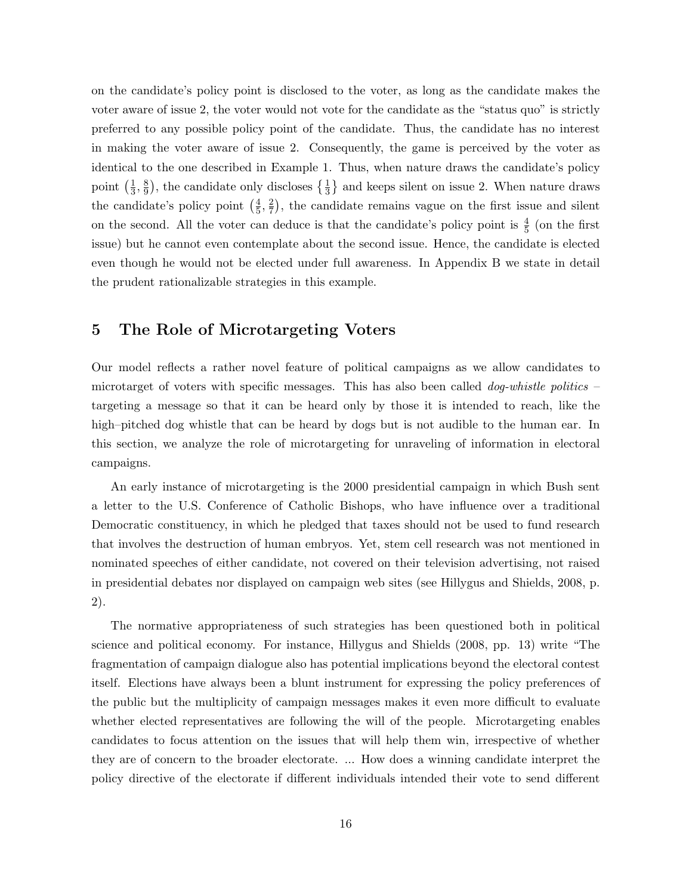on the candidate's policy point is disclosed to the voter, as long as the candidate makes the voter aware of issue 2, the voter would not vote for the candidate as the "status quo" is strictly preferred to any possible policy point of the candidate. Thus, the candidate has no interest in making the voter aware of issue 2. Consequently, the game is perceived by the voter as identical to the one described in Example 1. Thus, when nature draws the candidate's policy point  $\left(\frac{1}{3}\right)$  $\frac{1}{3}, \frac{8}{9}$  $\frac{8}{9}$ , the candidate only discloses  $\{\frac{1}{3}\}\$  and keeps silent on issue 2. When nature draws the candidate's policy point  $\left(\frac{4}{5}\right)$  $\frac{4}{5}, \frac{2}{7}$  $\frac{2}{7}$ , the candidate remains vague on the first issue and silent on the second. All the voter can deduce is that the candidate's policy point is  $\frac{4}{5}$  (on the first issue) but he cannot even contemplate about the second issue. Hence, the candidate is elected even though he would not be elected under full awareness. In Appendix B we state in detail the prudent rationalizable strategies in this example.

### 5 The Role of Microtargeting Voters

Our model reflects a rather novel feature of political campaigns as we allow candidates to microtarget of voters with specific messages. This has also been called  $\log$ -whistle politics – targeting a message so that it can be heard only by those it is intended to reach, like the high–pitched dog whistle that can be heard by dogs but is not audible to the human ear. In this section, we analyze the role of microtargeting for unraveling of information in electoral campaigns.

An early instance of microtargeting is the 2000 presidential campaign in which Bush sent a letter to the U.S. Conference of Catholic Bishops, who have influence over a traditional Democratic constituency, in which he pledged that taxes should not be used to fund research that involves the destruction of human embryos. Yet, stem cell research was not mentioned in nominated speeches of either candidate, not covered on their television advertising, not raised in presidential debates nor displayed on campaign web sites (see Hillygus and Shields, 2008, p. 2).

The normative appropriateness of such strategies has been questioned both in political science and political economy. For instance, Hillygus and Shields (2008, pp. 13) write "The fragmentation of campaign dialogue also has potential implications beyond the electoral contest itself. Elections have always been a blunt instrument for expressing the policy preferences of the public but the multiplicity of campaign messages makes it even more difficult to evaluate whether elected representatives are following the will of the people. Microtargeting enables candidates to focus attention on the issues that will help them win, irrespective of whether they are of concern to the broader electorate. ... How does a winning candidate interpret the policy directive of the electorate if different individuals intended their vote to send different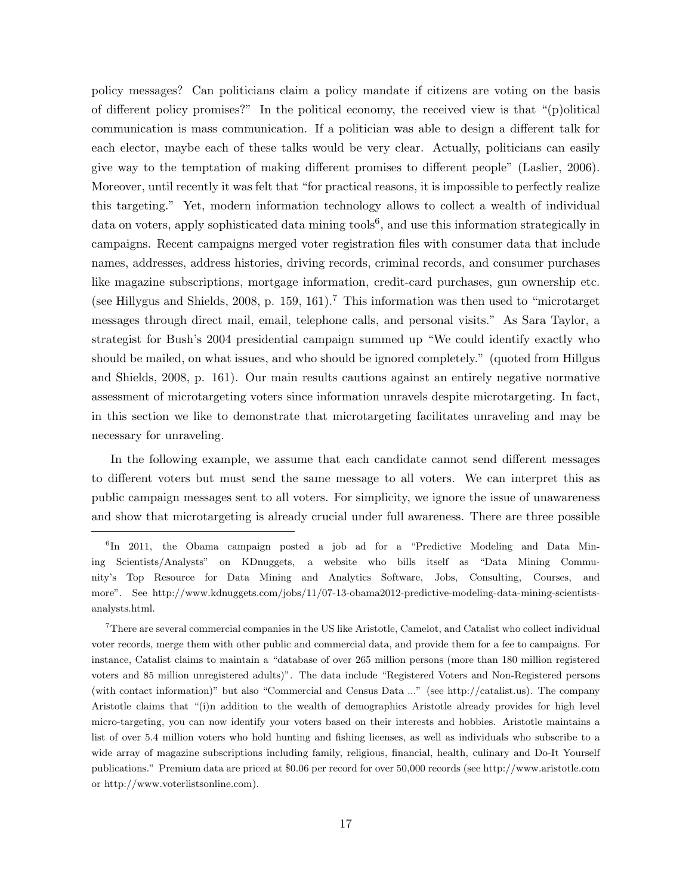policy messages? Can politicians claim a policy mandate if citizens are voting on the basis of different policy promises?" In the political economy, the received view is that "(p)olitical communication is mass communication. If a politician was able to design a different talk for each elector, maybe each of these talks would be very clear. Actually, politicians can easily give way to the temptation of making different promises to different people" (Laslier, 2006). Moreover, until recently it was felt that "for practical reasons, it is impossible to perfectly realize this targeting." Yet, modern information technology allows to collect a wealth of individual data on voters, apply sophisticated data mining tools<sup>6</sup>, and use this information strategically in campaigns. Recent campaigns merged voter registration files with consumer data that include names, addresses, address histories, driving records, criminal records, and consumer purchases like magazine subscriptions, mortgage information, credit-card purchases, gun ownership etc. (see Hillygus and Shields, 2008, p. 159, 161).<sup>7</sup> This information was then used to "microtarget" messages through direct mail, email, telephone calls, and personal visits." As Sara Taylor, a strategist for Bush's 2004 presidential campaign summed up "We could identify exactly who should be mailed, on what issues, and who should be ignored completely." (quoted from Hillgus and Shields, 2008, p. 161). Our main results cautions against an entirely negative normative assessment of microtargeting voters since information unravels despite microtargeting. In fact, in this section we like to demonstrate that microtargeting facilitates unraveling and may be necessary for unraveling.

In the following example, we assume that each candidate cannot send different messages to different voters but must send the same message to all voters. We can interpret this as public campaign messages sent to all voters. For simplicity, we ignore the issue of unawareness and show that microtargeting is already crucial under full awareness. There are three possible

<sup>6</sup> In 2011, the Obama campaign posted a job ad for a "Predictive Modeling and Data Mining Scientists/Analysts" on KDnuggets, a website who bills itself as "Data Mining Community's Top Resource for Data Mining and Analytics Software, Jobs, Consulting, Courses, and more". See http://www.kdnuggets.com/jobs/11/07-13-obama2012-predictive-modeling-data-mining-scientistsanalysts.html.

<sup>7</sup>There are several commercial companies in the US like Aristotle, Camelot, and Catalist who collect individual voter records, merge them with other public and commercial data, and provide them for a fee to campaigns. For instance, Catalist claims to maintain a "database of over 265 million persons (more than 180 million registered voters and 85 million unregistered adults)". The data include "Registered Voters and Non-Registered persons (with contact information)" but also "Commercial and Census Data ..." (see http://catalist.us). The company Aristotle claims that "(i)n addition to the wealth of demographics Aristotle already provides for high level micro-targeting, you can now identify your voters based on their interests and hobbies. Aristotle maintains a list of over 5.4 million voters who hold hunting and fishing licenses, as well as individuals who subscribe to a wide array of magazine subscriptions including family, religious, financial, health, culinary and Do-It Yourself publications." Premium data are priced at \$0.06 per record for over 50,000 records (see http://www.aristotle.com or http://www.voterlistsonline.com).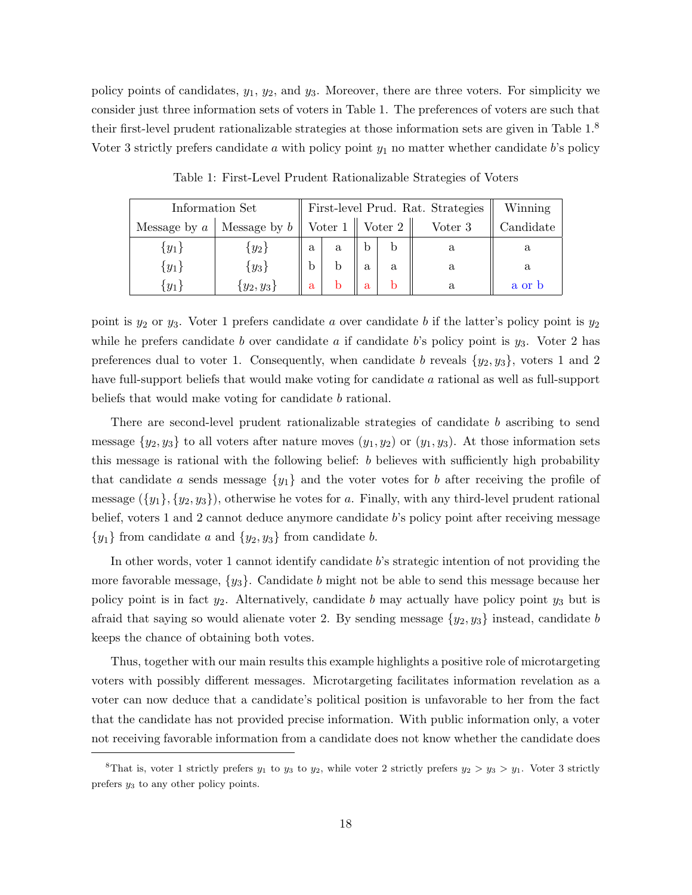policy points of candidates,  $y_1$ ,  $y_2$ , and  $y_3$ . Moreover, there are three voters. For simplicity we consider just three information sets of voters in Table 1. The preferences of voters are such that their first-level prudent rationalizable strategies at those information sets are given in Table 1.<sup>8</sup> Voter 3 strictly prefers candidate a with policy point  $y_1$  no matter whether candidate b's policy

| Information Set |                                    |               | First-level Prud. Rat. Strategies |              |           |   |         | Winning           |
|-----------------|------------------------------------|---------------|-----------------------------------|--------------|-----------|---|---------|-------------------|
|                 | Message by $a \mid$ Message by $b$ |               | Voter $1 \parallel \cdot$         |              | Voter $2$ |   | Voter 3 | $\rm C and idate$ |
|                 | $\{y_1\}$                          | $\{y_2\}$     | a                                 | $\mathbf{a}$ |           |   |         | a                 |
|                 | $\{y_1\}$                          | $\{y_3\}$     |                                   |              | a.        | a | a       | a                 |
|                 | $y_1$                              | $\{y_2,y_3\}$ | $\mathbf{a}$                      |              | a         |   | a.      | a or              |

Table 1: First-Level Prudent Rationalizable Strategies of Voters

point is  $y_2$  or  $y_3$ . Voter 1 prefers candidate a over candidate b if the latter's policy point is  $y_2$ while he prefers candidate b over candidate a if candidate b's policy point is  $y_3$ . Voter 2 has preferences dual to voter 1. Consequently, when candidate b reveals  $\{y_2, y_3\}$ , voters 1 and 2 have full-support beliefs that would make voting for candidate a rational as well as full-support beliefs that would make voting for candidate b rational.

There are second-level prudent rationalizable strategies of candidate b ascribing to send message  $\{y_2, y_3\}$  to all voters after nature moves  $(y_1, y_2)$  or  $(y_1, y_3)$ . At those information sets this message is rational with the following belief: b believes with sufficiently high probability that candidate a sends message  $\{y_1\}$  and the voter votes for b after receiving the profile of message  $({y_1}, {y_2}, y_3)$ , otherwise he votes for a. Finally, with any third-level prudent rational belief, voters 1 and 2 cannot deduce anymore candidate b's policy point after receiving message  ${y_1}$  from candidate a and  ${y_2, y_3}$  from candidate b.

In other words, voter 1 cannot identify candidate b's strategic intention of not providing the more favorable message,  $\{y_3\}$ . Candidate b might not be able to send this message because her policy point is in fact  $y_2$ . Alternatively, candidate b may actually have policy point  $y_3$  but is afraid that saying so would alienate voter 2. By sending message  $\{y_2, y_3\}$  instead, candidate b keeps the chance of obtaining both votes.

Thus, together with our main results this example highlights a positive role of microtargeting voters with possibly different messages. Microtargeting facilitates information revelation as a voter can now deduce that a candidate's political position is unfavorable to her from the fact that the candidate has not provided precise information. With public information only, a voter not receiving favorable information from a candidate does not know whether the candidate does

<sup>&</sup>lt;sup>8</sup>That is, voter 1 strictly prefers  $y_1$  to  $y_3$  to  $y_2$ , while voter 2 strictly prefers  $y_2 > y_3 > y_1$ . Voter 3 strictly prefers y<sup>3</sup> to any other policy points.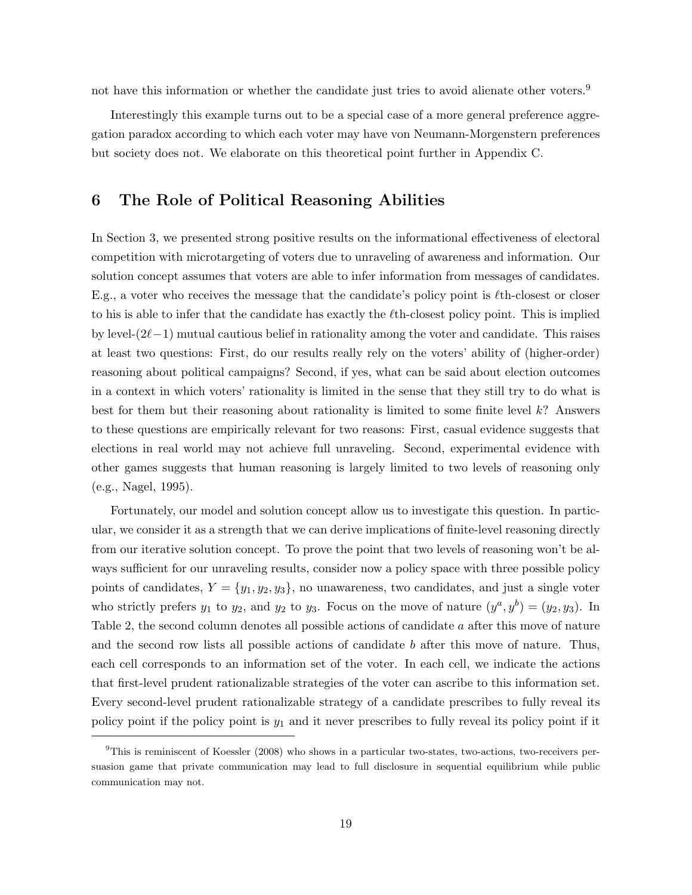not have this information or whether the candidate just tries to avoid alienate other voters.<sup>9</sup>

Interestingly this example turns out to be a special case of a more general preference aggregation paradox according to which each voter may have von Neumann-Morgenstern preferences but society does not. We elaborate on this theoretical point further in Appendix C.

### 6 The Role of Political Reasoning Abilities

In Section 3, we presented strong positive results on the informational effectiveness of electoral competition with microtargeting of voters due to unraveling of awareness and information. Our solution concept assumes that voters are able to infer information from messages of candidates. E.g., a voter who receives the message that the candidate's policy point is  $\ell$ th-closest or closer to his is able to infer that the candidate has exactly the  $\ell$ th-closest policy point. This is implied by level- $(2\ell-1)$  mutual cautious belief in rationality among the voter and candidate. This raises at least two questions: First, do our results really rely on the voters' ability of (higher-order) reasoning about political campaigns? Second, if yes, what can be said about election outcomes in a context in which voters' rationality is limited in the sense that they still try to do what is best for them but their reasoning about rationality is limited to some finite level k? Answers to these questions are empirically relevant for two reasons: First, casual evidence suggests that elections in real world may not achieve full unraveling. Second, experimental evidence with other games suggests that human reasoning is largely limited to two levels of reasoning only (e.g., Nagel, 1995).

Fortunately, our model and solution concept allow us to investigate this question. In particular, we consider it as a strength that we can derive implications of finite-level reasoning directly from our iterative solution concept. To prove the point that two levels of reasoning won't be always sufficient for our unraveling results, consider now a policy space with three possible policy points of candidates,  $Y = \{y_1, y_2, y_3\}$ , no unawareness, two candidates, and just a single voter who strictly prefers  $y_1$  to  $y_2$ , and  $y_2$  to  $y_3$ . Focus on the move of nature  $(y^a, y^b) = (y_2, y_3)$ . In Table 2, the second column denotes all possible actions of candidate a after this move of nature and the second row lists all possible actions of candidate  $b$  after this move of nature. Thus, each cell corresponds to an information set of the voter. In each cell, we indicate the actions that first-level prudent rationalizable strategies of the voter can ascribe to this information set. Every second-level prudent rationalizable strategy of a candidate prescribes to fully reveal its policy point if the policy point is  $y_1$  and it never prescribes to fully reveal its policy point if it

<sup>&</sup>lt;sup>9</sup>This is reminiscent of Koessler (2008) who shows in a particular two-states, two-actions, two-receivers persuasion game that private communication may lead to full disclosure in sequential equilibrium while public communication may not.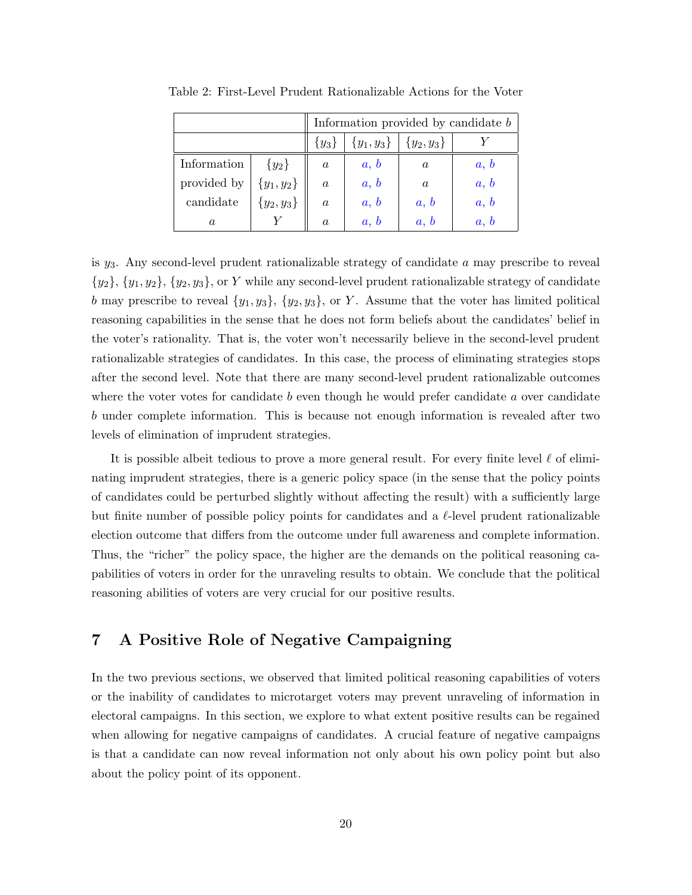|             |              | Information provided by candidate b |                |                  |      |  |  |
|-------------|--------------|-------------------------------------|----------------|------------------|------|--|--|
|             |              | $\{y_3\}$                           | $\{y_1, y_3\}$ | $\{y_2, y_3\}$   |      |  |  |
| Information | $\{y_2\}$    | $\boldsymbol{a}$                    | a, b           | $\boldsymbol{a}$ | a, b |  |  |
| provided by | ${y_1, y_2}$ | $\boldsymbol{a}$                    | a, b           | $\boldsymbol{a}$ | a, b |  |  |
| candidate   | ${y_2, y_3}$ | $\boldsymbol{a}$                    | a, b           | a, b             | a, b |  |  |
| $\it a$     |              | $\boldsymbol{a}$                    | a, b           | a, b             | a, b |  |  |

Table 2: First-Level Prudent Rationalizable Actions for the Voter

is  $y_3$ . Any second-level prudent rationalizable strategy of candidate  $a$  may prescribe to reveal  ${y_2}, {y_1, y_2}, {y_2, y_3},$  or Y while any second-level prudent rationalizable strategy of candidate b may prescribe to reveal  $\{y_1, y_3\}$ ,  $\{y_2, y_3\}$ , or Y. Assume that the voter has limited political reasoning capabilities in the sense that he does not form beliefs about the candidates' belief in the voter's rationality. That is, the voter won't necessarily believe in the second-level prudent rationalizable strategies of candidates. In this case, the process of eliminating strategies stops after the second level. Note that there are many second-level prudent rationalizable outcomes where the voter votes for candidate  $b$  even though he would prefer candidate  $a$  over candidate b under complete information. This is because not enough information is revealed after two levels of elimination of imprudent strategies.

It is possible albeit tedious to prove a more general result. For every finite level  $\ell$  of eliminating imprudent strategies, there is a generic policy space (in the sense that the policy points of candidates could be perturbed slightly without affecting the result) with a sufficiently large but finite number of possible policy points for candidates and a  $\ell$ -level prudent rationalizable election outcome that differs from the outcome under full awareness and complete information. Thus, the "richer" the policy space, the higher are the demands on the political reasoning capabilities of voters in order for the unraveling results to obtain. We conclude that the political reasoning abilities of voters are very crucial for our positive results.

## 7 A Positive Role of Negative Campaigning

In the two previous sections, we observed that limited political reasoning capabilities of voters or the inability of candidates to microtarget voters may prevent unraveling of information in electoral campaigns. In this section, we explore to what extent positive results can be regained when allowing for negative campaigns of candidates. A crucial feature of negative campaigns is that a candidate can now reveal information not only about his own policy point but also about the policy point of its opponent.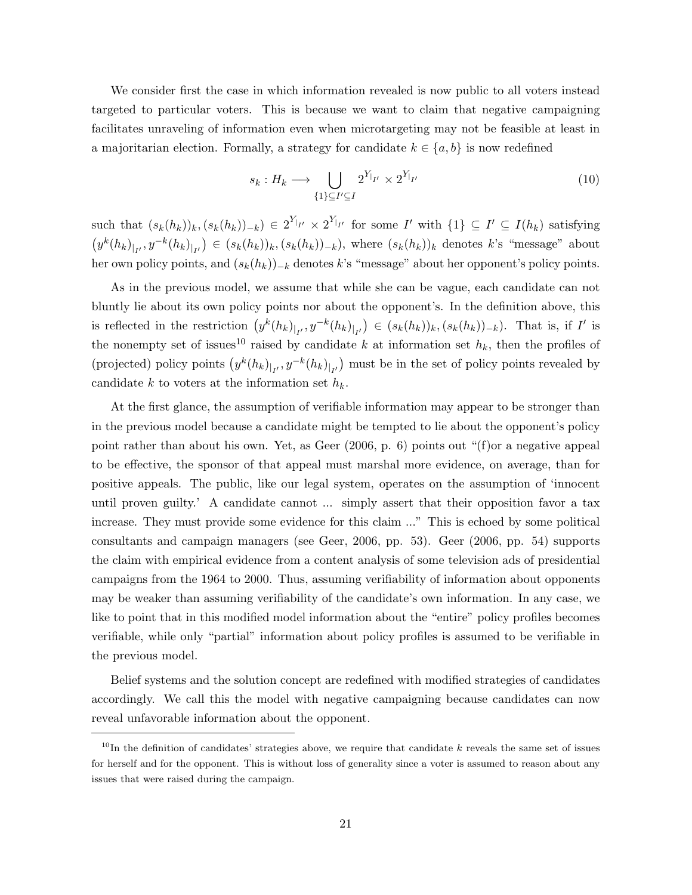We consider first the case in which information revealed is now public to all voters instead targeted to particular voters. This is because we want to claim that negative campaigning facilitates unraveling of information even when microtargeting may not be feasible at least in a majoritarian election. Formally, a strategy for candidate  $k \in \{a, b\}$  is now redefined

$$
s_k: H_k \longrightarrow \bigcup_{\{1\} \subseteq I' \subseteq I} 2^{Y|_{I'}} \times 2^{Y|_{I'}} \tag{10}
$$

such that  $(s_k(h_k))_k$ ,  $(s_k(h_k))_{-k}$   $\in 2^{Y_{l_{I'}}} \times 2^{Y_{l_{I'}}}$  for some I' with  $\{1\} \subseteq I' \subseteq I(h_k)$  satisfying  $(y^k(h_k)_{|I'}, y^{-k}(h_k)_{|I'}) \in (s_k(h_k))_k, (s_k(h_k))_{-k}),$  where  $(s_k(h_k))_k$  denotes k's "message" about her own policy points, and  $(s_k(h_k))_{-k}$  denotes k's "message" about her opponent's policy points.

As in the previous model, we assume that while she can be vague, each candidate can not bluntly lie about its own policy points nor about the opponent's. In the definition above, this is reflected in the restriction  $(y^k(h_k)_{|I'}, y^{-k}(h_k)_{|I'}) \in (s_k(h_k))_k, (s_k(h_k))_{-k})$ . That is, if I' is the nonempty set of issues<sup>10</sup> raised by candidate k at information set  $h_k$ , then the profiles of (projected) policy points  $(y^k(h_k)_{|I}, y^{-k}(h_k)_{|I})$  must be in the set of policy points revealed by candidate k to voters at the information set  $h_k$ .

At the first glance, the assumption of verifiable information may appear to be stronger than in the previous model because a candidate might be tempted to lie about the opponent's policy point rather than about his own. Yet, as Geer (2006, p. 6) points out "(f)or a negative appeal to be effective, the sponsor of that appeal must marshal more evidence, on average, than for positive appeals. The public, like our legal system, operates on the assumption of 'innocent until proven guilty.' A candidate cannot ... simply assert that their opposition favor a tax increase. They must provide some evidence for this claim ..." This is echoed by some political consultants and campaign managers (see Geer, 2006, pp. 53). Geer (2006, pp. 54) supports the claim with empirical evidence from a content analysis of some television ads of presidential campaigns from the 1964 to 2000. Thus, assuming verifiability of information about opponents may be weaker than assuming verifiability of the candidate's own information. In any case, we like to point that in this modified model information about the "entire" policy profiles becomes verifiable, while only "partial" information about policy profiles is assumed to be verifiable in the previous model.

Belief systems and the solution concept are redefined with modified strategies of candidates accordingly. We call this the model with negative campaigning because candidates can now reveal unfavorable information about the opponent.

 $10$ In the definition of candidates' strategies above, we require that candidate k reveals the same set of issues for herself and for the opponent. This is without loss of generality since a voter is assumed to reason about any issues that were raised during the campaign.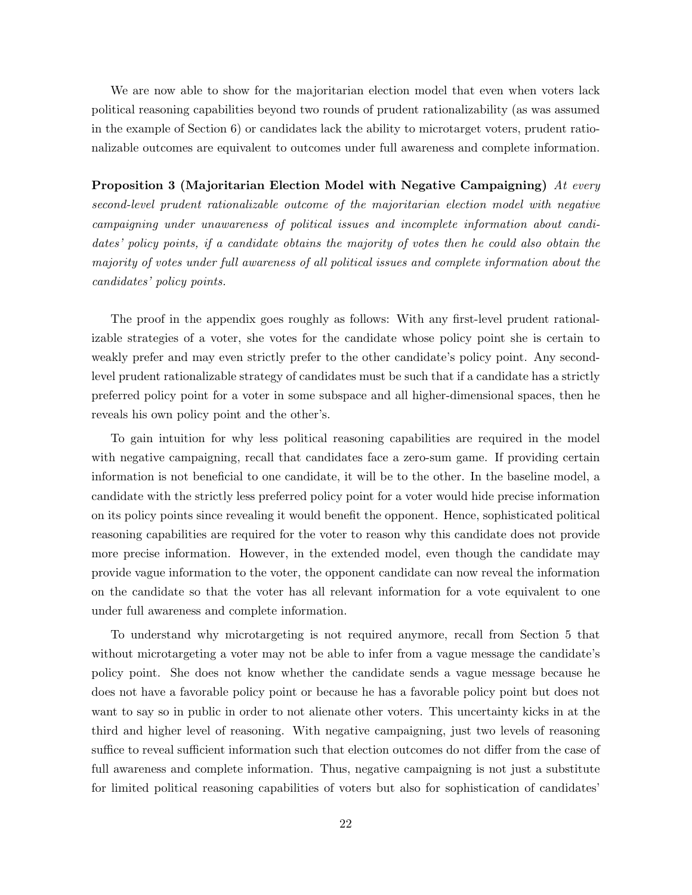We are now able to show for the majoritarian election model that even when voters lack political reasoning capabilities beyond two rounds of prudent rationalizability (as was assumed in the example of Section 6) or candidates lack the ability to microtarget voters, prudent rationalizable outcomes are equivalent to outcomes under full awareness and complete information.

Proposition 3 (Majoritarian Election Model with Negative Campaigning) At every second-level prudent rationalizable outcome of the majoritarian election model with negative campaigning under unawareness of political issues and incomplete information about candidates' policy points, if a candidate obtains the majority of votes then he could also obtain the majority of votes under full awareness of all political issues and complete information about the candidates' policy points.

The proof in the appendix goes roughly as follows: With any first-level prudent rationalizable strategies of a voter, she votes for the candidate whose policy point she is certain to weakly prefer and may even strictly prefer to the other candidate's policy point. Any secondlevel prudent rationalizable strategy of candidates must be such that if a candidate has a strictly preferred policy point for a voter in some subspace and all higher-dimensional spaces, then he reveals his own policy point and the other's.

To gain intuition for why less political reasoning capabilities are required in the model with negative campaigning, recall that candidates face a zero-sum game. If providing certain information is not beneficial to one candidate, it will be to the other. In the baseline model, a candidate with the strictly less preferred policy point for a voter would hide precise information on its policy points since revealing it would benefit the opponent. Hence, sophisticated political reasoning capabilities are required for the voter to reason why this candidate does not provide more precise information. However, in the extended model, even though the candidate may provide vague information to the voter, the opponent candidate can now reveal the information on the candidate so that the voter has all relevant information for a vote equivalent to one under full awareness and complete information.

To understand why microtargeting is not required anymore, recall from Section 5 that without microtargeting a voter may not be able to infer from a vague message the candidate's policy point. She does not know whether the candidate sends a vague message because he does not have a favorable policy point or because he has a favorable policy point but does not want to say so in public in order to not alienate other voters. This uncertainty kicks in at the third and higher level of reasoning. With negative campaigning, just two levels of reasoning suffice to reveal sufficient information such that election outcomes do not differ from the case of full awareness and complete information. Thus, negative campaigning is not just a substitute for limited political reasoning capabilities of voters but also for sophistication of candidates'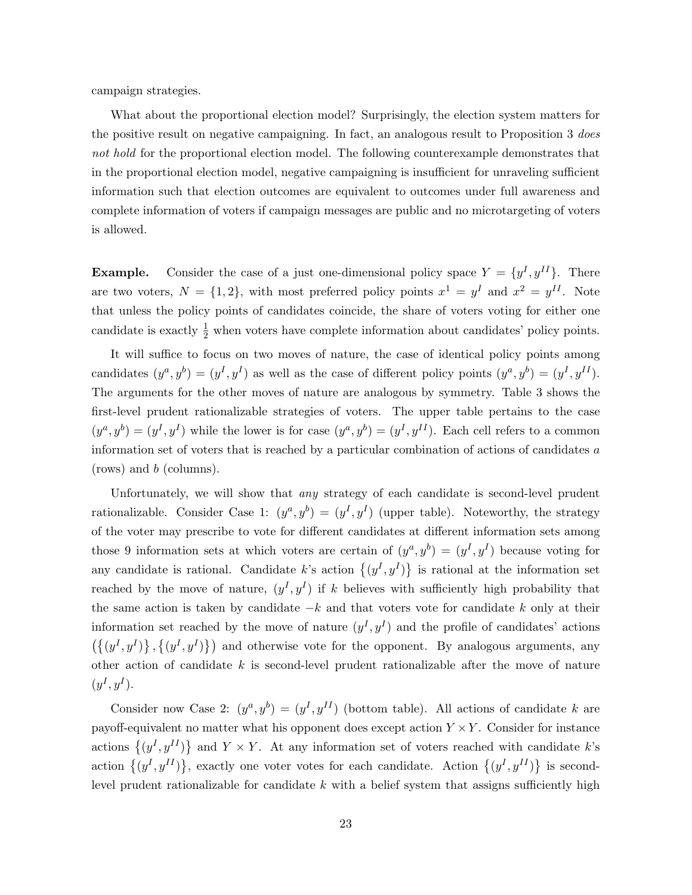campaign strategies.

What about the proportional election model? Surprisingly, the election system matters for the positive result on negative campaigning. In fact, an analogous result to Proposition 3 does not hold for the proportional election model. The following counterexample demonstrates that in the proportional election model, negative campaigning is insufficient for unraveling sufficient information such that election outcomes are equivalent to outcomes under full awareness and complete information of voters if campaign messages are public and no microtargeting of voters is allowed.

**Example.** Consider the case of a just one-dimensional policy space  $Y = \{y^I, y^{II}\}\$ . There are two voters,  $N = \{1, 2\}$ , with most preferred policy points  $x^1 = y^I$  and  $x^2 = y^{II}$ . Note that unless the policy points of candidates coincide, the share of voters voting for either one candidate is exactly  $\frac{1}{2}$  when voters have complete information about candidates' policy points.

It will suffice to focus on two moves of nature, the case of identical policy points among candidates  $(y^a, y^b) = (y^I, y^I)$  as well as the case of different policy points  $(y^a, y^b) = (y^I, y^{II})$ . The arguments for the other moves of nature are analogous by symmetry. Table 3 shows the first-level prudent rationalizable strategies of voters. The upper table pertains to the case  $(y^a, y^b) = (y^I, y^I)$  while the lower is for case  $(y^a, y^b) = (y^I, y^{II})$ . Each cell refers to a common information set of voters that is reached by a particular combination of actions of candidates a (rows) and b (columns).

Unfortunately, we will show that any strategy of each candidate is second-level prudent rationalizable. Consider Case 1:  $(y^a, y^b) = (y^I, y^I)$  (upper table). Noteworthy, the strategy of the voter may prescribe to vote for different candidates at different information sets among those 9 information sets at which voters are certain of  $(y^a, y^b) = (y^I, y^I)$  because voting for any candidate is rational. Candidate k's action  $\{(y^I, y^I)\}\$ is rational at the information set reached by the move of nature,  $(y^I, y^I)$  if k believes with sufficiently high probability that the same action is taken by candidate  $-k$  and that voters vote for candidate k only at their information set reached by the move of nature  $(y<sup>I</sup>, y<sup>I</sup>)$  and the profile of candidates' actions  $(\{(y^I, y^I)\}, \{(y^I, y^I)\})$  and otherwise vote for the opponent. By analogous arguments, any other action of candidate  $k$  is second-level prudent rationalizable after the move of nature  $(y^I, y^I).$ 

Consider now Case 2:  $(y^a, y^b) = (y^I, y^{II})$  (bottom table). All actions of candidate k are payoff-equivalent no matter what his opponent does except action  $Y \times Y$ . Consider for instance actions  $\{(y^I, y^{II})\}$  and  $Y \times Y$ . At any information set of voters reached with candidate k's action  $\{(y^I, y^{II})\}$ , exactly one voter votes for each candidate. Action  $\{(y^I, y^{II})\}$  is secondlevel prudent rationalizable for candidate  $k$  with a belief system that assigns sufficiently high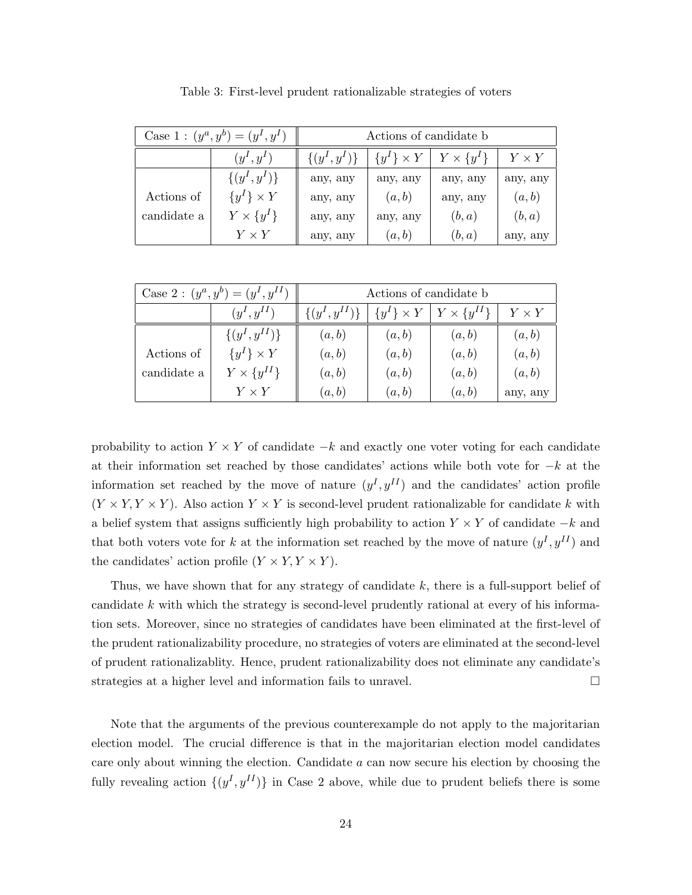|             | Case 1 : $(y^a, y^b) = (y^I, y^I)$ | Actions of candidate b |                   |                    |              |  |
|-------------|------------------------------------|------------------------|-------------------|--------------------|--------------|--|
|             | $(y^I, y^I)$                       | $\{(y^I, y^I)\}\$      | $\{y^I\}\times Y$ | $Y \times \{y^I\}$ | $Y \times Y$ |  |
|             | $\{(y^I, y^I)\}\$                  | any, any               | any, any          | any, any           | any, any     |  |
| Actions of  | $\{y^I\}\times Y$                  | any, any               | (a,b)             | any, any           | (a,b)        |  |
| candidate a | $Y \times \{y^I\}$                 | any, any               | any, any          | (b,a)              | (b,a)        |  |
|             | $Y \times Y$                       | any, any               | (a,b)             | (b,a)              | any, any     |  |

Table 3: First-level prudent rationalizable strategies of voters

|             | Case 2 : $(y^a, y^b) = (y^I, y^{II})$ | Actions of candidate b |                   |                        |              |
|-------------|---------------------------------------|------------------------|-------------------|------------------------|--------------|
|             | $(y^I, y^{II})$                       | $\{(y^I, y^{II})\}$    | $\{y^I\}\times Y$ | $Y \times \{y^{II}\}\$ | $Y \times Y$ |
|             | $\{(y^I, y^{II})\}$                   | (a,b)                  | (a,b)             | (a,b)                  | (a,b)        |
| Actions of  | $\{y^I\}\times Y$                     | (a,b)                  | (a,b)             | (a,b)                  | (a,b)        |
| candidate a | $Y \times \{y^{II}\}\$                | (a,b)                  | (a,b)             | (a,b)                  | (a,b)        |
|             | $Y \times Y$                          | (a,b)                  | (a,b)             | (a,b)                  | any, any     |

probability to action  $Y \times Y$  of candidate  $-k$  and exactly one voter voting for each candidate at their information set reached by those candidates' actions while both vote for  $-k$  at the information set reached by the move of nature  $(y<sup>I</sup>, y<sup>II</sup>)$  and the candidates' action profile  $(Y \times Y, Y \times Y)$ . Also action  $Y \times Y$  is second-level prudent rationalizable for candidate k with a belief system that assigns sufficiently high probability to action  $Y \times Y$  of candidate  $-k$  and that both voters vote for k at the information set reached by the move of nature  $(y<sup>I</sup>, y<sup>II</sup>)$  and the candidates' action profile  $(Y \times Y, Y \times Y)$ .

Thus, we have shown that for any strategy of candidate k, there is a full-support belief of candidate k with which the strategy is second-level prudently rational at every of his information sets. Moreover, since no strategies of candidates have been eliminated at the first-level of the prudent rationalizability procedure, no strategies of voters are eliminated at the second-level of prudent rationalizablity. Hence, prudent rationalizability does not eliminate any candidate's strategies at a higher level and information fails to unravel.

Note that the arguments of the previous counterexample do not apply to the majoritarian election model. The crucial difference is that in the majoritarian election model candidates care only about winning the election. Candidate a can now secure his election by choosing the fully revealing action  $\{(y^I, y^{II})\}$  in Case 2 above, while due to prudent beliefs there is some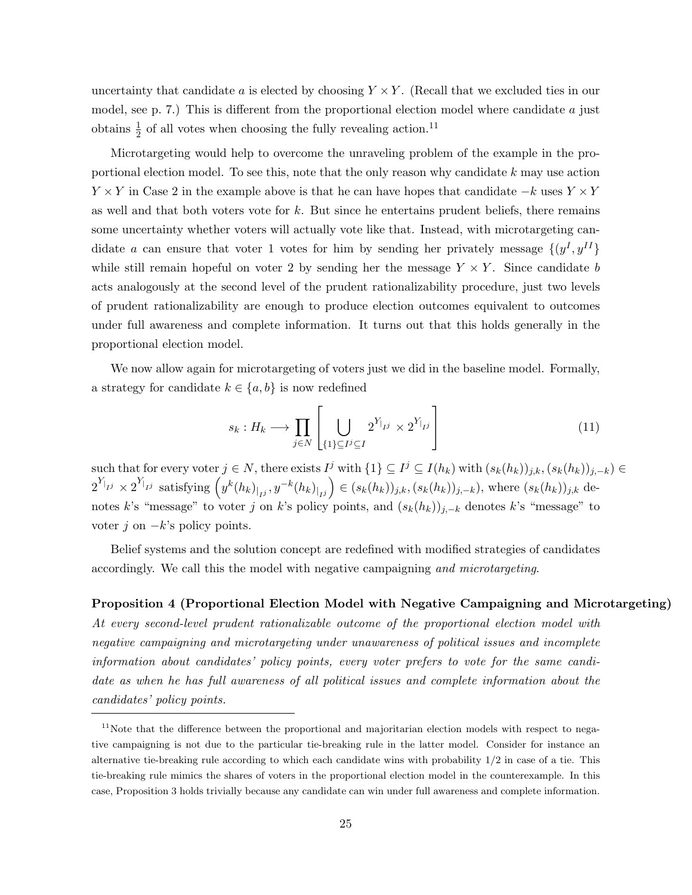uncertainty that candidate a is elected by choosing  $Y \times Y$ . (Recall that we excluded ties in our model, see p. 7.) This is different from the proportional election model where candidate  $a$  just obtains  $\frac{1}{2}$  of all votes when choosing the fully revealing action.<sup>11</sup>

Microtargeting would help to overcome the unraveling problem of the example in the proportional election model. To see this, note that the only reason why candidate k may use action  $Y \times Y$  in Case 2 in the example above is that he can have hopes that candidate  $-k$  uses  $Y \times Y$ as well and that both voters vote for  $k$ . But since he entertains prudent beliefs, there remains some uncertainty whether voters will actually vote like that. Instead, with microtargeting candidate a can ensure that voter 1 votes for him by sending her privately message  $\{(y^I, y^{II})\}$ while still remain hopeful on voter 2 by sending her the message  $Y \times Y$ . Since candidate b acts analogously at the second level of the prudent rationalizability procedure, just two levels of prudent rationalizability are enough to produce election outcomes equivalent to outcomes under full awareness and complete information. It turns out that this holds generally in the proportional election model.

We now allow again for microtargeting of voters just we did in the baseline model. Formally, a strategy for candidate  $k \in \{a, b\}$  is now redefined

$$
s_k: H_k \longrightarrow \prod_{j \in N} \left[ \bigcup_{\{1\} \subseteq I^j \subseteq I} 2^{Y_{|_{I^j}}} \times 2^{Y_{|_{I^j}}} \right]
$$
(11)

such that for every voter  $j \in N$ , there exists  $I^j$  with  $\{1\} \subseteq I^j \subseteq I(h_k)$  with  $(s_k(h_k))_{j,k}, (s_k(h_k))_{j,-k}) \in$  $2^{Y_{1_{Ij}}}\times 2^{Y_{1_{Ij}}}$  satisfying  $(y^k(h_k)_{|_{Ij}}, y^{-k}(h_k)_{|_{Ij}})\in (s_k(h_k))_{j,k}, (s_k(h_k))_{j,-k}),$  where  $(s_k(h_k))_{j,k}$  denotes k's "message" to voter j on k's policy points, and  $(s_k(h_k))_{i-k}$  denotes k's "message" to voter j on  $-k$ 's policy points.

Belief systems and the solution concept are redefined with modified strategies of candidates accordingly. We call this the model with negative campaigning and microtargeting.

#### Proposition 4 (Proportional Election Model with Negative Campaigning and Microtargeting)

At every second-level prudent rationalizable outcome of the proportional election model with negative campaigning and microtargeting under unawareness of political issues and incomplete information about candidates' policy points, every voter prefers to vote for the same candidate as when he has full awareness of all political issues and complete information about the candidates' policy points.

<sup>&</sup>lt;sup>11</sup>Note that the difference between the proportional and majoritarian election models with respect to negative campaigning is not due to the particular tie-breaking rule in the latter model. Consider for instance an alternative tie-breaking rule according to which each candidate wins with probability 1/2 in case of a tie. This tie-breaking rule mimics the shares of voters in the proportional election model in the counterexample. In this case, Proposition 3 holds trivially because any candidate can win under full awareness and complete information.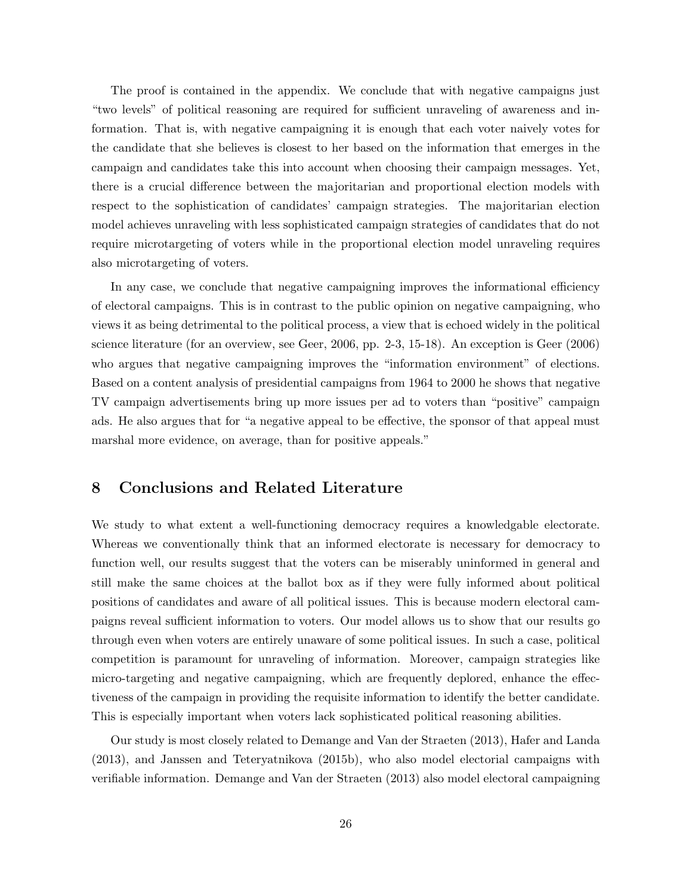The proof is contained in the appendix. We conclude that with negative campaigns just "two levels" of political reasoning are required for sufficient unraveling of awareness and information. That is, with negative campaigning it is enough that each voter naively votes for the candidate that she believes is closest to her based on the information that emerges in the campaign and candidates take this into account when choosing their campaign messages. Yet, there is a crucial difference between the majoritarian and proportional election models with respect to the sophistication of candidates' campaign strategies. The majoritarian election model achieves unraveling with less sophisticated campaign strategies of candidates that do not require microtargeting of voters while in the proportional election model unraveling requires also microtargeting of voters.

In any case, we conclude that negative campaigning improves the informational efficiency of electoral campaigns. This is in contrast to the public opinion on negative campaigning, who views it as being detrimental to the political process, a view that is echoed widely in the political science literature (for an overview, see Geer, 2006, pp. 2-3, 15-18). An exception is Geer (2006) who argues that negative campaigning improves the "information environment" of elections. Based on a content analysis of presidential campaigns from 1964 to 2000 he shows that negative TV campaign advertisements bring up more issues per ad to voters than "positive" campaign ads. He also argues that for "a negative appeal to be effective, the sponsor of that appeal must marshal more evidence, on average, than for positive appeals."

### 8 Conclusions and Related Literature

We study to what extent a well-functioning democracy requires a knowledgable electorate. Whereas we conventionally think that an informed electorate is necessary for democracy to function well, our results suggest that the voters can be miserably uninformed in general and still make the same choices at the ballot box as if they were fully informed about political positions of candidates and aware of all political issues. This is because modern electoral campaigns reveal sufficient information to voters. Our model allows us to show that our results go through even when voters are entirely unaware of some political issues. In such a case, political competition is paramount for unraveling of information. Moreover, campaign strategies like micro-targeting and negative campaigning, which are frequently deplored, enhance the effectiveness of the campaign in providing the requisite information to identify the better candidate. This is especially important when voters lack sophisticated political reasoning abilities.

Our study is most closely related to Demange and Van der Straeten (2013), Hafer and Landa (2013), and Janssen and Teteryatnikova (2015b), who also model electorial campaigns with verifiable information. Demange and Van der Straeten (2013) also model electoral campaigning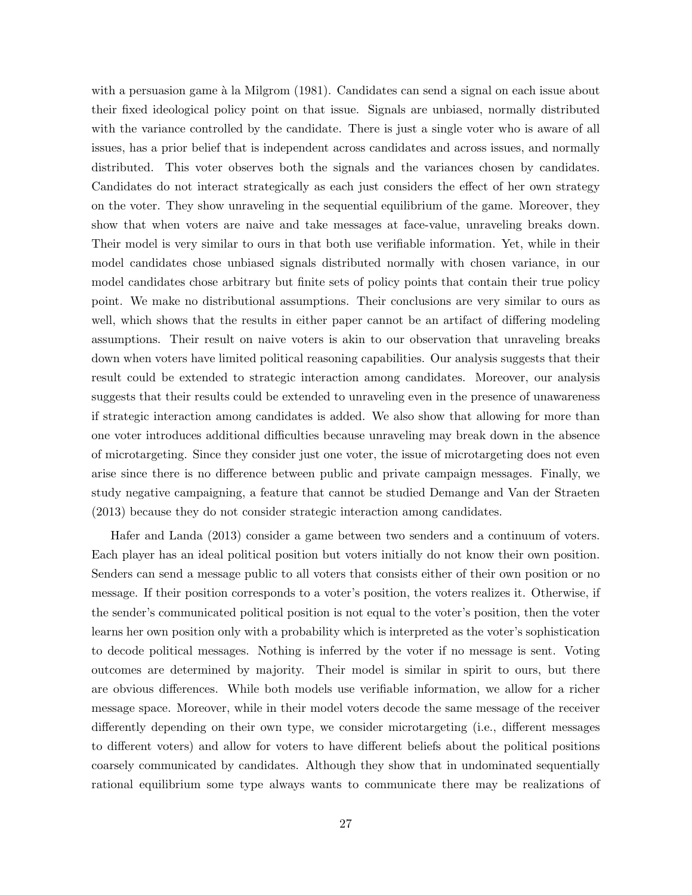with a persuasion game à la Milgrom (1981). Candidates can send a signal on each issue about their fixed ideological policy point on that issue. Signals are unbiased, normally distributed with the variance controlled by the candidate. There is just a single voter who is aware of all issues, has a prior belief that is independent across candidates and across issues, and normally distributed. This voter observes both the signals and the variances chosen by candidates. Candidates do not interact strategically as each just considers the effect of her own strategy on the voter. They show unraveling in the sequential equilibrium of the game. Moreover, they show that when voters are naive and take messages at face-value, unraveling breaks down. Their model is very similar to ours in that both use verifiable information. Yet, while in their model candidates chose unbiased signals distributed normally with chosen variance, in our model candidates chose arbitrary but finite sets of policy points that contain their true policy point. We make no distributional assumptions. Their conclusions are very similar to ours as well, which shows that the results in either paper cannot be an artifact of differing modeling assumptions. Their result on naive voters is akin to our observation that unraveling breaks down when voters have limited political reasoning capabilities. Our analysis suggests that their result could be extended to strategic interaction among candidates. Moreover, our analysis suggests that their results could be extended to unraveling even in the presence of unawareness if strategic interaction among candidates is added. We also show that allowing for more than one voter introduces additional difficulties because unraveling may break down in the absence of microtargeting. Since they consider just one voter, the issue of microtargeting does not even arise since there is no difference between public and private campaign messages. Finally, we study negative campaigning, a feature that cannot be studied Demange and Van der Straeten (2013) because they do not consider strategic interaction among candidates.

Hafer and Landa (2013) consider a game between two senders and a continuum of voters. Each player has an ideal political position but voters initially do not know their own position. Senders can send a message public to all voters that consists either of their own position or no message. If their position corresponds to a voter's position, the voters realizes it. Otherwise, if the sender's communicated political position is not equal to the voter's position, then the voter learns her own position only with a probability which is interpreted as the voter's sophistication to decode political messages. Nothing is inferred by the voter if no message is sent. Voting outcomes are determined by majority. Their model is similar in spirit to ours, but there are obvious differences. While both models use verifiable information, we allow for a richer message space. Moreover, while in their model voters decode the same message of the receiver differently depending on their own type, we consider microtargeting (i.e., different messages to different voters) and allow for voters to have different beliefs about the political positions coarsely communicated by candidates. Although they show that in undominated sequentially rational equilibrium some type always wants to communicate there may be realizations of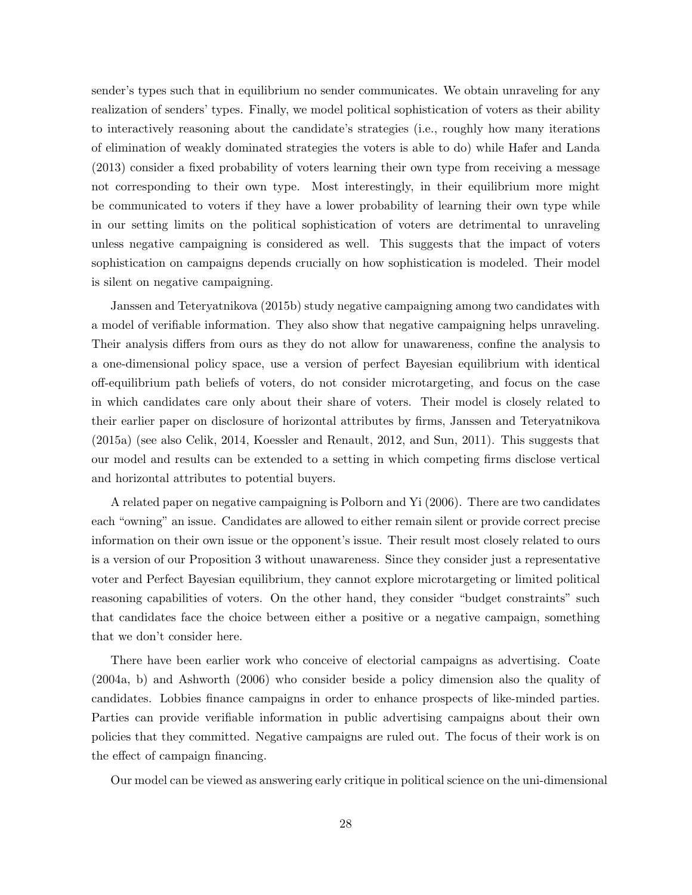sender's types such that in equilibrium no sender communicates. We obtain unraveling for any realization of senders' types. Finally, we model political sophistication of voters as their ability to interactively reasoning about the candidate's strategies (i.e., roughly how many iterations of elimination of weakly dominated strategies the voters is able to do) while Hafer and Landa (2013) consider a fixed probability of voters learning their own type from receiving a message not corresponding to their own type. Most interestingly, in their equilibrium more might be communicated to voters if they have a lower probability of learning their own type while in our setting limits on the political sophistication of voters are detrimental to unraveling unless negative campaigning is considered as well. This suggests that the impact of voters sophistication on campaigns depends crucially on how sophistication is modeled. Their model is silent on negative campaigning.

Janssen and Teteryatnikova (2015b) study negative campaigning among two candidates with a model of verifiable information. They also show that negative campaigning helps unraveling. Their analysis differs from ours as they do not allow for unawareness, confine the analysis to a one-dimensional policy space, use a version of perfect Bayesian equilibrium with identical off-equilibrium path beliefs of voters, do not consider microtargeting, and focus on the case in which candidates care only about their share of voters. Their model is closely related to their earlier paper on disclosure of horizontal attributes by firms, Janssen and Teteryatnikova (2015a) (see also Celik, 2014, Koessler and Renault, 2012, and Sun, 2011). This suggests that our model and results can be extended to a setting in which competing firms disclose vertical and horizontal attributes to potential buyers.

A related paper on negative campaigning is Polborn and Yi (2006). There are two candidates each "owning" an issue. Candidates are allowed to either remain silent or provide correct precise information on their own issue or the opponent's issue. Their result most closely related to ours is a version of our Proposition 3 without unawareness. Since they consider just a representative voter and Perfect Bayesian equilibrium, they cannot explore microtargeting or limited political reasoning capabilities of voters. On the other hand, they consider "budget constraints" such that candidates face the choice between either a positive or a negative campaign, something that we don't consider here.

There have been earlier work who conceive of electorial campaigns as advertising. Coate (2004a, b) and Ashworth (2006) who consider beside a policy dimension also the quality of candidates. Lobbies finance campaigns in order to enhance prospects of like-minded parties. Parties can provide verifiable information in public advertising campaigns about their own policies that they committed. Negative campaigns are ruled out. The focus of their work is on the effect of campaign financing.

Our model can be viewed as answering early critique in political science on the uni-dimensional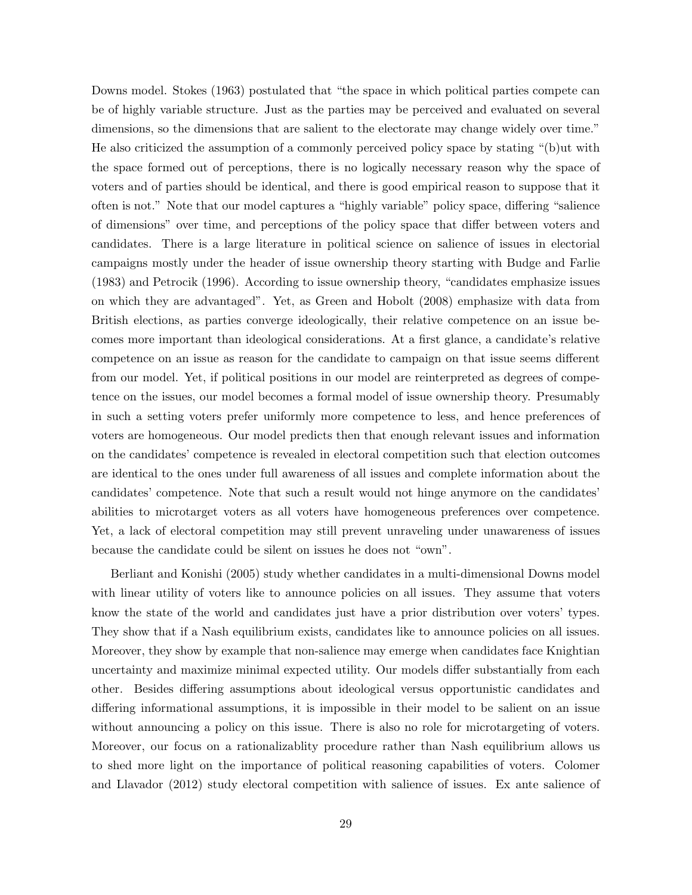Downs model. Stokes (1963) postulated that "the space in which political parties compete can be of highly variable structure. Just as the parties may be perceived and evaluated on several dimensions, so the dimensions that are salient to the electorate may change widely over time." He also criticized the assumption of a commonly perceived policy space by stating "(b)ut with the space formed out of perceptions, there is no logically necessary reason why the space of voters and of parties should be identical, and there is good empirical reason to suppose that it often is not." Note that our model captures a "highly variable" policy space, differing "salience of dimensions" over time, and perceptions of the policy space that differ between voters and candidates. There is a large literature in political science on salience of issues in electorial campaigns mostly under the header of issue ownership theory starting with Budge and Farlie (1983) and Petrocik (1996). According to issue ownership theory, "candidates emphasize issues on which they are advantaged". Yet, as Green and Hobolt (2008) emphasize with data from British elections, as parties converge ideologically, their relative competence on an issue becomes more important than ideological considerations. At a first glance, a candidate's relative competence on an issue as reason for the candidate to campaign on that issue seems different from our model. Yet, if political positions in our model are reinterpreted as degrees of competence on the issues, our model becomes a formal model of issue ownership theory. Presumably in such a setting voters prefer uniformly more competence to less, and hence preferences of voters are homogeneous. Our model predicts then that enough relevant issues and information on the candidates' competence is revealed in electoral competition such that election outcomes are identical to the ones under full awareness of all issues and complete information about the candidates' competence. Note that such a result would not hinge anymore on the candidates' abilities to microtarget voters as all voters have homogeneous preferences over competence. Yet, a lack of electoral competition may still prevent unraveling under unawareness of issues because the candidate could be silent on issues he does not "own".

Berliant and Konishi (2005) study whether candidates in a multi-dimensional Downs model with linear utility of voters like to announce policies on all issues. They assume that voters know the state of the world and candidates just have a prior distribution over voters' types. They show that if a Nash equilibrium exists, candidates like to announce policies on all issues. Moreover, they show by example that non-salience may emerge when candidates face Knightian uncertainty and maximize minimal expected utility. Our models differ substantially from each other. Besides differing assumptions about ideological versus opportunistic candidates and differing informational assumptions, it is impossible in their model to be salient on an issue without announcing a policy on this issue. There is also no role for microtargeting of voters. Moreover, our focus on a rationalizablity procedure rather than Nash equilibrium allows us to shed more light on the importance of political reasoning capabilities of voters. Colomer and Llavador (2012) study electoral competition with salience of issues. Ex ante salience of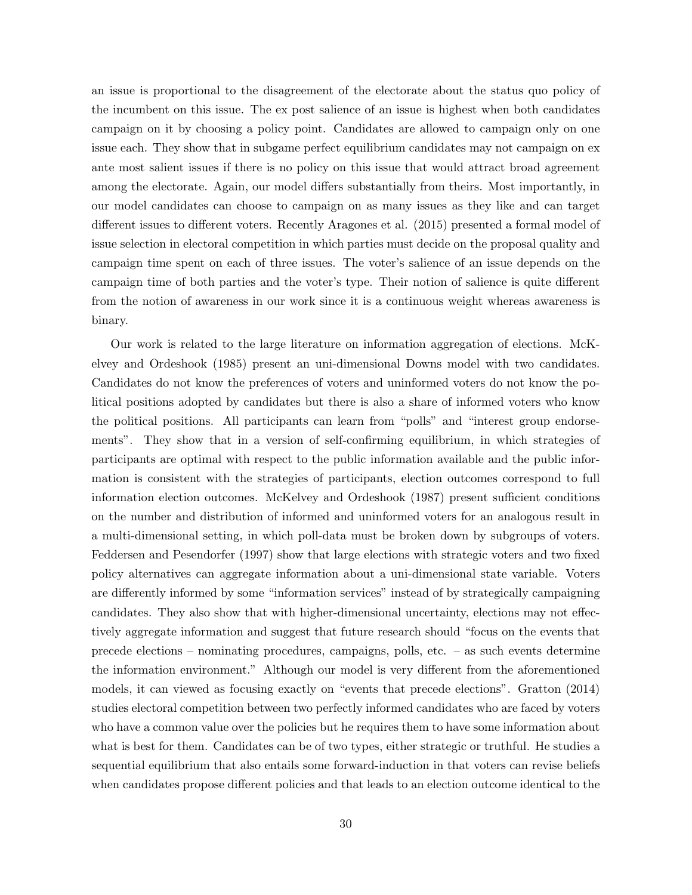an issue is proportional to the disagreement of the electorate about the status quo policy of the incumbent on this issue. The ex post salience of an issue is highest when both candidates campaign on it by choosing a policy point. Candidates are allowed to campaign only on one issue each. They show that in subgame perfect equilibrium candidates may not campaign on ex ante most salient issues if there is no policy on this issue that would attract broad agreement among the electorate. Again, our model differs substantially from theirs. Most importantly, in our model candidates can choose to campaign on as many issues as they like and can target different issues to different voters. Recently Aragones et al. (2015) presented a formal model of issue selection in electoral competition in which parties must decide on the proposal quality and campaign time spent on each of three issues. The voter's salience of an issue depends on the campaign time of both parties and the voter's type. Their notion of salience is quite different from the notion of awareness in our work since it is a continuous weight whereas awareness is binary.

Our work is related to the large literature on information aggregation of elections. McKelvey and Ordeshook (1985) present an uni-dimensional Downs model with two candidates. Candidates do not know the preferences of voters and uninformed voters do not know the political positions adopted by candidates but there is also a share of informed voters who know the political positions. All participants can learn from "polls" and "interest group endorsements". They show that in a version of self-confirming equilibrium, in which strategies of participants are optimal with respect to the public information available and the public information is consistent with the strategies of participants, election outcomes correspond to full information election outcomes. McKelvey and Ordeshook (1987) present sufficient conditions on the number and distribution of informed and uninformed voters for an analogous result in a multi-dimensional setting, in which poll-data must be broken down by subgroups of voters. Feddersen and Pesendorfer (1997) show that large elections with strategic voters and two fixed policy alternatives can aggregate information about a uni-dimensional state variable. Voters are differently informed by some "information services" instead of by strategically campaigning candidates. They also show that with higher-dimensional uncertainty, elections may not effectively aggregate information and suggest that future research should "focus on the events that precede elections – nominating procedures, campaigns, polls, etc. – as such events determine the information environment." Although our model is very different from the aforementioned models, it can viewed as focusing exactly on "events that precede elections". Gratton (2014) studies electoral competition between two perfectly informed candidates who are faced by voters who have a common value over the policies but he requires them to have some information about what is best for them. Candidates can be of two types, either strategic or truthful. He studies a sequential equilibrium that also entails some forward-induction in that voters can revise beliefs when candidates propose different policies and that leads to an election outcome identical to the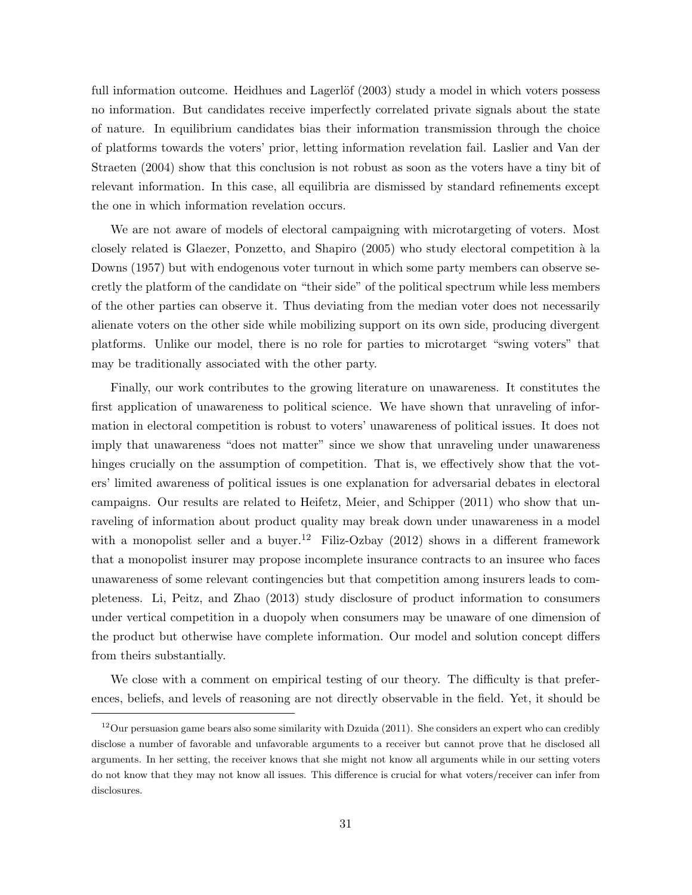full information outcome. Heidhues and Lagerlöf (2003) study a model in which voters possess no information. But candidates receive imperfectly correlated private signals about the state of nature. In equilibrium candidates bias their information transmission through the choice of platforms towards the voters' prior, letting information revelation fail. Laslier and Van der Straeten (2004) show that this conclusion is not robust as soon as the voters have a tiny bit of relevant information. In this case, all equilibria are dismissed by standard refinements except the one in which information revelation occurs.

We are not aware of models of electoral campaigning with microtargeting of voters. Most closely related is Glaezer, Ponzetto, and Shapiro (2005) who study electoral competition à la Downs (1957) but with endogenous voter turnout in which some party members can observe secretly the platform of the candidate on "their side" of the political spectrum while less members of the other parties can observe it. Thus deviating from the median voter does not necessarily alienate voters on the other side while mobilizing support on its own side, producing divergent platforms. Unlike our model, there is no role for parties to microtarget "swing voters" that may be traditionally associated with the other party.

Finally, our work contributes to the growing literature on unawareness. It constitutes the first application of unawareness to political science. We have shown that unraveling of information in electoral competition is robust to voters' unawareness of political issues. It does not imply that unawareness "does not matter" since we show that unraveling under unawareness hinges crucially on the assumption of competition. That is, we effectively show that the voters' limited awareness of political issues is one explanation for adversarial debates in electoral campaigns. Our results are related to Heifetz, Meier, and Schipper (2011) who show that unraveling of information about product quality may break down under unawareness in a model with a monopolist seller and a buyer.<sup>12</sup> Filiz-Ozbay  $(2012)$  shows in a different framework that a monopolist insurer may propose incomplete insurance contracts to an insuree who faces unawareness of some relevant contingencies but that competition among insurers leads to completeness. Li, Peitz, and Zhao (2013) study disclosure of product information to consumers under vertical competition in a duopoly when consumers may be unaware of one dimension of the product but otherwise have complete information. Our model and solution concept differs from theirs substantially.

We close with a comment on empirical testing of our theory. The difficulty is that preferences, beliefs, and levels of reasoning are not directly observable in the field. Yet, it should be

 $12$ Our persuasion game bears also some similarity with Dzuida (2011). She considers an expert who can credibly disclose a number of favorable and unfavorable arguments to a receiver but cannot prove that he disclosed all arguments. In her setting, the receiver knows that she might not know all arguments while in our setting voters do not know that they may not know all issues. This difference is crucial for what voters/receiver can infer from disclosures.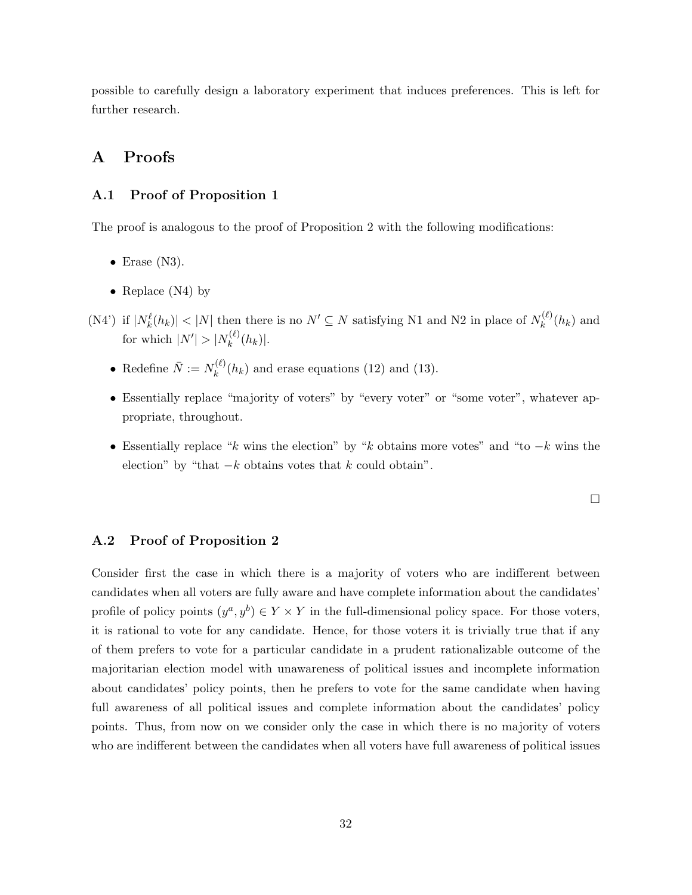possible to carefully design a laboratory experiment that induces preferences. This is left for further research.

### A Proofs

### A.1 Proof of Proposition 1

The proof is analogous to the proof of Proposition 2 with the following modifications:

- Erase  $(N3)$ .
- Replace  $(N4)$  by
- (N4') if  $|N_k^{\ell}(h_k)| < |N|$  then there is no  $N' \subseteq N$  satisfying N1 and N2 in place of  $N_k^{(\ell)}$  $\binom{k}{k}(h_k)$  and for which  $|N'| > |N_k^{(\ell)}|$  $\binom{k}{k}(h_k)$ .
	- Redefine  $\bar{N} := N_k^{(\ell)}$  $\binom{k}{k}(h_k)$  and erase equations (12) and (13).
	- Essentially replace "majority of voters" by "every voter" or "some voter", whatever appropriate, throughout.
	- Essentially replace "k wins the election" by "k obtains more votes" and "to  $-k$  wins the election" by "that  $-k$  obtains votes that  $k$  could obtain".

 $\Box$ 

#### A.2 Proof of Proposition 2

Consider first the case in which there is a majority of voters who are indifferent between candidates when all voters are fully aware and have complete information about the candidates' profile of policy points  $(y^a, y^b) \in Y \times Y$  in the full-dimensional policy space. For those voters, it is rational to vote for any candidate. Hence, for those voters it is trivially true that if any of them prefers to vote for a particular candidate in a prudent rationalizable outcome of the majoritarian election model with unawareness of political issues and incomplete information about candidates' policy points, then he prefers to vote for the same candidate when having full awareness of all political issues and complete information about the candidates' policy points. Thus, from now on we consider only the case in which there is no majority of voters who are indifferent between the candidates when all voters have full awareness of political issues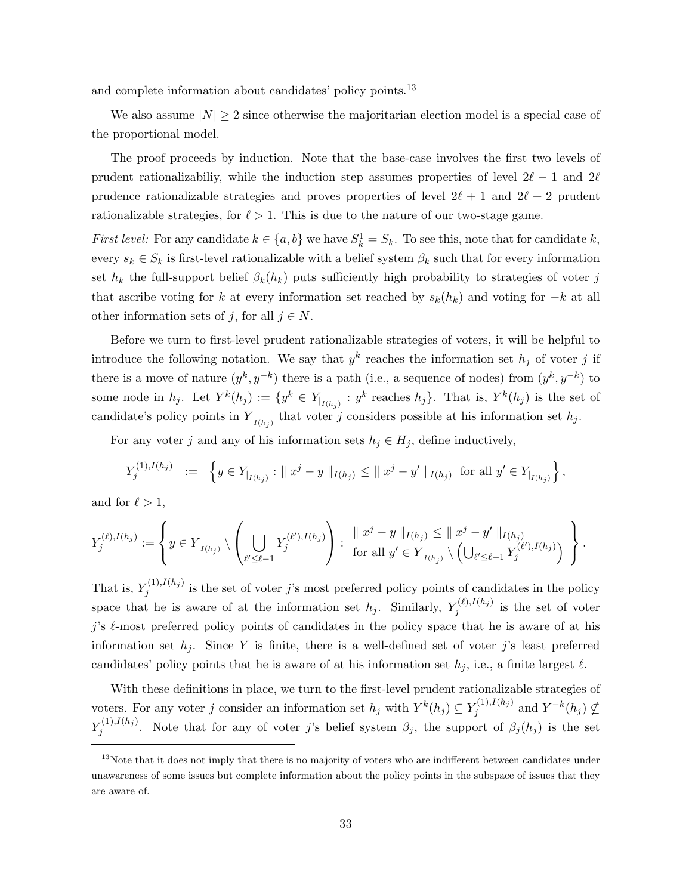and complete information about candidates' policy points.<sup>13</sup>

We also assume  $|N| \geq 2$  since otherwise the majoritarian election model is a special case of the proportional model.

The proof proceeds by induction. Note that the base-case involves the first two levels of prudent rationalizabiliy, while the induction step assumes properties of level  $2\ell - 1$  and  $2\ell$ prudence rationalizable strategies and proves properties of level  $2\ell + 1$  and  $2\ell + 2$  prudent rationalizable strategies, for  $\ell > 1$ . This is due to the nature of our two-stage game.

*First level:* For any candidate  $k \in \{a, b\}$  we have  $S_k^1 = S_k$ . To see this, note that for candidate k, every  $s_k \in S_k$  is first-level rationalizable with a belief system  $\beta_k$  such that for every information set  $h_k$  the full-support belief  $\beta_k(h_k)$  puts sufficiently high probability to strategies of voter j that ascribe voting for k at every information set reached by  $s_k(h_k)$  and voting for  $-k$  at all other information sets of j, for all  $j \in N$ .

Before we turn to first-level prudent rationalizable strategies of voters, it will be helpful to introduce the following notation. We say that  $y^k$  reaches the information set  $h_j$  of voter j if there is a move of nature  $(y^k, y^{-k})$  there is a path (i.e., a sequence of nodes) from  $(y^k, y^{-k})$  to some node in  $h_j$ . Let  $Y^k(h_j) := \{y^k \in Y_{|I(h_j)} : y^k \text{ reaches } h_j\}$ . That is,  $Y^k(h_j)$  is the set of candidate's policy points in  $Y_{|_{I(h_j)}}$  that voter j considers possible at his information set  $h_j$ .

For any voter j and any of his information sets  $h_j \in H_j$ , define inductively,

$$
Y_j^{(1),I(h_j)} \; := \; \left\{ y \in Y_{|_{I(h_j)}} : \; \| \; x^j - y \; \|_{I(h_j)} \leq \| \; x^j - y' \; \|_{I(h_j)} \; \text{ for all } y' \in Y_{|_{I(h_j)}} \right\},
$$

and for  $\ell > 1$ ,

$$
Y_j^{(\ell),I(h_j)} := \left\{ y \in Y_{|I(h_j)} \setminus \left( \bigcup_{\ell' \leq \ell-1} Y_j^{(\ell'),I(h_j)} \right) : \begin{array}{l} \|x^j - y\|_{I(h_j)} \leq \|x^j - y'\|_{I(h_j)} \\ \text{for all } y' \in Y_{|I(h_j)} \setminus \left( \bigcup_{\ell' \leq \ell-1} Y_j^{(\ell'),I(h_j)} \right) \end{array} \right\}.
$$

That is,  $Y_i^{(1),I(h_j)}$  $j_j^{(1),I(h_j)}$  is the set of voter j's most preferred policy points of candidates in the policy space that he is aware of at the information set  $h_j$ . Similarly,  $Y_j^{(\ell),I(h_j)}$  $j^{(t),I(h_j)}$  is the set of voter  $j$ 's  $\ell$ -most preferred policy points of candidates in the policy space that he is aware of at his information set  $h_j$ . Since Y is finite, there is a well-defined set of voter j's least preferred candidates' policy points that he is aware of at his information set  $h_j$ , i.e., a finite largest  $\ell$ .

With these definitions in place, we turn to the first-level prudent rationalizable strategies of voters. For any voter j consider an information set  $h_j$  with  $Y^k(h_j) \subseteq Y_j^{(1), I(h_j)}$  $\chi_j^{(1),I(h_j)}$  and  $Y^{-k}(h_j) \nsubseteq$  $Y_i^{(1),I(h_j)}$  $\beta_j^{(1),I(h_j)}$ . Note that for any of voter j's belief system  $\beta_j$ , the support of  $\beta_j(h_j)$  is the set

<sup>&</sup>lt;sup>13</sup>Note that it does not imply that there is no majority of voters who are indifferent between candidates under unawareness of some issues but complete information about the policy points in the subspace of issues that they are aware of.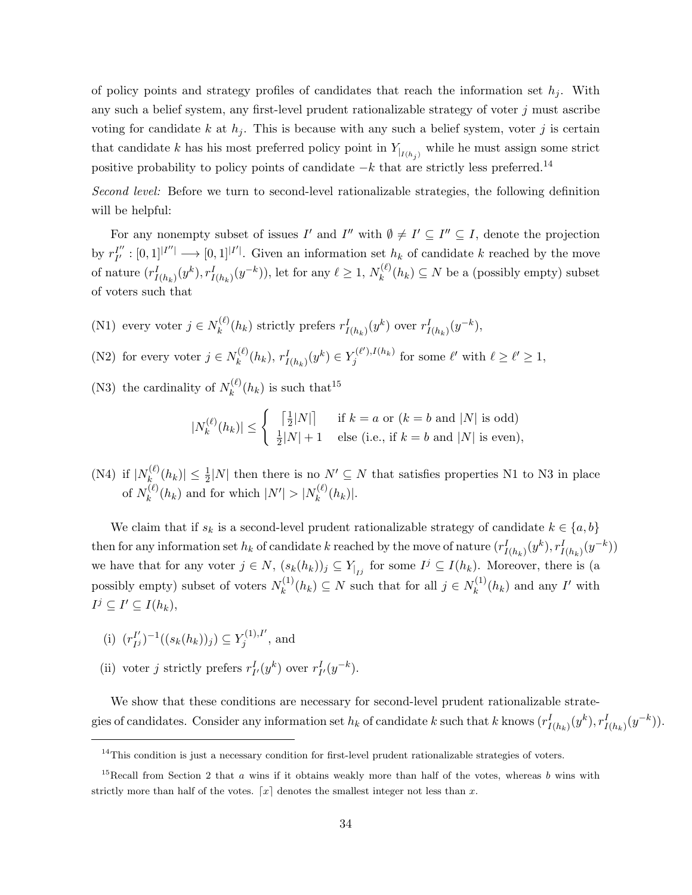of policy points and strategy profiles of candidates that reach the information set  $h_i$ . With any such a belief system, any first-level prudent rationalizable strategy of voter j must ascribe voting for candidate k at  $h_j$ . This is because with any such a belief system, voter j is certain that candidate k has his most preferred policy point in  $Y_{|_{I(h_j)}}$  while he must assign some strict positive probability to policy points of candidate  $-k$  that are strictly less preferred.<sup>14</sup>

Second level: Before we turn to second-level rationalizable strategies, the following definition will be helpful:

For any nonempty subset of issues I' and I'' with  $\emptyset \neq I' \subseteq I'' \subseteq I$ , denote the projection by  $r_{I'}^{I''}$  $I''_{I'} : [0,1]^{I''} \longrightarrow [0,1]^{I'}$ . Given an information set  $h_k$  of candidate k reached by the move of nature  $(r_{I(h_k)}^I(y^k), r_{I(h_k)}^I(y^{-k})),$  let for any  $\ell \geq 1, N_k^{(\ell)}$  $\mathbf{k}^{(\ell)}(h_k) \subseteq N$  be a (possibly empty) subset of voters such that

- (N1) every voter  $j \in N_k^{(\ell)}$  $\mathcal{L}_{k}^{(\ell)}(h_k)$  strictly prefers  $r_{I(h_k)}^I(y^k)$  over  $r_{I(h_k)}^I(y^{-k}),$
- (N2) for every voter  $j \in N_k^{(\ell)}$  $k_k^{(\ell)}(h_k), r_{I(h_k)}^I(y^k) \in Y_j^{(\ell'),I(h_k)}$  $\ell'_{j}(\ell')$ ,  $l(h_k)$  for some  $\ell'$  with  $\ell \geq \ell' \geq 1$ ,
- (N3) the cardinality of  $N_k^{(\ell)}$  $\binom{k}{k}(h_k)$  is such that  $15$

$$
|N_k^{(\ell)}(h_k)| \le \begin{cases} \begin{array}{|c|c|} \lceil\frac{1}{2}|N|\rceil & \text{if } k = a \text{ or } (k = b \text{ and } |N| \text{ is odd}) \\ \frac{1}{2}|N|+1 & \text{else (i.e., if } k = b \text{ and } |N| \text{ is even}), \end{array} \end{cases}
$$

(N4) if  $|N_k^{(\ell)}|$  $|f_k^{(\ell)}(h_k)| \leq \frac{1}{2}|N|$  then there is no  $N' \subseteq N$  that satisfies properties N1 to N3 in place of  $N_k^{(\ell)}$  $\binom{k}{k}(h_k)$  and for which  $|N'| > |N_k^{(\ell)}|$  $\binom{k}{k}(h_k)$ .

We claim that if  $s_k$  is a second-level prudent rationalizable strategy of candidate  $k \in \{a, b\}$ then for any information set  $h_k$  of candidate k reached by the move of nature  $(r^I_{I(h_k)}(y^k), r^I_{I(h_k)}(y^{-k}))$ we have that for any voter  $j \in N$ ,  $(s_k(h_k))_j \subseteq Y_{|_{I_j}}$  for some  $I^j \subseteq I(h_k)$ . Moreover, there is (a possibly empty) subset of voters  $N_k^{(1)}$  $k_k^{(1)}(h_k) \subseteq N$  such that for all  $j \in N_k^{(1)}$  $\binom{1}{k}(h_k)$  and any I' with  $I^j \subseteq I' \subseteq I(h_k),$ 

- (i)  $(r^{I'}_{Ii})$  $_{Ij}^{I'})^{-1}((s_k(h_k))_j) \subseteq Y_j^{(1),I'}$  $j^{(1),1}$ , and
- (ii) voter j strictly prefers  $r^I_{I'}(y^k)$  over  $r^I_{I'}(y^{-k})$ .

We show that these conditions are necessary for second-level prudent rationalizable strategies of candidates. Consider any information set  $h_k$  of candidate k such that k knows  $(r^I_{I(h_k)}(y^k), r^I_{I(h_k)}(y^{-k}))$ .

 $14$ This condition is just a necessary condition for first-level prudent rationalizable strategies of voters.

<sup>&</sup>lt;sup>15</sup>Recall from Section 2 that a wins if it obtains weakly more than half of the votes, whereas b wins with strictly more than half of the votes.  $\lceil x \rceil$  denotes the smallest integer not less than x.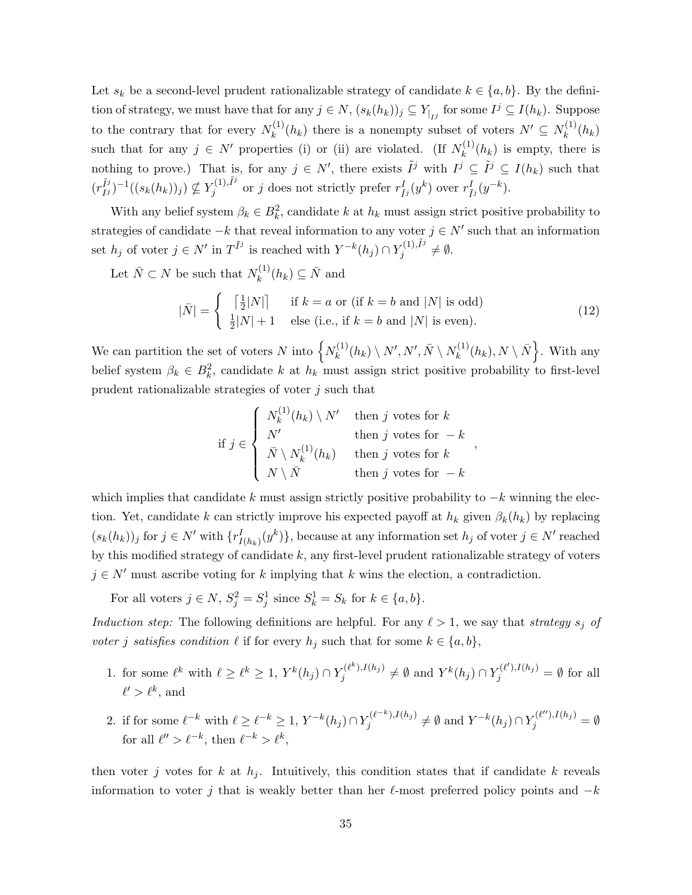Let  $s_k$  be a second-level prudent rationalizable strategy of candidate  $k \in \{a, b\}$ . By the definition of strategy, we must have that for any  $j \in N$ ,  $(s_k(h_k))_j \subseteq Y_{\vert_{I_j}}$  for some  $I^j \subseteq I(h_k)$ . Suppose to the contrary that for every  $N_k^{(1)}$  $k_k^{(1)}(h_k)$  there is a nonempty subset of voters  $N' \subseteq N_k^{(1)}$  $h_k^{(1)}(h_k)$ such that for any  $j \in N'$  properties (i) or (ii) are violated. (If  $N_k^{(1)}$  $\binom{1}{k}(h_k)$  is empty, there is nothing to prove.) That is, for any  $j \in N'$ , there exists  $\tilde{I}^j$  with  $I^j \subseteq \tilde{I}^j \subseteq I(h_k)$  such that  $(r_{I^j}^{\tilde{I}^j})^{-1}((s_k(h_k))_j) \nsubseteq Y_j^{(1),\tilde{I}^j}$  $r_{j}^{(1),I'}$  or j does not strictly prefer  $r_{\tilde{I}j}^{I}(y^{k})$  over  $r_{\tilde{I}j}^{I}(y^{-k})$ .

With any belief system  $\beta_k \in B_k^2$ , candidate k at  $h_k$  must assign strict positive probability to strategies of candidate  $-k$  that reveal information to any voter  $j \in N'$  such that an information set  $h_j$  of voter  $j \in N'$  in  $T^{\tilde{I}^j}$  is reached with  $Y^{-k}(h_j) \cap Y_j^{(1),\tilde{I}^j}$  $j^{(1),I^j} \neq \emptyset.$ 

Let  $\bar{N} \subset N$  be such that  $N_k^{(1)}$  $\bar{k}^{(1)}(h_k) \subseteq \bar{N}$  and

$$
|\bar{N}| = \begin{cases} \begin{bmatrix} \frac{1}{2}|N| \\ \frac{1}{2}|N|+1 \end{bmatrix} & \text{if } k = a \text{ or (if } k = b \text{ and } |N| \text{ is odd}) \\ \frac{1}{2}|N|+1 & \text{else (i.e., if } k = b \text{ and } |N| \text{ is even}). \end{cases}
$$
(12)

We can partition the set of voters N into  $\left\{N_k^{(1)}\right\}$  $k^{(1)}_k(h_k) \setminus N', N', \bar N \setminus N^{(1)}_k$  $\left\{k^{(1)}(h_k), N \setminus \bar{N}\right\}$ . With any belief system  $\beta_k \in B_k^2$ , candidate k at  $h_k$  must assign strict positive probability to first-level prudent rationalizable strategies of voter  $j$  such that

$$
\text{if } j \in \begin{cases} N_k^{(1)}(h_k) \setminus N' & \text{then } j \text{ votes for } k \\ N' & \text{then } j \text{ votes for } -k \\ \bar{N} \setminus N_k^{(1)}(h_k) & \text{then } j \text{ votes for } k \\ N \setminus \bar{N} & \text{then } j \text{ votes for } -k \end{cases},
$$

which implies that candidate k must assign strictly positive probability to  $-k$  winning the election. Yet, candidate k can strictly improve his expected payoff at  $h_k$  given  $\beta_k(h_k)$  by replacing  $(s_k(h_k))_j$  for  $j \in N'$  with  $\{r^I_{I(h_k)}(y^k)\}\$ , because at any information set  $h_j$  of voter  $j \in N'$  reached by this modified strategy of candidate  $k$ , any first-level prudent rationalizable strategy of voters  $j \in N'$  must ascribe voting for k implying that k wins the election, a contradiction.

For all voters  $j \in N$ ,  $S_j^2 = S_j^1$  since  $S_k^1 = S_k$  for  $k \in \{a, b\}$ .

Induction step: The following definitions are helpful. For any  $\ell > 1$ , we say that strategy s<sub>i</sub> of voter j satisfies condition  $\ell$  if for every  $h_j$  such that for some  $k \in \{a, b\},$ 

- 1. for some  $\ell^k$  with  $\ell \geq \ell^k \geq 1$ ,  $Y^k(h_j) \cap Y_j^{(\ell^k),I(h_j)}$  $y_j^{(\ell^k),I(h_j)} \neq \emptyset$  and  $Y^k(h_j) \cap Y_j^{(\ell'),I(h_j)} = \emptyset$  for all  $\ell' > \ell^k$ , and
- 2. if for some  $\ell^{-k}$  with  $\ell \geq \ell^{-k} \geq 1$ ,  $Y^{-k}(h_j) \cap Y_j^{(\ell^{-k}),I(h_j)}$  $\mathcal{Y}_j^{(\ell-k),I(h_j)} \neq \emptyset$  and  $Y^{-k}(h_j) \cap Y_j^{(\ell''),I(h_j)} = \emptyset$ for all  $\ell'' > \ell^{-k}$ , then  $\ell^{-k} > \ell^k$ ,

then voter j votes for k at  $h_j$ . Intuitively, this condition states that if candidate k reveals information to voter j that is weakly better than her  $\ell$ -most preferred policy points and  $-k$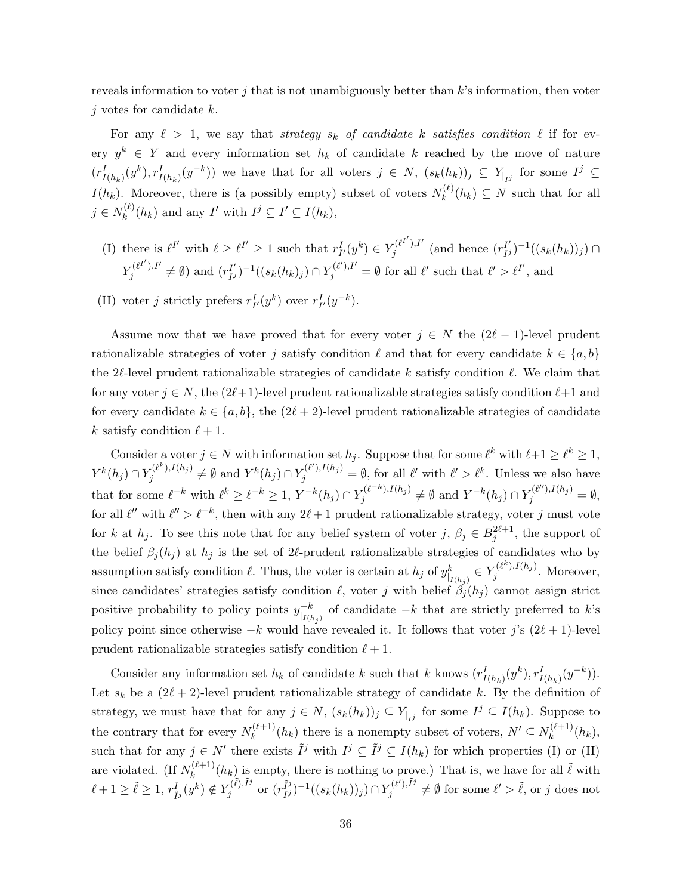reveals information to voter j that is not unambiguously better than  $k$ 's information, then voter  $j$  votes for candidate  $k$ .

For any  $\ell > 1$ , we say that strategy  $s_k$  of candidate k satisfies condition  $\ell$  if for every  $y^k \in Y$  and every information set  $h_k$  of candidate k reached by the move of nature  $(r_{I(h_k)}^I(y^k), r_{I(h_k)}^I(y^{-k}))$  we have that for all voters  $j \in N$ ,  $(s_k(h_k))_j \subseteq Y_{\vert_{I^j}}$  for some  $I^j \subseteq$  $I(h_k)$ . Moreover, there is (a possibly empty) subset of voters  $N_k^{(\ell)}$  $k^{(\ell)}(h_k) \subseteq N$  such that for all  $j \in N_k^{(\ell)}$  $\mathcal{L}_{k}^{(\ell)}(h_k)$  and any  $I'$  with  $I^j \subseteq I' \subseteq I(h_k)$ ,

- (I) there is  $\ell^{I'}$  with  $\ell \geq \ell^{I'} \geq 1$  such that  $r_{I'}^I(y^k) \in Y_j^{(\ell^{I'}),I'}$  $\sigma_{j}^{(\ell)}{}^{,I'}$  (and hence  $(r_{Ij}^{I'})$  $_{Ij}^{I'})^{-1}((s_k(h_k))_j)\cap$  $Y_i^{(\ell^{I'}),I'}$  $\sigma_j^{(\ell)}{}^{,I'} \neq \emptyset$  and  $(r_{Ij}^{I'})$  $J'_{Ij}$ )<sup>-1</sup>((s<sub>k</sub>(h<sub>k</sub>)<sub>j</sub>) ∩ Y<sub>j</sub><sup>(l'),I'</sup> = Ø for all l' such that  $\ell' > \ell'$ <sup>'</sup>, and
- (II) voter *j* strictly prefers  $r^I_{I'}(y^k)$  over  $r^I_{I'}(y^{-k})$ .

Assume now that we have proved that for every voter  $j \in N$  the  $(2\ell - 1)$ -level prudent rationalizable strategies of voter j satisfy condition  $\ell$  and that for every candidate  $k \in \{a, b\}$ the 2 $\ell$ -level prudent rationalizable strategies of candidate k satisfy condition  $\ell$ . We claim that for any voter  $j \in N$ , the  $(2\ell+1)$ -level prudent rationalizable strategies satisfy condition  $\ell+1$  and for every candidate  $k \in \{a, b\}$ , the  $(2\ell + 2)$ -level prudent rationalizable strategies of candidate k satisfy condition  $\ell + 1$ .

Consider a voter  $j \in N$  with information set  $h_j$ . Suppose that for some  $\ell^k$  with  $\ell+1 \geq \ell^k \geq 1$ ,  $Y^{k}(h_j) \cap Y_{j}^{(\ell^k),I(h_j)}$  $f^{(\ell^k),I(h_j)}_j \neq \emptyset$  and  $Y^k(h_j) \cap Y_j^{(\ell'),I(h_j)} = \emptyset$ , for all  $\ell'$  with  $\ell' > \ell^k$ . Unless we also have that for some  $\ell^{-k}$  with  $\ell^k \geq \ell^{-k} \geq 1$ ,  $Y^{-k}(h_j) \cap Y_j^{(\ell^{-k}),I(h_j)}$  $y_j^{(\ell^{-k}), I(h_j)} \neq \emptyset$  and  $Y^{-k}(h_j) \cap Y_j^{(\ell''), I(h_j)} = \emptyset$ , for all  $\ell''$  with  $\ell'' > \ell^{-k}$ , then with any  $2\ell + 1$  prudent rationalizable strategy, voter j must vote for k at  $h_j$ . To see this note that for any belief system of voter  $j, \beta_j \in B_j^{2\ell+1}$ , the support of the belief  $\beta_j(h_j)$  at  $h_j$  is the set of 2l-prudent rationalizable strategies of candidates who by assumption satisfy condition  $\ell$ . Thus, the voter is certain at  $h_j$  of  $y_{|I(h_j)}^k \in Y_j^{(\ell^k),I(h_j)}$  $j^{(\ell-j, I(n_j))}$ . Moreover, since candidates' strategies satisfy condition  $\ell$ , voter j with belief  $\beta_i(h_i)$  cannot assign strict positive probability to policy points  $y_{\perp}^{-k}$  $\int_{I(h_j)}^{-k}$  of candidate  $-k$  that are strictly preferred to k's policy point since otherwise  $-k$  would have revealed it. It follows that voter j's  $(2\ell + 1)$ -level prudent rationalizable strategies satisfy condition  $\ell + 1$ .

Consider any information set  $h_k$  of candidate k such that k knows  $(r_{I(h_k)}^I(y^k), r_{I(h_k)}^I(y^{-k}))$ . Let  $s_k$  be a  $(2\ell + 2)$ -level prudent rationalizable strategy of candidate k. By the definition of strategy, we must have that for any  $j \in N$ ,  $(s_k(h_k))_j \subseteq Y_{|_{I_j}}$  for some  $I^j \subseteq I(h_k)$ . Suppose to the contrary that for every  $N_k^{(\ell+1)}$  $k_k^{(\ell+1)}(h_k)$  there is a nonempty subset of voters,  $N' \subseteq N_k^{(\ell+1)}$  $h_k^{(\ell+1)}(h_k),$ such that for any  $j \in N'$  there exists  $\tilde{I}^j$  with  $I^j \subseteq \tilde{I}^j \subseteq I(h_k)$  for which properties (I) or (II) are violated. (If  $N_k^{(\ell+1)}$  $\kappa_k^{(\ell+1)}(h_k)$  is empty, there is nothing to prove.) That is, we have for all  $\tilde{\ell}$  with  $\ell + 1 \geq \tilde{\ell} \geq 1, r_{\tilde{I}^j}^I(y^k) \notin Y_j^{(\tilde{\ell}), \tilde{I}^j}$  $f_j^{(\tilde{\ell}),\tilde{I}^j}\text{ or } (r_{I^j}^{\tilde{I}^j})^{-1}((s_k(h_k))_j)\cap Y_j^{(\ell'),\tilde{I}^j}$  $\mathcal{C}^{(\ell'),I^j}_{j} \neq \emptyset$  for some  $\ell' > \tilde{\ell}$ , or j does not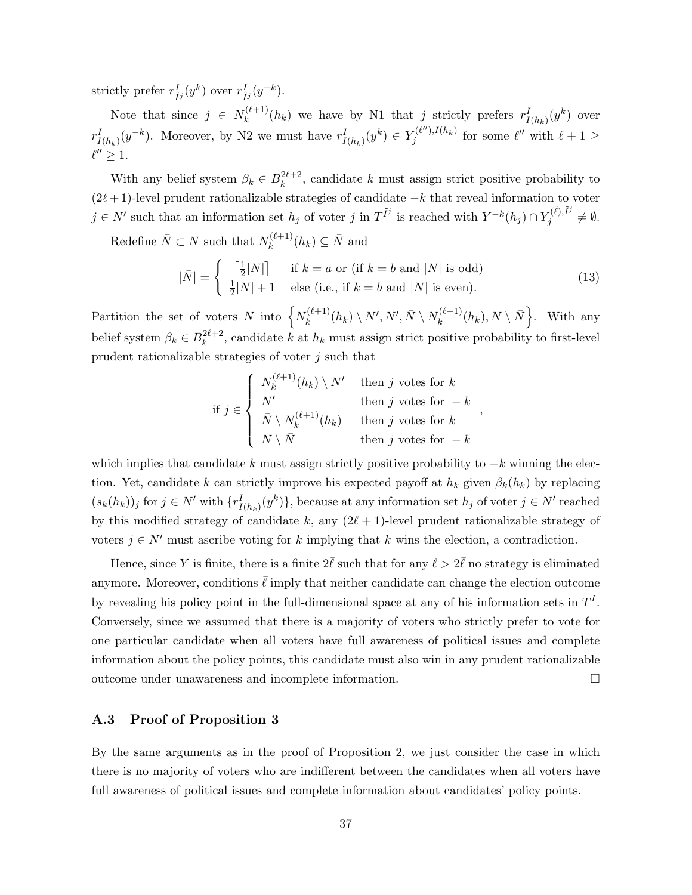strictly prefer  $r_{\tilde{I}j}^I(y^k)$  over  $r_{\tilde{I}j}^I(y^{-k})$ .

Note that since  $j \in N_k^{(\ell+1)}$  $\int_k^{(\ell+1)}(h_k)$  we have by N1 that j strictly prefers  $r^I_{I(h_k)}(y^k)$  over  $r^I_{I(h_k)}(y^{-k})$ . Moreover, by N2 we must have  $r^I_{I(h_k)}(y^k) \in Y_j^{(\ell''),I(h_k)}$  $\ell_j^{(\ell''),I(h_k)}$  for some  $\ell''$  with  $\ell+1 \geq$  $\ell'' \geq 1$ .

With any belief system  $\beta_k \in B_k^{2\ell+2}$  $k^{2\ell+2}$ , candidate k must assign strict positive probability to  $(2\ell + 1)$ -level prudent rationalizable strategies of candidate  $-k$  that reveal information to voter  $j \in N'$  such that an information set  $h_j$  of voter j in  $T^{\tilde{I}^j}$  is reached with  $Y^{-k}(h_j) \cap Y_i^{(\tilde{\ell}), \tilde{I}^j}$  $j^{(\ell),I^j}\neq\emptyset.$ 

Redefine  $\bar{N} \subset N$  such that  $N_k^{(\ell+1)}$  $\bar{k}^{(\ell+1)}(h_k) \subseteq \bar{N}$  and

$$
|\bar{N}| = \begin{cases} \begin{bmatrix} \frac{1}{2}|N| \\ \frac{1}{2}|N|+1 \end{bmatrix} & \text{if } k = a \text{ or (if } k = b \text{ and } |N| \text{ is odd}) \\ \frac{1}{2}|N|+1 & \text{else (i.e., if } k = b \text{ and } |N| \text{ is even}). \end{cases}
$$
(13)

,

Partition the set of voters N into  $\left\{N_k^{(\ell+1)}\right\}$  $k^{(\ell+1)}(h_k) \setminus N', N', \bar N \setminus N^{(\ell+1)}_k$  $\left\{ \begin{matrix} k^{(l+1)}(h_k), N \setminus \bar{N} \end{matrix} \right\}$ . With any belief system  $\beta_k \in B_k^{2\ell+2}$  $k_k^{2\ell+2}$ , candidate k at  $h_k$  must assign strict positive probability to first-level prudent rationalizable strategies of voter  $j$  such that

$$
\text{if } j \in \begin{cases} N_k^{(\ell+1)}(h_k) \setminus N' & \text{then } j \text{ votes for } k \\ N' & \text{then } j \text{ votes for } -k \\ \bar{N} \setminus N_k^{(\ell+1)}(h_k) & \text{then } j \text{ votes for } k \\ N \setminus \bar{N} & \text{then } j \text{ votes for } -k \end{cases}
$$

which implies that candidate k must assign strictly positive probability to  $-k$  winning the election. Yet, candidate k can strictly improve his expected payoff at  $h_k$  given  $\beta_k(h_k)$  by replacing  $(s_k(h_k))_j$  for  $j \in N'$  with  $\{r^I_{I(h_k)}(y^k)\}\$ , because at any information set  $h_j$  of voter  $j \in N'$  reached by this modified strategy of candidate k, any  $(2\ell + 1)$ -level prudent rationalizable strategy of voters  $j \in N'$  must ascribe voting for k implying that k wins the election, a contradiction.

Hence, since Y is finite, there is a finite  $2\bar{\ell}$  such that for any  $\ell > 2\bar{\ell}$  no strategy is eliminated anymore. Moreover, conditions  $\bar{\ell}$  imply that neither candidate can change the election outcome by revealing his policy point in the full-dimensional space at any of his information sets in  $T<sup>I</sup>$ . Conversely, since we assumed that there is a majority of voters who strictly prefer to vote for one particular candidate when all voters have full awareness of political issues and complete information about the policy points, this candidate must also win in any prudent rationalizable outcome under unawareness and incomplete information.

#### A.3 Proof of Proposition 3

By the same arguments as in the proof of Proposition 2, we just consider the case in which there is no majority of voters who are indifferent between the candidates when all voters have full awareness of political issues and complete information about candidates' policy points.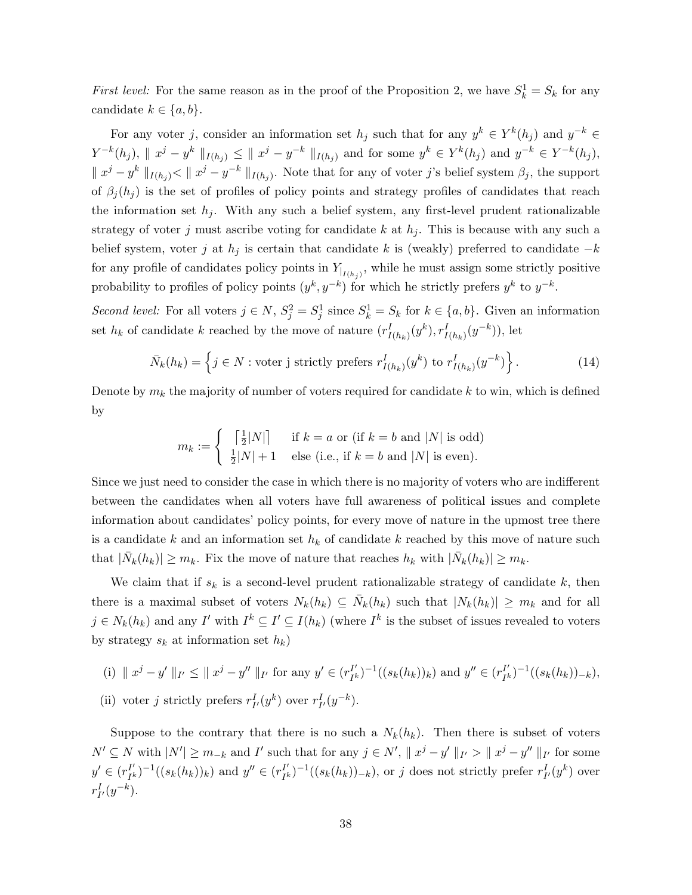*First level:* For the same reason as in the proof of the Proposition 2, we have  $S_k^1 = S_k$  for any candidate  $k \in \{a, b\}.$ 

For any voter j, consider an information set  $h_j$  such that for any  $y^k \in Y^k(h_j)$  and  $y^{-k} \in Y^k(h_j)$  $Y^{-k}(h_j)$ ,  $\parallel x^j - y^k \parallel_{I(h_j)} \leq \parallel x^j - y^{-k} \parallel_{I(h_j)}$  and for some  $y^k \in Y^k(h_j)$  and  $y^{-k} \in Y^{-k}(h_j)$ ,  $\|x^j - y^k\|_{I(h_j)} < \|x^j - y^{-k}\|_{I(h_j)}$ . Note that for any of voter j's belief system  $\beta_j$ , the support of  $\beta_j(h_j)$  is the set of profiles of policy points and strategy profiles of candidates that reach the information set  $h_j$ . With any such a belief system, any first-level prudent rationalizable strategy of voter j must ascribe voting for candidate k at  $h_j$ . This is because with any such a belief system, voter j at  $h_j$  is certain that candidate k is (weakly) preferred to candidate  $-k$ for any profile of candidates policy points in  $Y_{|_{I(h_j)}}$ , while he must assign some strictly positive probability to profiles of policy points  $(y^k, y^{-k})$  for which he strictly prefers  $y^k$  to  $y^{-k}$ .

Second level: For all voters  $j \in N$ ,  $S_j^2 = S_j^1$  since  $S_k^1 = S_k$  for  $k \in \{a, b\}$ . Given an information set  $h_k$  of candidate k reached by the move of nature  $(r_{I(h_k)}^I(y^k), r_{I(h_k)}^I(y^{-k}))$ , let

$$
\bar{N}_k(h_k) = \left\{ j \in N : \text{voter } j \text{ strictly prefers } r^I_{I(h_k)}(y^k) \text{ to } r^I_{I(h_k)}(y^{-k}) \right\}. \tag{14}
$$

Denote by  $m_k$  the majority of number of voters required for candidate k to win, which is defined by

$$
m_k := \begin{cases} \begin{array}{c} \left\lceil \frac{1}{2} |N| \right\rceil & \text{if } k = a \text{ or (if } k = b \text{ and } |N| \text{ is odd})\\ \frac{1}{2} |N| + 1 & \text{else (i.e., if } k = b \text{ and } |N| \text{ is even}). \end{array} \end{cases}
$$

Since we just need to consider the case in which there is no majority of voters who are indifferent between the candidates when all voters have full awareness of political issues and complete information about candidates' policy points, for every move of nature in the upmost tree there is a candidate k and an information set  $h_k$  of candidate k reached by this move of nature such that  $|\bar{N}_k(h_k)| \geq m_k$ . Fix the move of nature that reaches  $h_k$  with  $|\bar{N}_k(h_k)| \geq m_k$ .

We claim that if  $s_k$  is a second-level prudent rationalizable strategy of candidate k, then there is a maximal subset of voters  $N_k(h_k) \subseteq \overline{N}_k(h_k)$  such that  $|N_k(h_k)| \geq m_k$  and for all  $j \in N_k(h_k)$  and any I' with  $I^k \subseteq I' \subseteq I(h_k)$  (where  $I^k$  is the subset of issues revealed to voters by strategy  $s_k$  at information set  $h_k$ )

\n- (i) 
$$
\|x^j - y'\|_{I'} \le \|x^j - y''\|_{I'}
$$
 for any  $y' \in (r_{I^k}^{I'})^{-1}((s_k(h_k))_k)$  and  $y'' \in (r_{I^k}^{I'})^{-1}((s_k(h_k))_{-k}),$
\n- (ii)  $y'' \in (s_k(h_k))_{-k}$  for every  $s_k$  for every  $s_k$  for every  $s_k$ .
\n

Suppose to the contrary that there is no such a  $N_k(h_k)$ . Then there is subset of voters  $N' \subseteq N$  with  $|N'| \ge m_{-k}$  and I' such that for any  $j \in N'$ ,  $||x^j - y'||_{I'} > ||x^j - y''||_{I'}$  for some  $y' \in (r_{Ik}^{I'})$  $_{I_k}^{I'})^{-1}((s_k(h_k))_k)$  and  $y'' \in (r_{I_k}^{I'})$  $I'_k$ )<sup>-1</sup>((s<sub>k</sub>(h<sub>k</sub>))<sub>-k</sub>), or j does not strictly prefer  $r^I_{I'}(y^k)$  over  $r_{I'}^I(y^{-k}).$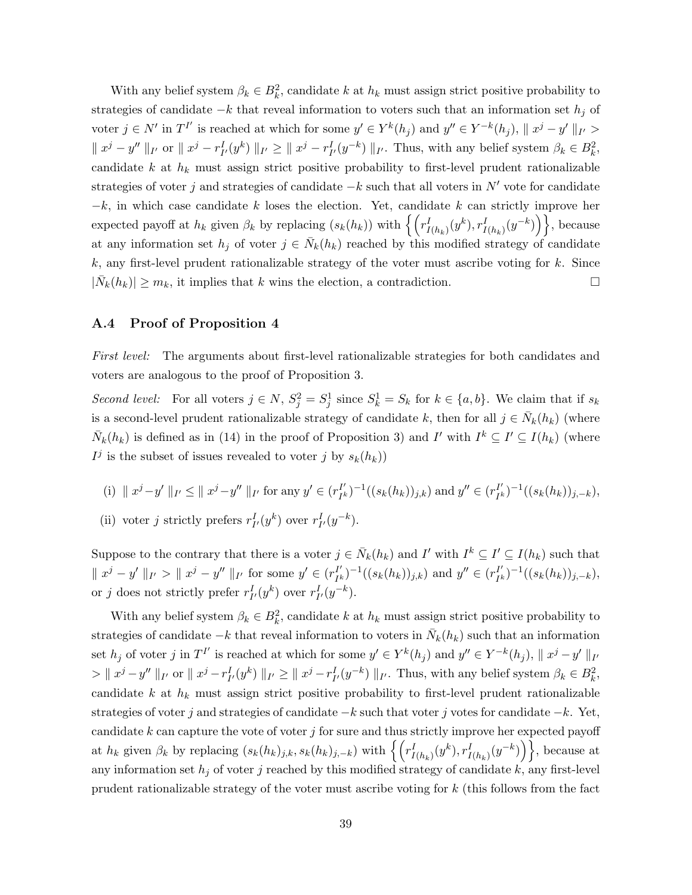With any belief system  $\beta_k \in B_k^2$ , candidate k at  $h_k$  must assign strict positive probability to strategies of candidate  $-k$  that reveal information to voters such that an information set  $h_i$  of voter  $j \in N'$  in  $T^{I'}$  is reached at which for some  $y' \in Y^k(h_j)$  and  $y'' \in Y^{-k}(h_j)$ ,  $||x^j - y'||_{I'} >$  $||x^j - y''||_{I'}$  or  $||x^j - r_I^I(y^k)||_{I'} \ge ||x^j - r_I^I(y^{-k})||_{I'}$ . Thus, with any belief system  $\beta_k \in B_k^2$ , candidate k at  $h_k$  must assign strict positive probability to first-level prudent rationalizable strategies of voter j and strategies of candidate  $-k$  such that all voters in  $N'$  vote for candidate  $-k$ , in which case candidate k loses the election. Yet, candidate k can strictly improve her expected payoff at  $h_k$  given  $\beta_k$  by replacing  $(s_k(h_k))$  with  $\left\{ \left( r^I_{I(h_k)}(y^k), r^I_{I(h_k)}(y^{-k}) \right) \right\}$ , because at any information set  $h_j$  of voter  $j \in \bar{N}_k(h_k)$  reached by this modified strategy of candidate  $k$ , any first-level prudent rationalizable strategy of the voter must ascribe voting for  $k$ . Since  $|\bar{N}_k(h_k)| \geq m_k$ , it implies that k wins the election, a contradiction.

### A.4 Proof of Proposition 4

First level: The arguments about first-level rationalizable strategies for both candidates and voters are analogous to the proof of Proposition 3.

Second level: For all voters  $j \in N$ ,  $S_j^2 = S_j^1$  since  $S_k^1 = S_k$  for  $k \in \{a, b\}$ . We claim that if  $s_k$ is a second-level prudent rationalizable strategy of candidate k, then for all  $j \in \bar{N}_k(h_k)$  (where  $\bar{N}_k(h_k)$  is defined as in (14) in the proof of Proposition 3) and I' with  $I^k \subseteq I' \subseteq I(h_k)$  (where  $I^j$  is the subset of issues revealed to voter j by  $s_k(h_k)$ 

(i) 
$$
||x^{j}-y'||_{I'} \le ||x^{j}-y''||_{I'}
$$
 for any  $y' \in (r_{I^k}^{I'})^{-1}((s_k(h_k))_{j,k})$  and  $y'' \in (r_{I^k}^{I'})^{-1}((s_k(h_k))_{j,-k})$ ,

(ii) voter j strictly prefers  $r^I_{I'}(y^k)$  over  $r^I_{I'}(y^{-k})$ .

Suppose to the contrary that there is a voter  $j \in \bar{N}_k(h_k)$  and I' with  $I^k \subseteq I' \subseteq I(h_k)$  such that  $||x^j - y'||_{I'} > ||x^j - y''||_{I'}$  for some  $y' \in (r_I^{I'}_I)$  $I'_{I^k}$ )<sup>-1</sup>((s<sub>k</sub>(h<sub>k</sub>))<sub>j,k</sub>) and  $y'' \in (r_{I^k}^{I'})$  $_{I^k}^{I'})^{-1}((s_k(h_k))_{j,-k}),$ or j does not strictly prefer  $r^I_{I'}(y^k)$  over  $r^I_{I'}(y^{-k})$ .

With any belief system  $\beta_k \in B_k^2$ , candidate k at  $h_k$  must assign strict positive probability to strategies of candidate  $-k$  that reveal information to voters in  $\bar{N}_k(h_k)$  such that an information set  $h_j$  of voter j in  $T^{I'}$  is reached at which for some  $y' \in Y^k(h_j)$  and  $y'' \in Y^{-k}(h_j)$ ,  $|| x^j - y' ||_{I'}$  $> \|x^j - y''\|_{I'}$  or  $\|x^j - r_I^I(y^k)\|_{I'} \geq \|x^j - r_I^I(y^{-k})\|_{I'}$ . Thus, with any belief system  $\beta_k \in B_k^2$ , candidate k at  $h_k$  must assign strict positive probability to first-level prudent rationalizable strategies of voter j and strategies of candidate  $-k$  such that voter j votes for candidate  $-k$ . Yet, candidate  $k$  can capture the vote of voter  $j$  for sure and thus strictly improve her expected payoff at  $h_k$  given  $\beta_k$  by replacing  $(s_k(h_k)_{j,k}, s_k(h_k)_{j,-k})$  with  $\left\{ \left( r^I_{I(h_k)}(y^k), r^I_{I(h_k)}(y^{-k}) \right) \right\}$ , because at any information set  $h_j$  of voter j reached by this modified strategy of candidate k, any first-level prudent rationalizable strategy of the voter must ascribe voting for k (this follows from the fact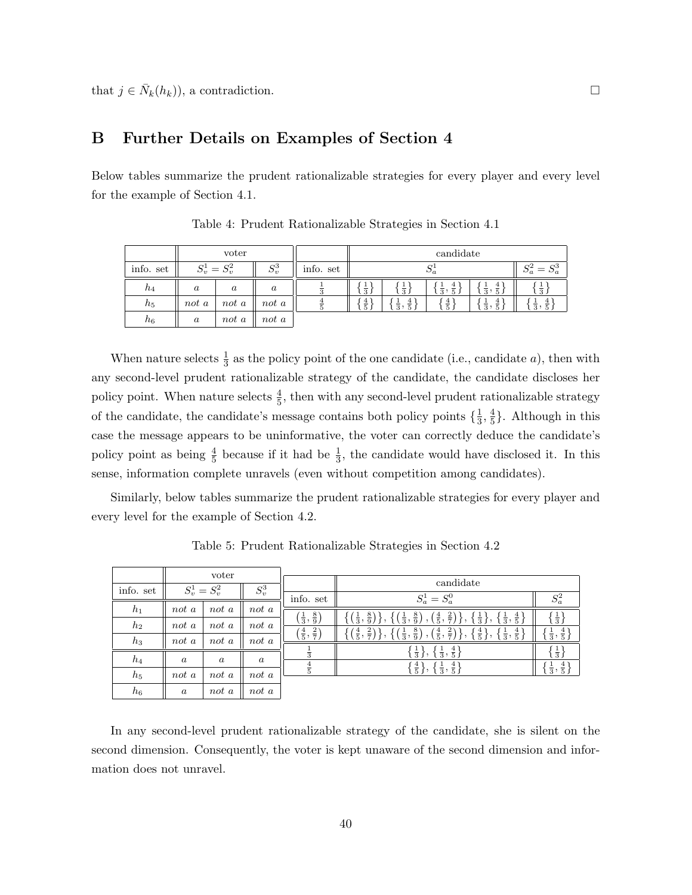### B Further Details on Examples of Section 4

Below tables summarize the prudent rationalizable strategies for every player and every level for the example of Section 4.1.

|           | voter            |                  |          | candidate |                      |                                  |                                                     |                                                        |                                  |
|-----------|------------------|------------------|----------|-----------|----------------------|----------------------------------|-----------------------------------------------------|--------------------------------------------------------|----------------------------------|
| info. set | C <sup>1</sup>   | $S_v^2$          | $S_v^3$  | info. set | $\overline{a}$       |                                  |                                                     | ~ ა<br>=<br>$\mathcal{D}_a$                            |                                  |
| $h_4$     | $\it a$          | $\boldsymbol{a}$ | $\alpha$ |           | л.<br>$\overline{3}$ | $\frac{1}{3}$                    | $4^{\circ}$<br>$\overline{5}$ .<br>$\overline{3}$ , | $\overline{4}$<br>$\overline{3}$ ,<br>$\overline{5}$ . | $\frac{1}{3}$                    |
| $h_5$     | not a            | not a            | not a    |           | $\frac{4}{5}$        | $\frac{4}{5}$<br>$\frac{1}{3}$ , | $\left(\frac{4}{5}\right)$                          | $\overline{4}$<br>$\overline{3}$ ,                     | $\frac{4}{5}$<br>$\frac{1}{3}$ , |
| $h_6$     | $\boldsymbol{a}$ | not a            | not a    |           |                      |                                  |                                                     |                                                        |                                  |

Table 4: Prudent Rationalizable Strategies in Section 4.1

When nature selects  $\frac{1}{3}$  as the policy point of the one candidate (i.e., candidate a), then with any second-level prudent rationalizable strategy of the candidate, the candidate discloses her policy point. When nature selects  $\frac{4}{5}$ , then with any second-level prudent rationalizable strategy of the candidate, the candidate's message contains both policy points  $\{\frac{1}{3}\}$  $\frac{1}{3}, \frac{4}{5}$  $\frac{4}{5}$ . Although in this case the message appears to be uninformative, the voter can correctly deduce the candidate's policy point as being  $\frac{4}{5}$  because if it had be  $\frac{1}{3}$ , the candidate would have disclosed it. In this sense, information complete unravels (even without competition among candidates).

Similarly, below tables summarize the prudent rationalizable strategies for every player and every level for the example of Section 4.2.

|           | voter                      |                  |                  |                                                              |                                                                                                                                                                                            |                                         |  |
|-----------|----------------------------|------------------|------------------|--------------------------------------------------------------|--------------------------------------------------------------------------------------------------------------------------------------------------------------------------------------------|-----------------------------------------|--|
|           | $S_v^3$<br>$S_v^1 = S_v^2$ |                  |                  | candidate                                                    |                                                                                                                                                                                            |                                         |  |
| info. set |                            |                  |                  | info. set                                                    | $S_a^1 = S_a^0$                                                                                                                                                                            | $S_a^2$                                 |  |
| $h_1$     | not a                      | not a            | not a            |                                                              |                                                                                                                                                                                            |                                         |  |
| $h_2$     | not a                      | not a            | not a            | $(\frac{1}{3}, \frac{8}{9})$<br>$(\frac{4}{5}, \frac{2}{7})$ | $\{\left(\frac{1}{3},\frac{8}{9}\right),\left(\frac{4}{5},\frac{2}{7}\right)\},\ \frac{1}{3}\},\$<br>$\{\left(\frac{1}{3},\frac{8}{9}\right)\}, \gamma$<br>$\{\frac{1}{3}, \frac{4}{5}\}\$ | $\{\frac{1}{3}\}$                       |  |
| $h_3$     | not a                      | not a            | not a            |                                                              | $\{\frac{1}{3}, \frac{4}{5}\}$<br>$\{\left(\frac{1}{3},\frac{8}{9}\right),\left(\frac{4}{5},\frac{2}{7}\right)\},\$<br>$\{\frac{4}{5}\},\$<br>$\left(\frac{4}{5},\frac{2}{7}\right)\},$    | $\left[\frac{1}{3},\frac{4}{5}\right\}$ |  |
|           |                            |                  |                  | $\frac{1}{3}$                                                | $\{\frac{1}{3}\}, \{\frac{1}{3}, \frac{4}{5}\}$                                                                                                                                            | $\left\{\frac{1}{3}\right\}$            |  |
| $h_4$     | $\boldsymbol{a}$           | $\boldsymbol{a}$ | $\boldsymbol{a}$ |                                                              |                                                                                                                                                                                            |                                         |  |
| $h_5$     | not a                      | not a            | not a            | $\frac{4}{5}$                                                | $\{\frac{4}{5}\}, \{\frac{1}{3}, \frac{4}{5}\}\$                                                                                                                                           | $\left[\frac{1}{3},\frac{4}{5}\right]$  |  |
| $h_{6}$   | $\boldsymbol{a}$           | not a            | not a            |                                                              |                                                                                                                                                                                            |                                         |  |

Table 5: Prudent Rationalizable Strategies in Section 4.2

In any second-level prudent rationalizable strategy of the candidate, she is silent on the second dimension. Consequently, the voter is kept unaware of the second dimension and information does not unravel.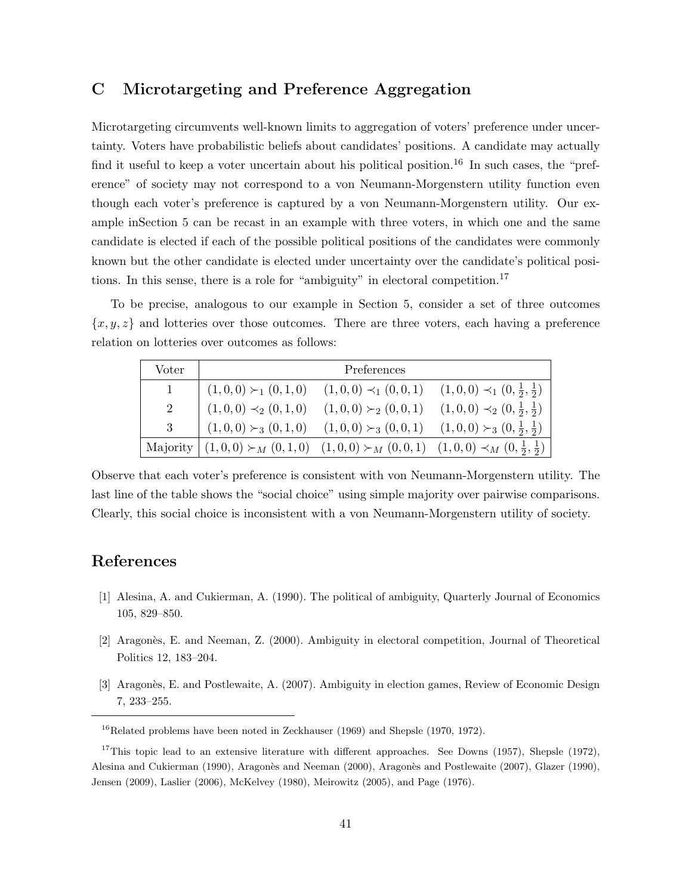## C Microtargeting and Preference Aggregation

Microtargeting circumvents well-known limits to aggregation of voters' preference under uncertainty. Voters have probabilistic beliefs about candidates' positions. A candidate may actually find it useful to keep a voter uncertain about his political position.<sup>16</sup> In such cases, the "preference" of society may not correspond to a von Neumann-Morgenstern utility function even though each voter's preference is captured by a von Neumann-Morgenstern utility. Our example inSection 5 can be recast in an example with three voters, in which one and the same candidate is elected if each of the possible political positions of the candidates were commonly known but the other candidate is elected under uncertainty over the candidate's political positions. In this sense, there is a role for "ambiguity" in electoral competition.<sup>17</sup>

To be precise, analogous to our example in Section 5, consider a set of three outcomes  $\{x, y, z\}$  and lotteries over those outcomes. There are three voters, each having a preference relation on lotteries over outcomes as follows:

| Voter          | Preferences               |                                                                         |                                                                                                            |  |  |  |  |
|----------------|---------------------------|-------------------------------------------------------------------------|------------------------------------------------------------------------------------------------------------|--|--|--|--|
|                | $(1,0,0) \succ_1 (0,1,0)$ | $(1,0,0) \prec_1 (0,0,1)$ $(1,0,0) \prec_1 (0,\frac{1}{2},\frac{1}{2})$ |                                                                                                            |  |  |  |  |
| $\overline{2}$ | $(1,0,0) \prec_2 (0,1,0)$ | $(1,0,0) \succ_2 (0,0,1)$                                               | $(1,0,0) \prec_2 (0,\frac{1}{2},\frac{1}{2})$                                                              |  |  |  |  |
| 3              | $(1,0,0) \succ_3 (0,1,0)$ | $(1,0,0) \succ_3 (0,0,1)$ $(1,0,0) \succ_3 (0,\frac{1}{2},\frac{1}{2})$ |                                                                                                            |  |  |  |  |
|                |                           |                                                                         | Majority $(1,0,0) \succ_M (0,1,0)$ $(1,0,0) \succ_M (0,0,1)$ $(1,0,0) \prec_M (0,\frac{1}{2},\frac{1}{2})$ |  |  |  |  |

Observe that each voter's preference is consistent with von Neumann-Morgenstern utility. The last line of the table shows the "social choice" using simple majority over pairwise comparisons. Clearly, this social choice is inconsistent with a von Neumann-Morgenstern utility of society.

### References

- [1] Alesina, A. and Cukierman, A. (1990). The political of ambiguity, Quarterly Journal of Economics 105, 829–850.
- [2] Aragonès, E. and Neeman, Z. (2000). Ambiguity in electoral competition, Journal of Theoretical Politics 12, 183–204.
- [3] Aragonès, E. and Postlewaite, A. (2007). Ambiguity in election games, Review of Economic Design 7, 233–255.

 $16$ Related problems have been noted in Zeckhauser (1969) and Shepsle (1970, 1972).

<sup>&</sup>lt;sup>17</sup>This topic lead to an extensive literature with different approaches. See Downs (1957), Shepsle (1972), Alesina and Cukierman (1990), Aragonès and Neeman (2000), Aragonès and Postlewaite (2007), Glazer (1990), Jensen (2009), Laslier (2006), McKelvey (1980), Meirowitz (2005), and Page (1976).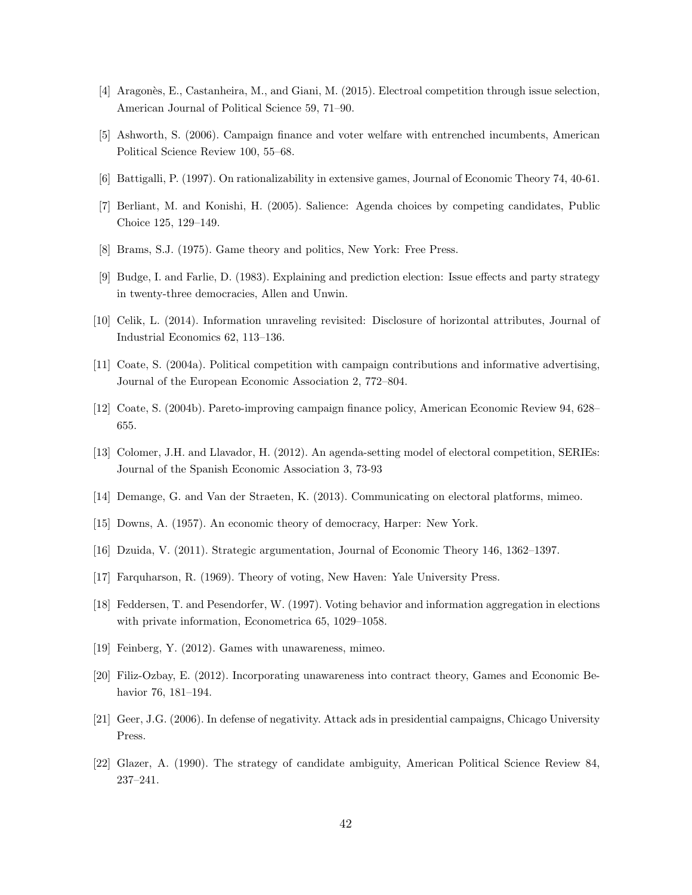- [4] Aragonès, E., Castanheira, M., and Giani, M. (2015). Electroal competition through issue selection, American Journal of Political Science 59, 71–90.
- [5] Ashworth, S. (2006). Campaign finance and voter welfare with entrenched incumbents, American Political Science Review 100, 55–68.
- [6] Battigalli, P. (1997). On rationalizability in extensive games, Journal of Economic Theory 74, 40-61.
- [7] Berliant, M. and Konishi, H. (2005). Salience: Agenda choices by competing candidates, Public Choice 125, 129–149.
- [8] Brams, S.J. (1975). Game theory and politics, New York: Free Press.
- [9] Budge, I. and Farlie, D. (1983). Explaining and prediction election: Issue effects and party strategy in twenty-three democracies, Allen and Unwin.
- [10] Celik, L. (2014). Information unraveling revisited: Disclosure of horizontal attributes, Journal of Industrial Economics 62, 113–136.
- [11] Coate, S. (2004a). Political competition with campaign contributions and informative advertising, Journal of the European Economic Association 2, 772–804.
- [12] Coate, S. (2004b). Pareto-improving campaign finance policy, American Economic Review 94, 628– 655.
- [13] Colomer, J.H. and Llavador, H. (2012). An agenda-setting model of electoral competition, SERIEs: Journal of the Spanish Economic Association 3, 73-93
- [14] Demange, G. and Van der Straeten, K. (2013). Communicating on electoral platforms, mimeo.
- [15] Downs, A. (1957). An economic theory of democracy, Harper: New York.
- [16] Dzuida, V. (2011). Strategic argumentation, Journal of Economic Theory 146, 1362–1397.
- [17] Farquharson, R. (1969). Theory of voting, New Haven: Yale University Press.
- [18] Feddersen, T. and Pesendorfer, W. (1997). Voting behavior and information aggregation in elections with private information, Econometrica 65, 1029–1058.
- [19] Feinberg, Y. (2012). Games with unawareness, mimeo.
- [20] Filiz-Ozbay, E. (2012). Incorporating unawareness into contract theory, Games and Economic Behavior 76, 181–194.
- [21] Geer, J.G. (2006). In defense of negativity. Attack ads in presidential campaigns, Chicago University Press.
- [22] Glazer, A. (1990). The strategy of candidate ambiguity, American Political Science Review 84, 237–241.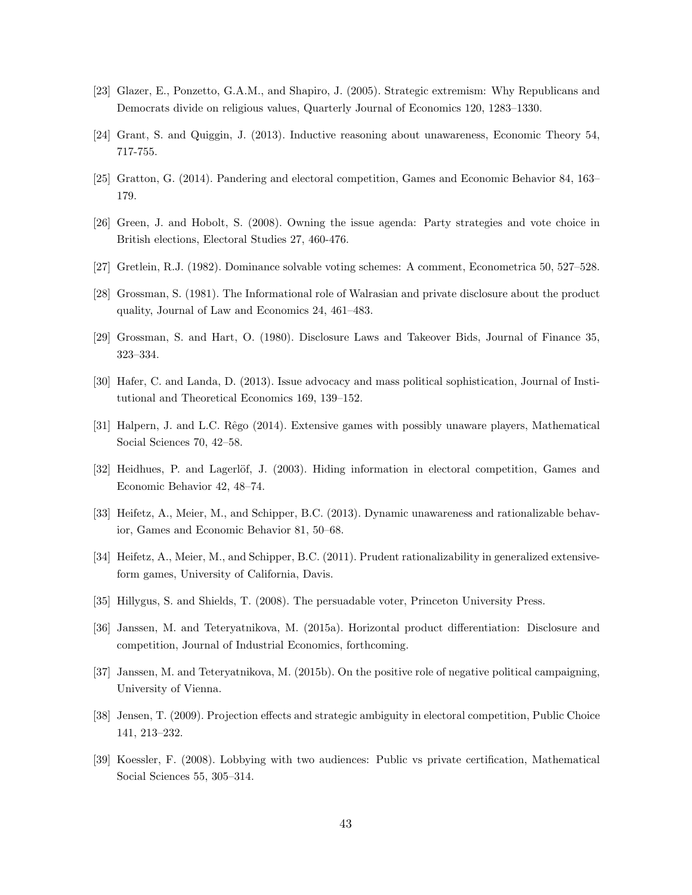- [23] Glazer, E., Ponzetto, G.A.M., and Shapiro, J. (2005). Strategic extremism: Why Republicans and Democrats divide on religious values, Quarterly Journal of Economics 120, 1283–1330.
- [24] Grant, S. and Quiggin, J. (2013). Inductive reasoning about unawareness, Economic Theory 54, 717-755.
- [25] Gratton, G. (2014). Pandering and electoral competition, Games and Economic Behavior 84, 163– 179.
- [26] Green, J. and Hobolt, S. (2008). Owning the issue agenda: Party strategies and vote choice in British elections, Electoral Studies 27, 460-476.
- [27] Gretlein, R.J. (1982). Dominance solvable voting schemes: A comment, Econometrica 50, 527–528.
- [28] Grossman, S. (1981). The Informational role of Walrasian and private disclosure about the product quality, Journal of Law and Economics 24, 461–483.
- [29] Grossman, S. and Hart, O. (1980). Disclosure Laws and Takeover Bids, Journal of Finance 35, 323–334.
- [30] Hafer, C. and Landa, D. (2013). Issue advocacy and mass political sophistication, Journal of Institutional and Theoretical Economics 169, 139–152.
- [31] Halpern, J. and L.C. Rêgo (2014). Extensive games with possibly unaware players, Mathematical Social Sciences 70, 42–58.
- [32] Heidhues, P. and Lagerlöf, J. (2003). Hiding information in electoral competition, Games and Economic Behavior 42, 48–74.
- [33] Heifetz, A., Meier, M., and Schipper, B.C. (2013). Dynamic unawareness and rationalizable behavior, Games and Economic Behavior 81, 50–68.
- [34] Heifetz, A., Meier, M., and Schipper, B.C. (2011). Prudent rationalizability in generalized extensiveform games, University of California, Davis.
- [35] Hillygus, S. and Shields, T. (2008). The persuadable voter, Princeton University Press.
- [36] Janssen, M. and Teteryatnikova, M. (2015a). Horizontal product differentiation: Disclosure and competition, Journal of Industrial Economics, forthcoming.
- [37] Janssen, M. and Teteryatnikova, M. (2015b). On the positive role of negative political campaigning, University of Vienna.
- [38] Jensen, T. (2009). Projection effects and strategic ambiguity in electoral competition, Public Choice 141, 213–232.
- [39] Koessler, F. (2008). Lobbying with two audiences: Public vs private certification, Mathematical Social Sciences 55, 305–314.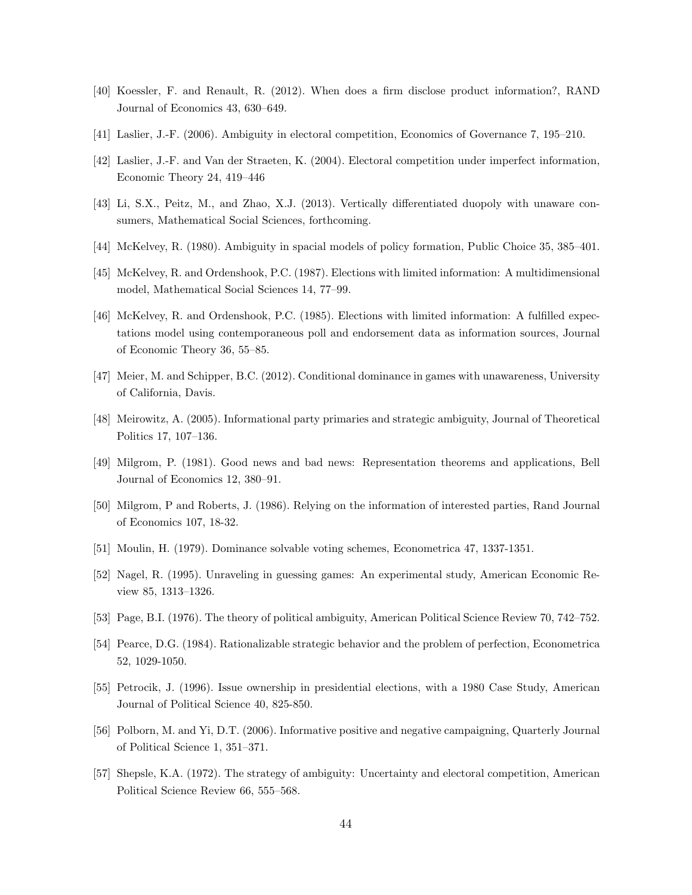- [40] Koessler, F. and Renault, R. (2012). When does a firm disclose product information?, RAND Journal of Economics 43, 630–649.
- [41] Laslier, J.-F. (2006). Ambiguity in electoral competition, Economics of Governance 7, 195–210.
- [42] Laslier, J.-F. and Van der Straeten, K. (2004). Electoral competition under imperfect information, Economic Theory 24, 419–446
- [43] Li, S.X., Peitz, M., and Zhao, X.J. (2013). Vertically differentiated duopoly with unaware consumers, Mathematical Social Sciences, forthcoming.
- [44] McKelvey, R. (1980). Ambiguity in spacial models of policy formation, Public Choice 35, 385–401.
- [45] McKelvey, R. and Ordenshook, P.C. (1987). Elections with limited information: A multidimensional model, Mathematical Social Sciences 14, 77–99.
- [46] McKelvey, R. and Ordenshook, P.C. (1985). Elections with limited information: A fulfilled expectations model using contemporaneous poll and endorsement data as information sources, Journal of Economic Theory 36, 55–85.
- [47] Meier, M. and Schipper, B.C. (2012). Conditional dominance in games with unawareness, University of California, Davis.
- [48] Meirowitz, A. (2005). Informational party primaries and strategic ambiguity, Journal of Theoretical Politics 17, 107–136.
- [49] Milgrom, P. (1981). Good news and bad news: Representation theorems and applications, Bell Journal of Economics 12, 380–91.
- [50] Milgrom, P and Roberts, J. (1986). Relying on the information of interested parties, Rand Journal of Economics 107, 18-32.
- [51] Moulin, H. (1979). Dominance solvable voting schemes, Econometrica 47, 1337-1351.
- [52] Nagel, R. (1995). Unraveling in guessing games: An experimental study, American Economic Review 85, 1313–1326.
- [53] Page, B.I. (1976). The theory of political ambiguity, American Political Science Review 70, 742–752.
- [54] Pearce, D.G. (1984). Rationalizable strategic behavior and the problem of perfection, Econometrica 52, 1029-1050.
- [55] Petrocik, J. (1996). Issue ownership in presidential elections, with a 1980 Case Study, American Journal of Political Science 40, 825-850.
- [56] Polborn, M. and Yi, D.T. (2006). Informative positive and negative campaigning, Quarterly Journal of Political Science 1, 351–371.
- [57] Shepsle, K.A. (1972). The strategy of ambiguity: Uncertainty and electoral competition, American Political Science Review 66, 555–568.